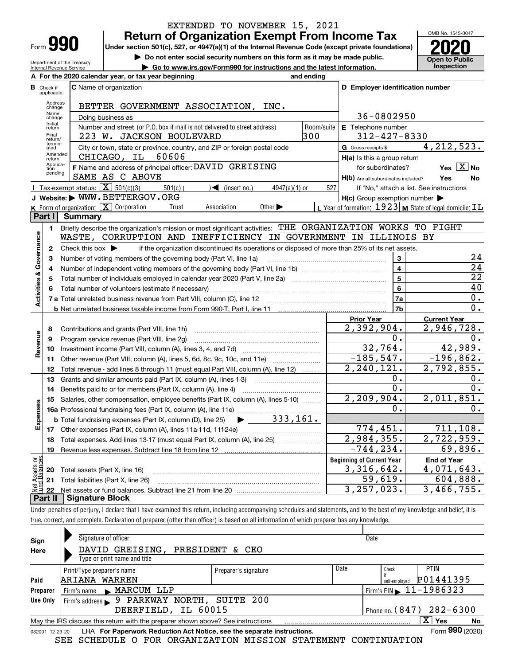| -orm |  |
|------|--|

Department of the Treasury Internal Revenue Service

# **Return of Organization Exempt From Income Tax** EXTENDED TO NOVEMBER 15, 2021

**Under section 501(c), 527, or 4947(a)(1) of the Internal Revenue Code (except private foundations) 2020**

**| Do not enter social security numbers on this form as it may be made public.**

**| Go to www.irs.gov/Form990 for instructions and the latest information. Inspection**



|                         |                         | A For the 2020 calendar year, or tax year beginning                                                                                     | and ending |                                                     |                                                                           |
|-------------------------|-------------------------|-----------------------------------------------------------------------------------------------------------------------------------------|------------|-----------------------------------------------------|---------------------------------------------------------------------------|
| в                       | Check if<br>applicable: | <b>C</b> Name of organization                                                                                                           |            | D Employer identification number                    |                                                                           |
|                         | Address<br>change       | BETTER GOVERNMENT ASSOCIATION, INC.                                                                                                     |            |                                                     |                                                                           |
|                         | Name<br>change          | Doing business as                                                                                                                       |            | 36-0802950                                          |                                                                           |
|                         | Initial<br>return       | Number and street (or P.O. box if mail is not delivered to street address)                                                              | Room/suite | E Telephone number                                  |                                                                           |
|                         | Final<br>return/        | 223 W. JACKSON BOULEVARD                                                                                                                | 300        | $312 - 427 - 8330$                                  |                                                                           |
|                         | termin-<br>ated         | City or town, state or province, country, and ZIP or foreign postal code                                                                |            | G Gross receipts \$                                 | 4, 212, 523.                                                              |
|                         | Amended<br>return       | CHICAGO, IL<br>60606                                                                                                                    |            | H(a) Is this a group return                         |                                                                           |
|                         | Applica-<br>tion        | F Name and address of principal officer: DAVID GREISING                                                                                 |            | for subordinates?                                   | Yes $\boxed{X}$ No                                                        |
|                         | pending                 | SAME AS C ABOVE                                                                                                                         |            | H(b) Are all subordinates included?                 | Yes<br>No                                                                 |
|                         |                         | Tax-exempt status: $\boxed{\mathbf{X}}$ 501(c)(3)<br>$501(c)$ (<br>$\sqrt{\left( \text{insert no.} \right)}$<br>$4947(a)(1)$ or         | 527        |                                                     | If "No," attach a list. See instructions                                  |
|                         |                         | J Website: WWW.BETTERGOV.ORG                                                                                                            |            | $H(c)$ Group exemption number $\blacktriangleright$ |                                                                           |
|                         |                         | <b>K</b> Form of organization: $\boxed{\mathbf{X}}$ Corporation<br>Association<br>Other $\blacktriangleright$<br>Trust                  |            |                                                     | <b>L</b> Year of formation: $1923$ <b>M</b> State of legal domicile: $TL$ |
|                         | Part I                  | Summary                                                                                                                                 |            |                                                     |                                                                           |
|                         | $\blacksquare$          | Briefly describe the organization's mission or most significant activities: THE ORGANIZATION WORKS TO FIGHT                             |            |                                                     |                                                                           |
|                         |                         | WASTE, CORRUPTION AND INEFFICIENCY IN GOVERNMENT IN ILLINOIS BY                                                                         |            |                                                     |                                                                           |
| Activities & Governance | $\mathbf{2}$            | if the organization discontinued its operations or disposed of more than 25% of its net assets.<br>Check this box $\blacktriangleright$ |            |                                                     |                                                                           |
|                         | з                       | Number of voting members of the governing body (Part VI, line 1a)                                                                       |            | 3                                                   | 24<br>$\overline{24}$                                                     |
|                         | 4                       |                                                                                                                                         |            | $\overline{\mathbf{4}}$<br>5                        | $\overline{22}$                                                           |
|                         | 5                       |                                                                                                                                         |            |                                                     | 40                                                                        |
|                         | 6                       |                                                                                                                                         |            | 6<br>7a                                             | 0.                                                                        |
|                         |                         |                                                                                                                                         |            | 7b                                                  | 0.                                                                        |
|                         |                         |                                                                                                                                         |            | <b>Prior Year</b>                                   | <b>Current Year</b>                                                       |
|                         | 8                       | Contributions and grants (Part VIII, line 1h)                                                                                           |            | 2,392,904.                                          | 2,946,728.                                                                |
|                         | 9                       | Program service revenue (Part VIII, line 2g)                                                                                            |            | 0.                                                  | $0$ .                                                                     |
| Revenue                 | 10                      |                                                                                                                                         |            | 32,764.                                             | 42,989.                                                                   |
|                         | 11                      |                                                                                                                                         |            | $-185, 547.$                                        | $-196,862.$                                                               |
|                         | 12                      | Total revenue - add lines 8 through 11 (must equal Part VIII, column (A), line 12)                                                      |            | $\overline{2,240,121}$ .                            | 2,792,855.                                                                |
|                         | 13                      | Grants and similar amounts paid (Part IX, column (A), lines 1-3)                                                                        |            | О.                                                  | 0.                                                                        |
|                         | 14                      | Benefits paid to or for members (Part IX, column (A), line 4)                                                                           |            | 0.                                                  | 0.                                                                        |
|                         | 15                      | Salaries, other compensation, employee benefits (Part IX, column (A), lines 5-10)                                                       |            | 2, 209, 904.                                        | 2,011,851.                                                                |
| Expenses                |                         | 16a Professional fundraising fees (Part IX, column (A), line 11e)                                                                       |            | 0.                                                  | 0.                                                                        |
|                         |                         | 333,161.<br><b>b</b> Total fundraising expenses (Part IX, column (D), line 25)                                                          |            |                                                     |                                                                           |
|                         |                         |                                                                                                                                         |            | 774,451.                                            | 711,108.                                                                  |
|                         | 18                      | Total expenses. Add lines 13-17 (must equal Part IX, column (A), line 25)                                                               |            | 2,984,355.                                          | 2,722,959.                                                                |
|                         | 19                      |                                                                                                                                         |            | $-744, 234.$                                        | 69,896.                                                                   |
| គង្គ                    |                         |                                                                                                                                         |            | <b>Beginning of Current Year</b>                    | <b>End of Year</b>                                                        |
| Assets<br>1 Balanc      |                         | 20 Total assets (Part X, line 16)                                                                                                       |            | 3,316,642.                                          | 4,071,643.                                                                |
|                         |                         | 21 Total liabilities (Part X, line 26)                                                                                                  |            | 59,619.                                             | 604,888.                                                                  |
| $rac{1}{2}$<br>D۰.      |                         | rt II - Rianature Block                                                                                                                 |            | 3, 257, 023.                                        | $\overline{3,466,755}$ .                                                  |

**Part II Signature Block**

Under penalties of perjury, I declare that I have examined this return, including accompanying schedules and statements, and to the best of my knowledge and belief, it is true, correct, and complete. Declaration of preparer (other than officer) is based on all information of which preparer has any knowledge.

| Sign                                                                                                   | Signature of officer                                                                                         |                      |      | Date                                        |                                |  |  |  |  |  |
|--------------------------------------------------------------------------------------------------------|--------------------------------------------------------------------------------------------------------------|----------------------|------|---------------------------------------------|--------------------------------|--|--|--|--|--|
| Here                                                                                                   | DAVID GREISING, PRESIDENT & CEO                                                                              |                      |      |                                             |                                |  |  |  |  |  |
|                                                                                                        | Type or print name and title                                                                                 |                      |      |                                             |                                |  |  |  |  |  |
|                                                                                                        | Print/Type preparer's name                                                                                   | Preparer's signature | Date | Check                                       | PTIN                           |  |  |  |  |  |
| Paid                                                                                                   | ARIANA WARREN                                                                                                |                      |      | self-employed                               | P01441395                      |  |  |  |  |  |
| Preparer                                                                                               | Firm's name MARCUM LLP                                                                                       |                      |      | Firm's EIN $\blacktriangleright$ 11-1986323 |                                |  |  |  |  |  |
| Use Only                                                                                               | Firm's address > 9 PARKWAY NORTH, SUITE 200                                                                  |                      |      |                                             |                                |  |  |  |  |  |
|                                                                                                        | DEERFIELD, IL 60015                                                                                          |                      |      |                                             | Phone no. $(847)$ $282 - 6300$ |  |  |  |  |  |
| $X \mid Y$ es<br>May the IRS discuss this return with the preparer shown above? See instructions<br>No |                                                                                                              |                      |      |                                             |                                |  |  |  |  |  |
|                                                                                                        | Form 990 (2020)<br>LHA For Paperwork Reduction Act Notice, see the separate instructions.<br>032001 12-23-20 |                      |      |                                             |                                |  |  |  |  |  |
|                                                                                                        | SEE SCHEDULE O FOR ORGANIZATION MISSION STATEMENT CONTINUATION                                               |                      |      |                                             |                                |  |  |  |  |  |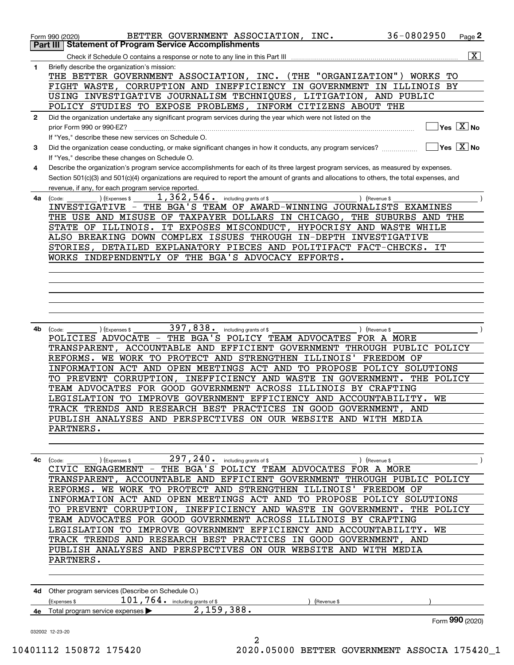|              | 36-0802950<br>BETTER GOVERNMENT ASSOCIATION, INC.<br>Form 990 (2020)                                                                                                                                                                                                                                                                                                                                                                                                                                                                                                                                                                                                                                                                                    |                                     | Page 2                                 |
|--------------|---------------------------------------------------------------------------------------------------------------------------------------------------------------------------------------------------------------------------------------------------------------------------------------------------------------------------------------------------------------------------------------------------------------------------------------------------------------------------------------------------------------------------------------------------------------------------------------------------------------------------------------------------------------------------------------------------------------------------------------------------------|-------------------------------------|----------------------------------------|
|              | <b>Statement of Program Service Accomplishments</b><br>  Part III  <br>Check if Schedule O contains a response or note to any line in this Part III                                                                                                                                                                                                                                                                                                                                                                                                                                                                                                                                                                                                     |                                     | $\boxed{\text{X}}$                     |
| 1            | Briefly describe the organization's mission:<br>THE BETTER GOVERNMENT ASSOCIATION, INC.<br>(THE "ORGANIZATION")<br>WORKS<br>FIGHT WASTE, CORRUPTION AND INEFFICIENCY IN GOVERNMENT IN ILLINOIS BY<br>USING INVESTIGATIVE JOURNALISM TECHNIQUES, LITIGATION, AND PUBLIC<br>POLICY STUDIES TO EXPOSE PROBLEMS, INFORM CITIZENS ABOUT THE                                                                                                                                                                                                                                                                                                                                                                                                                  | TО                                  |                                        |
| $\mathbf{2}$ | Did the organization undertake any significant program services during the year which were not listed on the<br>prior Form 990 or 990-EZ?<br>If "Yes," describe these new services on Schedule O.                                                                                                                                                                                                                                                                                                                                                                                                                                                                                                                                                       |                                     | $\sqrt{}$ Yes $\sqrt{}$ X $\sqrt{}$ No |
| 3            | Did the organization cease conducting, or make significant changes in how it conducts, any program services?<br>If "Yes," describe these changes on Schedule O.                                                                                                                                                                                                                                                                                                                                                                                                                                                                                                                                                                                         | $\overline{Y}$ es $\overline{X}$ No |                                        |
| 4            | Describe the organization's program service accomplishments for each of its three largest program services, as measured by expenses.<br>Section 501(c)(3) and 501(c)(4) organizations are required to report the amount of grants and allocations to others, the total expenses, and<br>revenue, if any, for each program service reported.                                                                                                                                                                                                                                                                                                                                                                                                             |                                     |                                        |
| 4a           | 1, 362, 546. including grants of \$<br>) (Revenue \$<br>(Code:<br>(Expenses \$<br>THE BGA'S TEAM OF AWARD-WINNING JOURNALISTS EXAMINES<br>INVESTIGATIVE -<br>THE USE AND MISUSE OF TAXPAYER DOLLARS IN CHICAGO, THE SUBURBS AND THE<br>IT EXPOSES MISCONDUCT, HYPOCRISY AND WASTE WHILE<br>STATE OF ILLINOIS.<br>ALSO BREAKING DOWN COMPLEX ISSUES THROUGH IN-DEPTH INVESTIGATIVE<br>STORIES, DETAILED EXPLANATORY PIECES AND POLITIFACT FACT-CHECKS.<br>WORKS INDEPENDENTLY OF THE BGA'S ADVOCACY EFFORTS.                                                                                                                                                                                                                                             | IT                                  |                                        |
| 4b           | 397,838.<br>including grants of \$<br>) (Revenue \$<br>(Expenses \$<br>(Code:<br>POLICIES ADVOCATE - THE BGA'S POLICY TEAM ADVOCATES FOR A MORE<br>TRANSPARENT, ACCOUNTABLE AND EFFICIENT GOVERNMENT THROUGH PUBLIC POLICY<br>WE WORK TO PROTECT AND STRENGTHEN ILLINOIS'<br>FREEDOM OF<br>REFORMS.<br>INFORMATION ACT AND OPEN MEETINGS ACT AND TO PROPOSE POLICY SOLUTIONS<br>TO PREVENT CORRUPTION,<br>INEFFICIENCY AND WASTE IN GOVERNMENT.<br>THE POLICY<br>TEAM ADVOCATES FOR GOOD GOVERNMENT ACROSS ILLINOIS BY CRAFTING<br>LEGISLATION TO IMPROVE GOVERNMENT EFFICIENCY AND ACCOUNTABILITY.<br>TRACK TRENDS AND RESEARCH BEST PRACTICES IN GOOD GOVERNMENT, AND<br>PUBLISH ANALYSES AND PERSPECTIVES ON OUR WEBSITE AND WITH MEDIA<br>PARTNERS. | WE                                  |                                        |
| 4с           | $(\text{Code:})$ (Expenses \$297, 240. including grants of \$2000 $(\text{Reverse:})$ (Revenue \$2000 $(\text{Remove:})$<br>TRANSPARENT, ACCOUNTABLE AND EFFICIENT GOVERNMENT THROUGH PUBLIC POLICY<br>REFORMS. WE WORK TO PROTECT AND STRENGTHEN ILLINOIS' FREEDOM OF<br>INFORMATION ACT AND OPEN MEETINGS ACT AND TO PROPOSE POLICY SOLUTIONS<br>TO PREVENT CORRUPTION, INEFFICIENCY AND WASTE IN GOVERNMENT. THE POLICY<br>TEAM ADVOCATES FOR GOOD GOVERNMENT ACROSS ILLINOIS BY CRAFTING<br>LEGISLATION TO IMPROVE GOVERNMENT EFFICIENCY AND ACCOUNTABILITY. WE<br>TRACK TRENDS AND RESEARCH BEST PRACTICES IN GOOD GOVERNMENT, AND<br>PUBLISH ANALYSES AND PERSPECTIVES ON OUR WEBSITE AND WITH MEDIA<br>PARTNERS.                                 |                                     |                                        |
|              | 4d Other program services (Describe on Schedule O.)<br>$101$ , $764$ $\cdot$ including grants of \$<br>(Express \$<br>) (Revenue \$                                                                                                                                                                                                                                                                                                                                                                                                                                                                                                                                                                                                                     |                                     |                                        |
|              | 4e Total program service expenses 2, 159, 388.                                                                                                                                                                                                                                                                                                                                                                                                                                                                                                                                                                                                                                                                                                          |                                     |                                        |
|              | 032002 12-23-20<br>2                                                                                                                                                                                                                                                                                                                                                                                                                                                                                                                                                                                                                                                                                                                                    |                                     | Form 990 (2020)                        |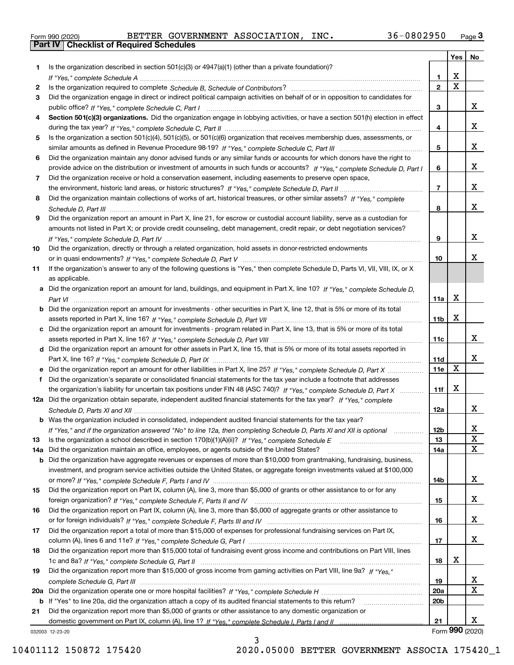|  | Form 990 (2020) |
|--|-----------------|

Form 990 (2020) BETTER GOVERNMENT ASSOCIATION , INC **.** 36-0802950 <sub>Page</sub> 3<br>**Part IV | Checklist of Required Schedules** 

|     |                                                                                                                                                                                                                               |                        | Yes         | No              |
|-----|-------------------------------------------------------------------------------------------------------------------------------------------------------------------------------------------------------------------------------|------------------------|-------------|-----------------|
|     | Is the organization described in section $501(c)(3)$ or $4947(a)(1)$ (other than a private foundation)?                                                                                                                       |                        |             |                 |
|     |                                                                                                                                                                                                                               | 1                      | x           |                 |
| 2   |                                                                                                                                                                                                                               | $\mathbf{2}$           | $\mathbf X$ |                 |
| 3   | Did the organization engage in direct or indirect political campaign activities on behalf of or in opposition to candidates for                                                                                               |                        |             |                 |
|     |                                                                                                                                                                                                                               | 3                      |             | x               |
| 4   | Section 501(c)(3) organizations. Did the organization engage in lobbying activities, or have a section 501(h) election in effect                                                                                              |                        |             |                 |
|     |                                                                                                                                                                                                                               | 4                      |             | x               |
| 5   | Is the organization a section 501(c)(4), 501(c)(5), or 501(c)(6) organization that receives membership dues, assessments, or                                                                                                  |                        |             |                 |
|     |                                                                                                                                                                                                                               | 5                      |             | x               |
| 6   | Did the organization maintain any donor advised funds or any similar funds or accounts for which donors have the right to                                                                                                     |                        |             |                 |
|     | provide advice on the distribution or investment of amounts in such funds or accounts? If "Yes," complete Schedule D, Part I                                                                                                  | 6                      |             | x               |
| 7   | Did the organization receive or hold a conservation easement, including easements to preserve open space,                                                                                                                     |                        |             |                 |
|     |                                                                                                                                                                                                                               | $\overline{7}$         |             | x               |
| 8   | Did the organization maintain collections of works of art, historical treasures, or other similar assets? If "Yes," complete                                                                                                  |                        |             |                 |
|     |                                                                                                                                                                                                                               | 8                      |             | x               |
| 9   | Did the organization report an amount in Part X, line 21, for escrow or custodial account liability, serve as a custodian for                                                                                                 |                        |             |                 |
|     | amounts not listed in Part X; or provide credit counseling, debt management, credit repair, or debt negotiation services?                                                                                                     |                        |             |                 |
|     |                                                                                                                                                                                                                               | 9                      |             | x               |
| 10  | Did the organization, directly or through a related organization, hold assets in donor-restricted endowments                                                                                                                  |                        |             | x               |
|     |                                                                                                                                                                                                                               | 10                     |             |                 |
| 11  | If the organization's answer to any of the following questions is "Yes," then complete Schedule D, Parts VI, VII, VIII, IX, or X                                                                                              |                        |             |                 |
|     | as applicable.                                                                                                                                                                                                                |                        |             |                 |
|     | a Did the organization report an amount for land, buildings, and equipment in Part X, line 10? If "Yes," complete Schedule D,                                                                                                 | 11a                    | х           |                 |
|     | <b>b</b> Did the organization report an amount for investments - other securities in Part X, line 12, that is 5% or more of its total                                                                                         |                        |             |                 |
|     |                                                                                                                                                                                                                               | 11 <sub>b</sub>        | X           |                 |
|     | c Did the organization report an amount for investments - program related in Part X, line 13, that is 5% or more of its total                                                                                                 |                        |             |                 |
|     |                                                                                                                                                                                                                               | 11c                    |             | x               |
|     | d Did the organization report an amount for other assets in Part X, line 15, that is 5% or more of its total assets reported in                                                                                               |                        |             |                 |
|     |                                                                                                                                                                                                                               | 11d                    |             | x               |
|     | e Did the organization report an amount for other liabilities in Part X, line 25? If "Yes," complete Schedule D, Part X                                                                                                       | 11e                    | $\mathbf X$ |                 |
| f   | Did the organization's separate or consolidated financial statements for the tax year include a footnote that addresses                                                                                                       |                        |             |                 |
|     | the organization's liability for uncertain tax positions under FIN 48 (ASC 740)? If "Yes," complete Schedule D, Part X                                                                                                        | 11f                    | X           |                 |
|     | 12a Did the organization obtain separate, independent audited financial statements for the tax year? If "Yes," complete                                                                                                       |                        |             |                 |
|     |                                                                                                                                                                                                                               | 12a                    |             | x               |
|     | <b>b</b> Was the organization included in consolidated, independent audited financial statements for the tax year?                                                                                                            |                        |             |                 |
|     | If "Yes," and if the organization answered "No" to line 12a, then completing Schedule D, Parts XI and XII is optional                                                                                                         | 12 <sub>b</sub>        |             | x.              |
| 13  |                                                                                                                                                                                                                               | 13                     |             | X               |
| 14a | Did the organization maintain an office, employees, or agents outside of the United States?                                                                                                                                   | 14a                    |             | X               |
|     | b Did the organization have aggregate revenues or expenses of more than \$10,000 from grantmaking, fundraising, business,                                                                                                     |                        |             |                 |
|     | investment, and program service activities outside the United States, or aggregate foreign investments valued at \$100,000                                                                                                    |                        |             |                 |
|     |                                                                                                                                                                                                                               | 14b                    |             | x               |
| 15  | Did the organization report on Part IX, column (A), line 3, more than \$5,000 of grants or other assistance to or for any                                                                                                     |                        |             |                 |
|     |                                                                                                                                                                                                                               | 15                     |             | x               |
| 16  | Did the organization report on Part IX, column (A), line 3, more than \$5,000 of aggregate grants or other assistance to                                                                                                      |                        |             |                 |
|     |                                                                                                                                                                                                                               | 16                     |             | x               |
| 17  | Did the organization report a total of more than \$15,000 of expenses for professional fundraising services on Part IX,                                                                                                       |                        |             |                 |
|     |                                                                                                                                                                                                                               | 17                     |             | X               |
| 18  | Did the organization report more than \$15,000 total of fundraising event gross income and contributions on Part VIII, lines                                                                                                  |                        |             |                 |
|     |                                                                                                                                                                                                                               | 18                     | х           |                 |
| 19  | Did the organization report more than \$15,000 of gross income from gaming activities on Part VIII, line 9a? If "Yes."                                                                                                        |                        |             |                 |
|     |                                                                                                                                                                                                                               | 19                     |             | X.<br>X         |
| 20a |                                                                                                                                                                                                                               | 20a<br>20 <sub>b</sub> |             |                 |
| 21  | b If "Yes" to line 20a, did the organization attach a copy of its audited financial statements to this return?<br>Did the organization report more than \$5,000 of grants or other assistance to any domestic organization or |                        |             |                 |
|     |                                                                                                                                                                                                                               | 21                     |             | x               |
|     | 032003 12-23-20                                                                                                                                                                                                               |                        |             | Form 990 (2020) |
|     |                                                                                                                                                                                                                               |                        |             |                 |

032003 12-23-20

3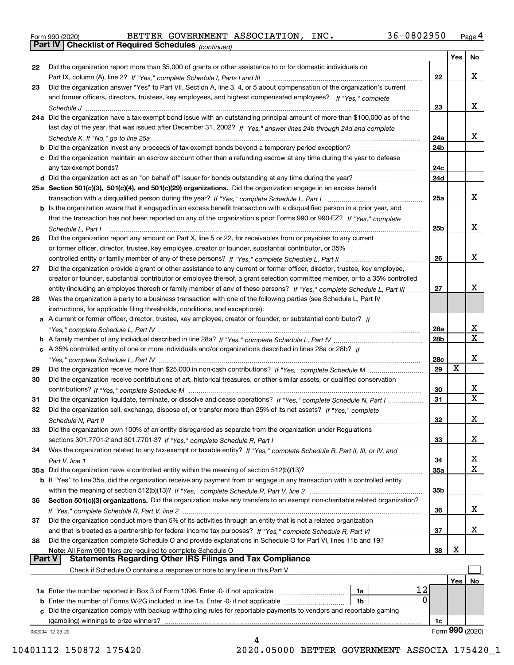|  | Form 990 (2020) |
|--|-----------------|
|  |                 |

*(continued)*

|               |                                                                                                                              |     | Yes | No                      |
|---------------|------------------------------------------------------------------------------------------------------------------------------|-----|-----|-------------------------|
| 22            | Did the organization report more than \$5,000 of grants or other assistance to or for domestic individuals on                |     |     |                         |
|               |                                                                                                                              | 22  |     | x                       |
| 23            | Did the organization answer "Yes" to Part VII, Section A, line 3, 4, or 5 about compensation of the organization's current   |     |     |                         |
|               | and former officers, directors, trustees, key employees, and highest compensated employees? If "Yes," complete               |     |     |                         |
|               |                                                                                                                              | 23  |     | X.                      |
|               | 24a Did the organization have a tax-exempt bond issue with an outstanding principal amount of more than \$100,000 as of the  |     |     |                         |
|               | last day of the year, that was issued after December 31, 2002? If "Yes," answer lines 24b through 24d and complete           |     |     |                         |
|               |                                                                                                                              | 24a |     | X.                      |
|               | b Did the organization invest any proceeds of tax-exempt bonds beyond a temporary period exception?                          | 24b |     |                         |
|               | c Did the organization maintain an escrow account other than a refunding escrow at any time during the year to defease       |     |     |                         |
|               | any tax-exempt bonds?                                                                                                        | 24c |     |                         |
|               |                                                                                                                              | 24d |     |                         |
|               |                                                                                                                              |     |     |                         |
|               | 25a Section 501(c)(3), 501(c)(4), and 501(c)(29) organizations. Did the organization engage in an excess benefit             |     |     | X.                      |
|               |                                                                                                                              | 25a |     |                         |
|               | b Is the organization aware that it engaged in an excess benefit transaction with a disqualified person in a prior year, and |     |     |                         |
|               | that the transaction has not been reported on any of the organization's prior Forms 990 or 990-EZ? If "Yes." complete        |     |     |                         |
|               | Schedule L, Part I                                                                                                           | 25b |     | X.                      |
| 26            | Did the organization report any amount on Part X, line 5 or 22, for receivables from or payables to any current              |     |     |                         |
|               | or former officer, director, trustee, key employee, creator or founder, substantial contributor, or 35%                      |     |     |                         |
|               |                                                                                                                              | 26  |     | x                       |
| 27            | Did the organization provide a grant or other assistance to any current or former officer, director, trustee, key employee,  |     |     |                         |
|               | creator or founder, substantial contributor or employee thereof, a grant selection committee member, or to a 35% controlled  |     |     |                         |
|               | entity (including an employee thereof) or family member of any of these persons? If "Yes," complete Schedule L, Part III     | 27  |     | x                       |
| 28            | Was the organization a party to a business transaction with one of the following parties (see Schedule L, Part IV            |     |     |                         |
|               | instructions, for applicable filing thresholds, conditions, and exceptions):                                                 |     |     |                         |
|               | a A current or former officer, director, trustee, key employee, creator or founder, or substantial contributor? If           |     |     |                         |
|               |                                                                                                                              | 28a |     | x                       |
|               |                                                                                                                              | 28b |     | $\mathbf X$             |
|               | c A 35% controlled entity of one or more individuals and/or organizations described in lines 28a or 28b? If                  |     |     |                         |
|               |                                                                                                                              | 28c |     | x                       |
| 29            |                                                                                                                              | 29  | X   |                         |
| 30            | Did the organization receive contributions of art, historical treasures, or other similar assets, or qualified conservation  |     |     |                         |
|               |                                                                                                                              | 30  |     | X.                      |
| 31            | Did the organization liquidate, terminate, or dissolve and cease operations? If "Yes," complete Schedule N, Part I           | 31  |     | $\overline{\mathbf{x}}$ |
| 32            | Did the organization sell, exchange, dispose of, or transfer more than 25% of its net assets? If "Yes," complete             |     |     |                         |
|               | Schedule N, Part II                                                                                                          | 32  |     | x                       |
| 33            | Did the organization own 100% of an entity disregarded as separate from the organization under Regulations                   |     |     |                         |
|               |                                                                                                                              | 33  |     | X                       |
| 34            | Was the organization related to any tax-exempt or taxable entity? If "Yes," complete Schedule R, Part II, III, or IV, and    |     |     |                         |
|               |                                                                                                                              | 34  |     | X                       |
|               | 35a Did the organization have a controlled entity within the meaning of section 512(b)(13)?                                  | 35a |     | X                       |
|               | b If "Yes" to line 35a, did the organization receive any payment from or engage in any transaction with a controlled entity  |     |     |                         |
|               |                                                                                                                              | 35b |     |                         |
| 36            | Section 501(c)(3) organizations. Did the organization make any transfers to an exempt non-charitable related organization?   |     |     |                         |
|               |                                                                                                                              | 36  |     | x                       |
| 37            | Did the organization conduct more than 5% of its activities through an entity that is not a related organization             |     |     |                         |
|               | and that is treated as a partnership for federal income tax purposes? If "Yes," complete Schedule R, Part VI                 | 37  |     | x                       |
| 38            | Did the organization complete Schedule O and provide explanations in Schedule O for Part VI, lines 11b and 19?               |     |     |                         |
|               | Note: All Form 990 filers are required to complete Schedule O                                                                | 38  | X   |                         |
| <b>Part V</b> | <b>Statements Regarding Other IRS Filings and Tax Compliance</b>                                                             |     |     |                         |
|               | Check if Schedule O contains a response or note to any line in this Part V                                                   |     |     |                         |
|               |                                                                                                                              |     | Yes | No                      |
|               | 12<br>1a Enter the number reported in Box 3 of Form 1096. Enter -0- if not applicable<br>1a                                  |     |     |                         |
|               | 0<br><b>b</b> Enter the number of Forms W-2G included in line 1a. Enter -0- if not applicable<br>1b                          |     |     |                         |
|               | c Did the organization comply with backup withholding rules for reportable payments to vendors and reportable gaming         |     |     |                         |
|               | (gambling) winnings to prize winners?                                                                                        | 1c  |     |                         |
|               | 032004 12-23-20                                                                                                              |     |     | Form 990 (2020)         |
|               | 4                                                                                                                            |     |     |                         |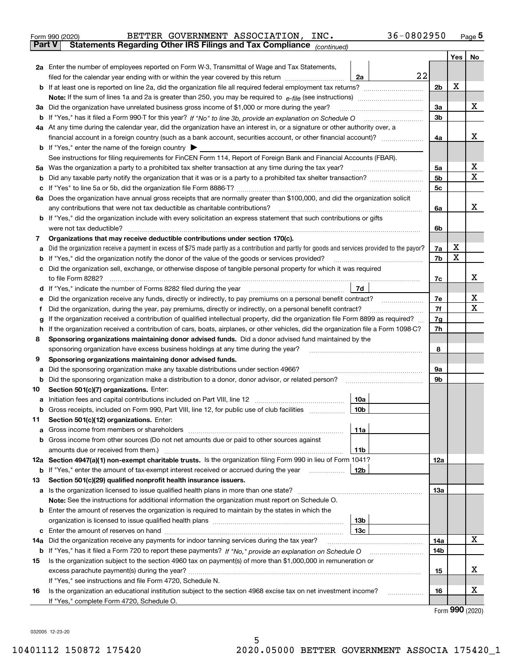|               | 36-0802950<br>BETTER GOVERNMENT ASSOCIATION,<br>INC.<br>Form 990 (2020)                                                                         |                |         | <u>Page</u> 5 |
|---------------|-------------------------------------------------------------------------------------------------------------------------------------------------|----------------|---------|---------------|
| <b>Part V</b> | Statements Regarding Other IRS Filings and Tax Compliance (continued)                                                                           |                |         |               |
|               |                                                                                                                                                 |                | Yes $ $ | No            |
|               | 2a Enter the number of employees reported on Form W-3, Transmittal of Wage and Tax Statements,                                                  |                |         |               |
|               | 22<br>filed for the calendar year ending with or within the year covered by this return <i>manumumumum</i><br>2a                                |                |         |               |
|               |                                                                                                                                                 | 2 <sub>b</sub> | X       |               |
|               |                                                                                                                                                 |                |         |               |
|               | 3a Did the organization have unrelated business gross income of \$1,000 or more during the year?                                                | 3a             |         | х             |
|               |                                                                                                                                                 | 3b             |         |               |
|               | 4a At any time during the calendar year, did the organization have an interest in, or a signature or other authority over, a                    |                |         |               |
|               |                                                                                                                                                 | 4a             |         | х             |
|               | <b>b</b> If "Yes," enter the name of the foreign country $\blacktriangleright$                                                                  |                |         |               |
|               | See instructions for filing requirements for FinCEN Form 114, Report of Foreign Bank and Financial Accounts (FBAR).                             |                |         |               |
|               | 5a Was the organization a party to a prohibited tax shelter transaction at any time during the tax year?                                        | 5a             |         | х             |
| b             |                                                                                                                                                 | 5 <sub>b</sub> |         | х             |
|               |                                                                                                                                                 | 5 <sub>c</sub> |         |               |
|               | 6a Does the organization have annual gross receipts that are normally greater than \$100,000, and did the organization solicit                  |                |         |               |
|               |                                                                                                                                                 | 6a             |         | х             |
|               | <b>b</b> If "Yes," did the organization include with every solicitation an express statement that such contributions or gifts                   |                |         |               |
|               | were not tax deductible?                                                                                                                        | 6b             |         |               |
| 7             | Organizations that may receive deductible contributions under section 170(c).                                                                   |                |         |               |
| а             | Did the organization receive a payment in excess of \$75 made partly as a contribution and partly for goods and services provided to the payor? | 7a             | х       |               |
|               | <b>b</b> If "Yes," did the organization notify the donor of the value of the goods or services provided?                                        | 7b             | X       |               |
|               | c Did the organization sell, exchange, or otherwise dispose of tangible personal property for which it was required                             |                |         |               |
|               |                                                                                                                                                 | 7с             |         | х             |
|               | 7d                                                                                                                                              |                |         |               |
| е             |                                                                                                                                                 | 7e             |         | х             |
| f             | Did the organization, during the year, pay premiums, directly or indirectly, on a personal benefit contract?                                    | 7f             |         | x             |
| g             | If the organization received a contribution of qualified intellectual property, did the organization file Form 8899 as required?                | 7g             |         |               |
| h.            | If the organization received a contribution of cars, boats, airplanes, or other vehicles, did the organization file a Form 1098-C?              | 7h             |         |               |
| 8             | Sponsoring organizations maintaining donor advised funds. Did a donor advised fund maintained by the                                            |                |         |               |
|               | sponsoring organization have excess business holdings at any time during the year?                                                              | 8              |         |               |
| 9             | Sponsoring organizations maintaining donor advised funds.                                                                                       |                |         |               |
| а             | Did the sponsoring organization make any taxable distributions under section 4966?                                                              | 9а             |         |               |
|               | <b>b</b> Did the sponsoring organization make a distribution to a donor, donor advisor, or related person?                                      | 9b             |         |               |
| 10            | Section 501(c)(7) organizations. Enter:                                                                                                         |                |         |               |
|               | 10a                                                                                                                                             |                |         |               |
|               | 10b <br>Gross receipts, included on Form 990, Part VIII, line 12, for public use of club facilities                                             |                |         |               |
| 11            | Section 501(c)(12) organizations. Enter:                                                                                                        |                |         |               |
|               | 11a                                                                                                                                             |                |         |               |
|               | b Gross income from other sources (Do not net amounts due or paid to other sources against                                                      |                |         |               |
|               | 11b                                                                                                                                             |                |         |               |
|               | 12a Section 4947(a)(1) non-exempt charitable trusts. Is the organization filing Form 990 in lieu of Form 1041?                                  | 12a            |         |               |
|               | 12b<br><b>b</b> If "Yes," enter the amount of tax-exempt interest received or accrued during the year <i>manument</i>                           |                |         |               |
| 13            | Section 501(c)(29) qualified nonprofit health insurance issuers.                                                                                |                |         |               |
|               | a Is the organization licensed to issue qualified health plans in more than one state?                                                          | 13а            |         |               |
|               | Note: See the instructions for additional information the organization must report on Schedule O.                                               |                |         |               |
|               | <b>b</b> Enter the amount of reserves the organization is required to maintain by the states in which the                                       |                |         |               |
|               | 13b                                                                                                                                             |                |         |               |
|               | 13с                                                                                                                                             |                |         |               |
| 14a           | Did the organization receive any payments for indoor tanning services during the tax year?                                                      | 14a            |         | x             |
|               | <b>b</b> If "Yes," has it filed a Form 720 to report these payments? If "No," provide an explanation on Schedule O                              | 14b            |         |               |
| 15            | Is the organization subject to the section 4960 tax on payment(s) of more than \$1,000,000 in remuneration or                                   |                |         |               |
|               |                                                                                                                                                 | 15             |         | x             |
|               | If "Yes," see instructions and file Form 4720, Schedule N.                                                                                      |                |         |               |
| 16            | Is the organization an educational institution subject to the section 4968 excise tax on net investment income?                                 | 16             |         | х             |
|               | If "Yes," complete Form 4720, Schedule O.                                                                                                       |                |         |               |

Form (2020) **990**

032005 12-23-20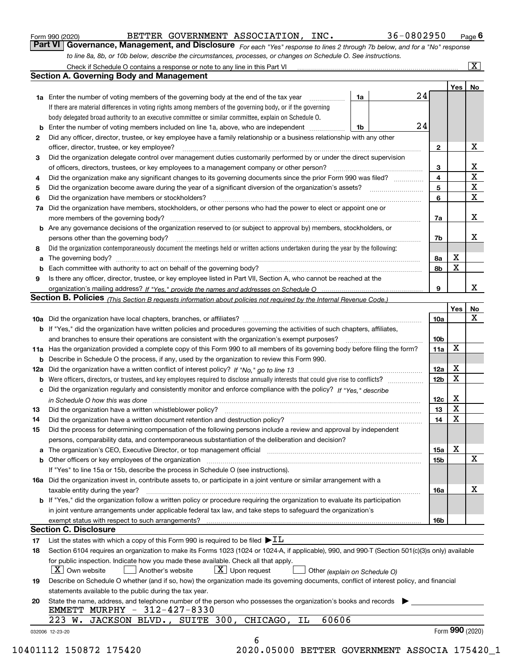|  | Form 990 (2020) |
|--|-----------------|
|  |                 |

BETTER GOVERNMENT ASSOCIATION, INC. 36-0802950

*For each "Yes" response to lines 2 through 7b below, and for a "No" response to line 8a, 8b, or 10b below, describe the circumstances, processes, or changes on Schedule O. See instructions.* Form 990 (2020) **COVERNMENT ASSOCIATION, INC.** 36-0802950 Page 6<br>**Part VI Governance, Management, and Disclosure** *For each "Yes" response to lines 2 through 7b below, and for a "No" response* 

|    |                                                                                                                                                                                                                         |    |    |                 | Yes   No        |             |
|----|-------------------------------------------------------------------------------------------------------------------------------------------------------------------------------------------------------------------------|----|----|-----------------|-----------------|-------------|
|    | <b>1a</b> Enter the number of voting members of the governing body at the end of the tax year <i>manumum</i>                                                                                                            | 1a | 24 |                 |                 |             |
|    | If there are material differences in voting rights among members of the governing body, or if the governing                                                                                                             |    |    |                 |                 |             |
|    | body delegated broad authority to an executive committee or similar committee, explain on Schedule O.                                                                                                                   |    |    |                 |                 |             |
|    | <b>b</b> Enter the number of voting members included on line 1a, above, who are independent <i>manumum</i>                                                                                                              | 1b | 24 |                 |                 |             |
| 2  | Did any officer, director, trustee, or key employee have a family relationship or a business relationship with any other                                                                                                |    |    |                 |                 |             |
|    | officer, director, trustee, or key employee?                                                                                                                                                                            |    |    | $\mathbf{2}$    |                 | X           |
| 3  | Did the organization delegate control over management duties customarily performed by or under the direct supervision                                                                                                   |    |    |                 |                 |             |
|    |                                                                                                                                                                                                                         |    |    | 3               |                 | X           |
| 4  | Did the organization make any significant changes to its governing documents since the prior Form 990 was filed?                                                                                                        |    |    | $\overline{4}$  |                 | $\mathbf X$ |
| 5  |                                                                                                                                                                                                                         |    |    | 5               |                 | $\mathbf X$ |
| 6  |                                                                                                                                                                                                                         |    |    | 6               |                 | $\mathbf X$ |
| 7a | Did the organization have members, stockholders, or other persons who had the power to elect or appoint one or                                                                                                          |    |    |                 |                 |             |
|    |                                                                                                                                                                                                                         |    |    | 7a              |                 | x           |
|    | <b>b</b> Are any governance decisions of the organization reserved to (or subject to approval by) members, stockholders, or                                                                                             |    |    |                 |                 |             |
|    | persons other than the governing body?                                                                                                                                                                                  |    |    | 7b              |                 | х           |
| 8  | Did the organization contemporaneously document the meetings held or written actions undertaken during the year by the following:                                                                                       |    |    |                 |                 |             |
| a  |                                                                                                                                                                                                                         |    |    | 8a              | X               |             |
|    |                                                                                                                                                                                                                         |    |    | 8b              | X               |             |
| 9  | Is there any officer, director, trustee, or key employee listed in Part VII, Section A, who cannot be reached at the                                                                                                    |    |    |                 |                 |             |
|    |                                                                                                                                                                                                                         |    |    | 9               |                 | x           |
|    | Section B. Policies (This Section B requests information about policies not required by the Internal Revenue Code.)                                                                                                     |    |    |                 |                 |             |
|    |                                                                                                                                                                                                                         |    |    |                 | Yes             | No          |
|    |                                                                                                                                                                                                                         |    |    | 10a             |                 | X           |
|    | <b>b</b> If "Yes," did the organization have written policies and procedures governing the activities of such chapters, affiliates,                                                                                     |    |    |                 |                 |             |
|    |                                                                                                                                                                                                                         |    |    | 10 <sub>b</sub> |                 |             |
|    | 11a Has the organization provided a complete copy of this Form 990 to all members of its governing body before filing the form?                                                                                         |    |    | 11a             | X               |             |
|    | <b>b</b> Describe in Schedule O the process, if any, used by the organization to review this Form 990.                                                                                                                  |    |    |                 |                 |             |
|    |                                                                                                                                                                                                                         |    |    | 12a             | X               |             |
| b  |                                                                                                                                                                                                                         |    |    | 12 <sub>b</sub> | X               |             |
|    | c Did the organization regularly and consistently monitor and enforce compliance with the policy? If "Yes." describe                                                                                                    |    |    |                 |                 |             |
|    |                                                                                                                                                                                                                         |    |    | 12c             | X               |             |
| 13 | in Schedule O how this was done manufactured and continuum control of the Schedule O how this was done manufactured and continuum control of the Schedule O how this was done                                           |    |    | 13              | X               |             |
| 14 | Did the organization have a written document retention and destruction policy? manufactured and the organization have a written document retention and destruction policy?                                              |    |    | 14              | X               |             |
|    |                                                                                                                                                                                                                         |    |    |                 |                 |             |
| 15 | Did the process for determining compensation of the following persons include a review and approval by independent<br>persons, comparability data, and contemporaneous substantiation of the deliberation and decision? |    |    |                 |                 |             |
|    |                                                                                                                                                                                                                         |    |    |                 | X               |             |
|    |                                                                                                                                                                                                                         |    |    | 15a             |                 | $\mathbf X$ |
|    |                                                                                                                                                                                                                         |    |    | 15 <sub>b</sub> |                 |             |
|    | If "Yes" to line 15a or 15b, describe the process in Schedule O (see instructions).                                                                                                                                     |    |    |                 |                 |             |
|    | 16a Did the organization invest in, contribute assets to, or participate in a joint venture or similar arrangement with a                                                                                               |    |    |                 |                 |             |
|    | taxable entity during the year?                                                                                                                                                                                         |    |    | 16a             |                 | х           |
|    | b If "Yes," did the organization follow a written policy or procedure requiring the organization to evaluate its participation                                                                                          |    |    |                 |                 |             |
|    | in joint venture arrangements under applicable federal tax law, and take steps to safeguard the organization's                                                                                                          |    |    |                 |                 |             |
|    | exempt status with respect to such arrangements?                                                                                                                                                                        |    |    | <b>16b</b>      |                 |             |
|    | <b>Section C. Disclosure</b>                                                                                                                                                                                            |    |    |                 |                 |             |
| 17 | List the states with which a copy of this Form 990 is required to be filed $\blacktriangleright$ IL                                                                                                                     |    |    |                 |                 |             |
| 18 | Section 6104 requires an organization to make its Forms 1023 (1024 or 1024-A, if applicable), 990, and 990-T (Section 501(c)(3)s only) available                                                                        |    |    |                 |                 |             |
|    | for public inspection. Indicate how you made these available. Check all that apply.                                                                                                                                     |    |    |                 |                 |             |
|    | $ X $ Own website<br>$\lfloor x \rfloor$ Upon request<br>Another's website<br>Other (explain on Schedule O)                                                                                                             |    |    |                 |                 |             |
| 19 | Describe on Schedule O whether (and if so, how) the organization made its governing documents, conflict of interest policy, and financial                                                                               |    |    |                 |                 |             |
|    | statements available to the public during the tax year.                                                                                                                                                                 |    |    |                 |                 |             |
| 20 | State the name, address, and telephone number of the person who possesses the organization's books and records<br>EMMETT MURPHY - 312-427-8330                                                                          |    |    |                 |                 |             |
|    | 60606<br>223 W. JACKSON BLVD., SUITE 300, CHICAGO,<br>ΙL                                                                                                                                                                |    |    |                 |                 |             |
|    | 032006 12-23-20                                                                                                                                                                                                         |    |    |                 | Form 990 (2020) |             |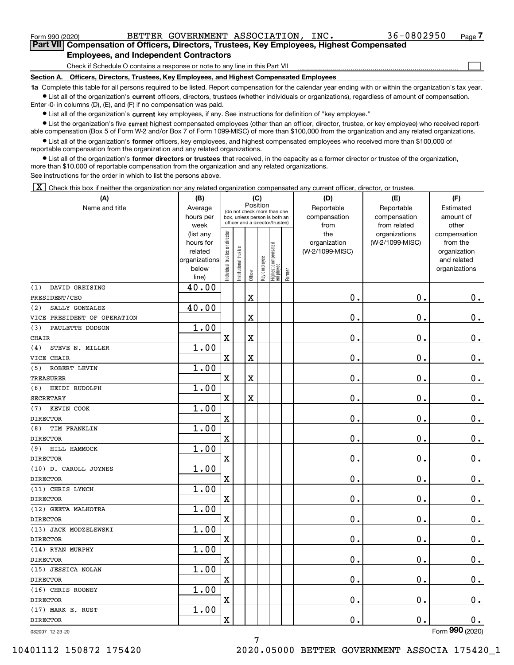Form 990 (2020) BETTER GOVERNMENT ASSOCIATION, INC. 36-0802950 <sub>Page</sub>

 $\mathcal{L}^{\text{max}}$ 

**7Part VII Compensation of Officers, Directors, Trustees, Key Employees, Highest Compensated Employees, and Independent Contractors**

Check if Schedule O contains a response or note to any line in this Part VII

**Section A. Officers, Directors, Trustees, Key Employees, and Highest Compensated Employees**

**1a**  Complete this table for all persons required to be listed. Report compensation for the calendar year ending with or within the organization's tax year. **•** List all of the organization's current officers, directors, trustees (whether individuals or organizations), regardless of amount of compensation.

Enter -0- in columns (D), (E), and (F) if no compensation was paid.

 $\bullet$  List all of the organization's  $\,$ current key employees, if any. See instructions for definition of "key employee."

• List the organization's five current highest compensated employees (other than an officer, director, trustee, or key employee) who received report-■ List the organization's five current highest compensated employees (other than an officer, director, trustee, or key employee) who received report-<br>able compensation (Box 5 of Form W-2 and/or Box 7 of Form 1099-MISC) of

**•** List all of the organization's former officers, key employees, and highest compensated employees who received more than \$100,000 of reportable compensation from the organization and any related organizations.

**former directors or trustees**  ¥ List all of the organization's that received, in the capacity as a former director or trustee of the organization, more than \$10,000 of reportable compensation from the organization and any related organizations.

See instructions for the order in which to list the persons above.

 $\boxed{\textbf{X}}$  Check this box if neither the organization nor any related organization compensated any current officer, director, or trustee.

| Name and title<br>Reportable<br>Reportable<br>Estimated<br>Average<br>(do not check more than one<br>amount of<br>hours per<br>compensation<br>compensation<br>box, unless person is both an<br>officer and a director/trustee)<br>from related<br>other<br>week<br>from<br>Individual trustee or director<br>the<br>(list any<br>organizations<br>compensation<br>hours for<br>organization<br>(W-2/1099-MISC)<br>from the<br>  Highest compensated<br>  employee<br>Institutional trustee<br>(W-2/1099-MISC)<br>related<br>organization<br>Key employee<br>organizations<br>and related<br>below<br>organizations<br>Former<br>Officer<br>line)<br>DAVID GREISING<br>40.00<br>$\mathbf 0$ .<br>$\mathbf 0$ .<br>$0_{.}$<br>X<br>40.00<br>SALLY GONZALEZ<br>X<br>$\mathbf 0$ .<br>$\mathbf 0$ .<br>$\mathbf 0$ .<br>1.00<br>PAULETTE DODSON<br>$\mathbf x$<br>$\overline{\textbf{X}}$<br>$\mathbf 0$ .<br>$\mathbf 0$ .<br>$\mathbf 0$ .<br>1.00<br>STEVE N. MILLER<br>$0$ .<br>0.<br>$\mathbf X$<br>X<br>$\mathbf 0$ .<br>1.00<br>ROBERT LEVIN<br>$\mathbf X$<br>X<br>$\mathbf 0$ .<br>$\mathbf 0$ .<br>$\mathbf 0$ .<br>1.00<br>$\mathbf 0$ .<br>$\mathbf 0$ .<br>$0_{.}$<br>$\mathbf X$<br>X<br>1.00<br>KEVIN COOK<br>$\mathbf 0$ .<br>$\mathbf 0$ .<br>$\mathbf 0$ .<br>X<br>1.00<br>TIM FRANKLIN<br>$\mathbf 0$ .<br>0.<br>$0_{.}$<br>$\mathbf X$<br>1.00<br>HILL HAMMOCK<br>$\mathbf X$<br>$0$ .<br>$\mathbf 0$ .<br>$0_{.}$<br>1.00<br>$\mathbf 0$ .<br>$\mathbf 0$ .<br>$0$ .<br>$\mathbf X$<br>1.00<br>$\mathbf X$<br>$\mathbf 0$ .<br>$\mathbf 0$ .<br>0.<br>1.00<br>$\mathbf x$<br>$\mathbf 0$ .<br>$\mathbf 0$ .<br>$\mathbf 0$ .<br>1.00<br>$\mathbf X$<br>$\mathbf 0$ .<br>$\mathbf 0$ .<br>$\mathbf 0$ .<br>1.00<br>$\mathbf x$<br>$\mathbf 0$ .<br>$\mathbf 0$ .<br>0.<br>1.00<br>0.<br>$\mathbf X$<br>$\mathbf 0$ .<br>$\mathbf 0$ .<br>1.00<br>0.<br>$\mathbf 0$ .<br>$\mathbf x$<br>0.<br>1.00<br>$0$ .<br>0.<br>$\mathbf X$<br>0. | (A)                         | (C)<br>(B) |          |  |  |  |  | (D) | (E) | (F) |
|--------------------------------------------------------------------------------------------------------------------------------------------------------------------------------------------------------------------------------------------------------------------------------------------------------------------------------------------------------------------------------------------------------------------------------------------------------------------------------------------------------------------------------------------------------------------------------------------------------------------------------------------------------------------------------------------------------------------------------------------------------------------------------------------------------------------------------------------------------------------------------------------------------------------------------------------------------------------------------------------------------------------------------------------------------------------------------------------------------------------------------------------------------------------------------------------------------------------------------------------------------------------------------------------------------------------------------------------------------------------------------------------------------------------------------------------------------------------------------------------------------------------------------------------------------------------------------------------------------------------------------------------------------------------------------------------------------------------------------------------------------------------------------------------------------------------------------------------------------------------------------------------------------------------------------------------------------|-----------------------------|------------|----------|--|--|--|--|-----|-----|-----|
|                                                                                                                                                                                                                                                                                                                                                                                                                                                                                                                                                                                                                                                                                                                                                                                                                                                                                                                                                                                                                                                                                                                                                                                                                                                                                                                                                                                                                                                                                                                                                                                                                                                                                                                                                                                                                                                                                                                                                        |                             |            | Position |  |  |  |  |     |     |     |
|                                                                                                                                                                                                                                                                                                                                                                                                                                                                                                                                                                                                                                                                                                                                                                                                                                                                                                                                                                                                                                                                                                                                                                                                                                                                                                                                                                                                                                                                                                                                                                                                                                                                                                                                                                                                                                                                                                                                                        |                             |            |          |  |  |  |  |     |     |     |
|                                                                                                                                                                                                                                                                                                                                                                                                                                                                                                                                                                                                                                                                                                                                                                                                                                                                                                                                                                                                                                                                                                                                                                                                                                                                                                                                                                                                                                                                                                                                                                                                                                                                                                                                                                                                                                                                                                                                                        |                             |            |          |  |  |  |  |     |     |     |
|                                                                                                                                                                                                                                                                                                                                                                                                                                                                                                                                                                                                                                                                                                                                                                                                                                                                                                                                                                                                                                                                                                                                                                                                                                                                                                                                                                                                                                                                                                                                                                                                                                                                                                                                                                                                                                                                                                                                                        |                             |            |          |  |  |  |  |     |     |     |
|                                                                                                                                                                                                                                                                                                                                                                                                                                                                                                                                                                                                                                                                                                                                                                                                                                                                                                                                                                                                                                                                                                                                                                                                                                                                                                                                                                                                                                                                                                                                                                                                                                                                                                                                                                                                                                                                                                                                                        |                             |            |          |  |  |  |  |     |     |     |
|                                                                                                                                                                                                                                                                                                                                                                                                                                                                                                                                                                                                                                                                                                                                                                                                                                                                                                                                                                                                                                                                                                                                                                                                                                                                                                                                                                                                                                                                                                                                                                                                                                                                                                                                                                                                                                                                                                                                                        |                             |            |          |  |  |  |  |     |     |     |
|                                                                                                                                                                                                                                                                                                                                                                                                                                                                                                                                                                                                                                                                                                                                                                                                                                                                                                                                                                                                                                                                                                                                                                                                                                                                                                                                                                                                                                                                                                                                                                                                                                                                                                                                                                                                                                                                                                                                                        |                             |            |          |  |  |  |  |     |     |     |
|                                                                                                                                                                                                                                                                                                                                                                                                                                                                                                                                                                                                                                                                                                                                                                                                                                                                                                                                                                                                                                                                                                                                                                                                                                                                                                                                                                                                                                                                                                                                                                                                                                                                                                                                                                                                                                                                                                                                                        |                             |            |          |  |  |  |  |     |     |     |
|                                                                                                                                                                                                                                                                                                                                                                                                                                                                                                                                                                                                                                                                                                                                                                                                                                                                                                                                                                                                                                                                                                                                                                                                                                                                                                                                                                                                                                                                                                                                                                                                                                                                                                                                                                                                                                                                                                                                                        | (1)                         |            |          |  |  |  |  |     |     |     |
|                                                                                                                                                                                                                                                                                                                                                                                                                                                                                                                                                                                                                                                                                                                                                                                                                                                                                                                                                                                                                                                                                                                                                                                                                                                                                                                                                                                                                                                                                                                                                                                                                                                                                                                                                                                                                                                                                                                                                        | PRESIDENT/CEO               |            |          |  |  |  |  |     |     |     |
|                                                                                                                                                                                                                                                                                                                                                                                                                                                                                                                                                                                                                                                                                                                                                                                                                                                                                                                                                                                                                                                                                                                                                                                                                                                                                                                                                                                                                                                                                                                                                                                                                                                                                                                                                                                                                                                                                                                                                        | (2)                         |            |          |  |  |  |  |     |     |     |
|                                                                                                                                                                                                                                                                                                                                                                                                                                                                                                                                                                                                                                                                                                                                                                                                                                                                                                                                                                                                                                                                                                                                                                                                                                                                                                                                                                                                                                                                                                                                                                                                                                                                                                                                                                                                                                                                                                                                                        | VICE PRESIDENT OF OPERATION |            |          |  |  |  |  |     |     |     |
|                                                                                                                                                                                                                                                                                                                                                                                                                                                                                                                                                                                                                                                                                                                                                                                                                                                                                                                                                                                                                                                                                                                                                                                                                                                                                                                                                                                                                                                                                                                                                                                                                                                                                                                                                                                                                                                                                                                                                        | (3)                         |            |          |  |  |  |  |     |     |     |
|                                                                                                                                                                                                                                                                                                                                                                                                                                                                                                                                                                                                                                                                                                                                                                                                                                                                                                                                                                                                                                                                                                                                                                                                                                                                                                                                                                                                                                                                                                                                                                                                                                                                                                                                                                                                                                                                                                                                                        | <b>CHAIR</b>                |            |          |  |  |  |  |     |     |     |
|                                                                                                                                                                                                                                                                                                                                                                                                                                                                                                                                                                                                                                                                                                                                                                                                                                                                                                                                                                                                                                                                                                                                                                                                                                                                                                                                                                                                                                                                                                                                                                                                                                                                                                                                                                                                                                                                                                                                                        | (4)                         |            |          |  |  |  |  |     |     |     |
|                                                                                                                                                                                                                                                                                                                                                                                                                                                                                                                                                                                                                                                                                                                                                                                                                                                                                                                                                                                                                                                                                                                                                                                                                                                                                                                                                                                                                                                                                                                                                                                                                                                                                                                                                                                                                                                                                                                                                        | VICE CHAIR                  |            |          |  |  |  |  |     |     |     |
|                                                                                                                                                                                                                                                                                                                                                                                                                                                                                                                                                                                                                                                                                                                                                                                                                                                                                                                                                                                                                                                                                                                                                                                                                                                                                                                                                                                                                                                                                                                                                                                                                                                                                                                                                                                                                                                                                                                                                        | (5)                         |            |          |  |  |  |  |     |     |     |
|                                                                                                                                                                                                                                                                                                                                                                                                                                                                                                                                                                                                                                                                                                                                                                                                                                                                                                                                                                                                                                                                                                                                                                                                                                                                                                                                                                                                                                                                                                                                                                                                                                                                                                                                                                                                                                                                                                                                                        | <b>TREASURER</b>            |            |          |  |  |  |  |     |     |     |
|                                                                                                                                                                                                                                                                                                                                                                                                                                                                                                                                                                                                                                                                                                                                                                                                                                                                                                                                                                                                                                                                                                                                                                                                                                                                                                                                                                                                                                                                                                                                                                                                                                                                                                                                                                                                                                                                                                                                                        | (6) HEIDI RUDOLPH           |            |          |  |  |  |  |     |     |     |
|                                                                                                                                                                                                                                                                                                                                                                                                                                                                                                                                                                                                                                                                                                                                                                                                                                                                                                                                                                                                                                                                                                                                                                                                                                                                                                                                                                                                                                                                                                                                                                                                                                                                                                                                                                                                                                                                                                                                                        | <b>SECRETARY</b>            |            |          |  |  |  |  |     |     |     |
|                                                                                                                                                                                                                                                                                                                                                                                                                                                                                                                                                                                                                                                                                                                                                                                                                                                                                                                                                                                                                                                                                                                                                                                                                                                                                                                                                                                                                                                                                                                                                                                                                                                                                                                                                                                                                                                                                                                                                        | (7)                         |            |          |  |  |  |  |     |     |     |
|                                                                                                                                                                                                                                                                                                                                                                                                                                                                                                                                                                                                                                                                                                                                                                                                                                                                                                                                                                                                                                                                                                                                                                                                                                                                                                                                                                                                                                                                                                                                                                                                                                                                                                                                                                                                                                                                                                                                                        | <b>DIRECTOR</b>             |            |          |  |  |  |  |     |     |     |
|                                                                                                                                                                                                                                                                                                                                                                                                                                                                                                                                                                                                                                                                                                                                                                                                                                                                                                                                                                                                                                                                                                                                                                                                                                                                                                                                                                                                                                                                                                                                                                                                                                                                                                                                                                                                                                                                                                                                                        | (8)                         |            |          |  |  |  |  |     |     |     |
|                                                                                                                                                                                                                                                                                                                                                                                                                                                                                                                                                                                                                                                                                                                                                                                                                                                                                                                                                                                                                                                                                                                                                                                                                                                                                                                                                                                                                                                                                                                                                                                                                                                                                                                                                                                                                                                                                                                                                        | <b>DIRECTOR</b>             |            |          |  |  |  |  |     |     |     |
|                                                                                                                                                                                                                                                                                                                                                                                                                                                                                                                                                                                                                                                                                                                                                                                                                                                                                                                                                                                                                                                                                                                                                                                                                                                                                                                                                                                                                                                                                                                                                                                                                                                                                                                                                                                                                                                                                                                                                        | (9)                         |            |          |  |  |  |  |     |     |     |
|                                                                                                                                                                                                                                                                                                                                                                                                                                                                                                                                                                                                                                                                                                                                                                                                                                                                                                                                                                                                                                                                                                                                                                                                                                                                                                                                                                                                                                                                                                                                                                                                                                                                                                                                                                                                                                                                                                                                                        | <b>DIRECTOR</b>             |            |          |  |  |  |  |     |     |     |
|                                                                                                                                                                                                                                                                                                                                                                                                                                                                                                                                                                                                                                                                                                                                                                                                                                                                                                                                                                                                                                                                                                                                                                                                                                                                                                                                                                                                                                                                                                                                                                                                                                                                                                                                                                                                                                                                                                                                                        | (10) D. CAROLL JOYNES       |            |          |  |  |  |  |     |     |     |
|                                                                                                                                                                                                                                                                                                                                                                                                                                                                                                                                                                                                                                                                                                                                                                                                                                                                                                                                                                                                                                                                                                                                                                                                                                                                                                                                                                                                                                                                                                                                                                                                                                                                                                                                                                                                                                                                                                                                                        | <b>DIRECTOR</b>             |            |          |  |  |  |  |     |     |     |
|                                                                                                                                                                                                                                                                                                                                                                                                                                                                                                                                                                                                                                                                                                                                                                                                                                                                                                                                                                                                                                                                                                                                                                                                                                                                                                                                                                                                                                                                                                                                                                                                                                                                                                                                                                                                                                                                                                                                                        | (11) CHRIS LYNCH            |            |          |  |  |  |  |     |     |     |
|                                                                                                                                                                                                                                                                                                                                                                                                                                                                                                                                                                                                                                                                                                                                                                                                                                                                                                                                                                                                                                                                                                                                                                                                                                                                                                                                                                                                                                                                                                                                                                                                                                                                                                                                                                                                                                                                                                                                                        | <b>DIRECTOR</b>             |            |          |  |  |  |  |     |     |     |
|                                                                                                                                                                                                                                                                                                                                                                                                                                                                                                                                                                                                                                                                                                                                                                                                                                                                                                                                                                                                                                                                                                                                                                                                                                                                                                                                                                                                                                                                                                                                                                                                                                                                                                                                                                                                                                                                                                                                                        | (12) GEETA MALHOTRA         |            |          |  |  |  |  |     |     |     |
|                                                                                                                                                                                                                                                                                                                                                                                                                                                                                                                                                                                                                                                                                                                                                                                                                                                                                                                                                                                                                                                                                                                                                                                                                                                                                                                                                                                                                                                                                                                                                                                                                                                                                                                                                                                                                                                                                                                                                        | <b>DIRECTOR</b>             |            |          |  |  |  |  |     |     |     |
|                                                                                                                                                                                                                                                                                                                                                                                                                                                                                                                                                                                                                                                                                                                                                                                                                                                                                                                                                                                                                                                                                                                                                                                                                                                                                                                                                                                                                                                                                                                                                                                                                                                                                                                                                                                                                                                                                                                                                        | (13) JACK MODZELEWSKI       |            |          |  |  |  |  |     |     |     |
|                                                                                                                                                                                                                                                                                                                                                                                                                                                                                                                                                                                                                                                                                                                                                                                                                                                                                                                                                                                                                                                                                                                                                                                                                                                                                                                                                                                                                                                                                                                                                                                                                                                                                                                                                                                                                                                                                                                                                        | <b>DIRECTOR</b>             |            |          |  |  |  |  |     |     |     |
|                                                                                                                                                                                                                                                                                                                                                                                                                                                                                                                                                                                                                                                                                                                                                                                                                                                                                                                                                                                                                                                                                                                                                                                                                                                                                                                                                                                                                                                                                                                                                                                                                                                                                                                                                                                                                                                                                                                                                        | (14) RYAN MURPHY            |            |          |  |  |  |  |     |     |     |
|                                                                                                                                                                                                                                                                                                                                                                                                                                                                                                                                                                                                                                                                                                                                                                                                                                                                                                                                                                                                                                                                                                                                                                                                                                                                                                                                                                                                                                                                                                                                                                                                                                                                                                                                                                                                                                                                                                                                                        | <b>DIRECTOR</b>             |            |          |  |  |  |  |     |     |     |
|                                                                                                                                                                                                                                                                                                                                                                                                                                                                                                                                                                                                                                                                                                                                                                                                                                                                                                                                                                                                                                                                                                                                                                                                                                                                                                                                                                                                                                                                                                                                                                                                                                                                                                                                                                                                                                                                                                                                                        | (15) JESSICA NOLAN          |            |          |  |  |  |  |     |     |     |
|                                                                                                                                                                                                                                                                                                                                                                                                                                                                                                                                                                                                                                                                                                                                                                                                                                                                                                                                                                                                                                                                                                                                                                                                                                                                                                                                                                                                                                                                                                                                                                                                                                                                                                                                                                                                                                                                                                                                                        | <b>DIRECTOR</b>             |            |          |  |  |  |  |     |     |     |
|                                                                                                                                                                                                                                                                                                                                                                                                                                                                                                                                                                                                                                                                                                                                                                                                                                                                                                                                                                                                                                                                                                                                                                                                                                                                                                                                                                                                                                                                                                                                                                                                                                                                                                                                                                                                                                                                                                                                                        | (16) CHRIS ROONEY           |            |          |  |  |  |  |     |     |     |
|                                                                                                                                                                                                                                                                                                                                                                                                                                                                                                                                                                                                                                                                                                                                                                                                                                                                                                                                                                                                                                                                                                                                                                                                                                                                                                                                                                                                                                                                                                                                                                                                                                                                                                                                                                                                                                                                                                                                                        | <b>DIRECTOR</b>             |            |          |  |  |  |  |     |     |     |
|                                                                                                                                                                                                                                                                                                                                                                                                                                                                                                                                                                                                                                                                                                                                                                                                                                                                                                                                                                                                                                                                                                                                                                                                                                                                                                                                                                                                                                                                                                                                                                                                                                                                                                                                                                                                                                                                                                                                                        | (17) MARK E. RUST           |            |          |  |  |  |  |     |     |     |
| $\overline{2}$                                                                                                                                                                                                                                                                                                                                                                                                                                                                                                                                                                                                                                                                                                                                                                                                                                                                                                                                                                                                                                                                                                                                                                                                                                                                                                                                                                                                                                                                                                                                                                                                                                                                                                                                                                                                                                                                                                                                         | <b>DIRECTOR</b>             |            |          |  |  |  |  |     |     |     |

032007 12-23-20

Form (2020) **990**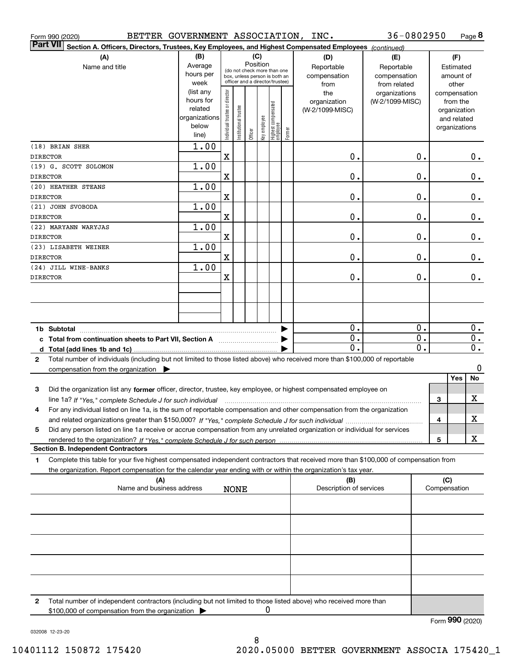| BETTER GOVERNMENT ASSOCIATION, INC.<br>Form 990 (2020)                                                                                               |                        |                                |                       |         |          |                                                 |        |                         | 36-0802950      |                  |              | Page 8                      |
|------------------------------------------------------------------------------------------------------------------------------------------------------|------------------------|--------------------------------|-----------------------|---------|----------|-------------------------------------------------|--------|-------------------------|-----------------|------------------|--------------|-----------------------------|
| <b>Part VII</b><br>Section A. Officers, Directors, Trustees, Key Employees, and Highest Compensated Employees (continued)                            |                        |                                |                       |         |          |                                                 |        |                         |                 |                  |              |                             |
| (A)                                                                                                                                                  | (B)                    |                                |                       |         | (C)      |                                                 |        | (D)                     | (E)             |                  |              | (F)                         |
| Name and title                                                                                                                                       | Average                |                                |                       |         | Position | (do not check more than one                     |        | Reportable              | Reportable      |                  |              | Estimated                   |
|                                                                                                                                                      | hours per              |                                |                       |         |          | box, unless person is both an                   |        | compensation            | compensation    |                  |              | amount of                   |
|                                                                                                                                                      | week                   |                                |                       |         |          | officer and a director/trustee)                 |        | from                    | from related    |                  |              | other                       |
|                                                                                                                                                      | (list any<br>hours for |                                |                       |         |          |                                                 |        | the                     | organizations   |                  |              | compensation                |
|                                                                                                                                                      | related                |                                |                       |         |          |                                                 |        | organization            | (W-2/1099-MISC) |                  |              | from the                    |
|                                                                                                                                                      | organizations          |                                |                       |         |          |                                                 |        | (W-2/1099-MISC)         |                 |                  |              | organization<br>and related |
|                                                                                                                                                      | below                  |                                |                       |         |          |                                                 |        |                         |                 |                  |              | organizations               |
|                                                                                                                                                      | line)                  | Individual trustee or director | Institutional trustee | Officer |          | key employee<br>Highest compensated<br>employee | Former |                         |                 |                  |              |                             |
| (18) BRIAN SHER                                                                                                                                      | 1.00                   |                                |                       |         |          |                                                 |        |                         |                 |                  |              |                             |
| <b>DIRECTOR</b>                                                                                                                                      |                        | $\mathbf X$                    |                       |         |          |                                                 |        | 0.                      |                 | 0.               |              | О.                          |
| (19) G. SCOTT SOLOMON                                                                                                                                | 1.00                   |                                |                       |         |          |                                                 |        |                         |                 |                  |              |                             |
| <b>DIRECTOR</b>                                                                                                                                      |                        | X                              |                       |         |          |                                                 |        | 0.                      |                 | 0.               |              | $0$ .                       |
| (20) HEATHER STEANS                                                                                                                                  | 1.00                   |                                |                       |         |          |                                                 |        |                         |                 |                  |              |                             |
| <b>DIRECTOR</b>                                                                                                                                      |                        | X                              |                       |         |          |                                                 |        | 0.                      |                 | $\mathbf 0$ .    |              | $0$ .                       |
| (21) JOHN SVOBODA                                                                                                                                    | 1.00                   |                                |                       |         |          |                                                 |        |                         |                 |                  |              |                             |
| <b>DIRECTOR</b>                                                                                                                                      |                        | X                              |                       |         |          |                                                 |        | 0.                      |                 | $\mathbf 0$ .    |              | $0$ .                       |
| (22) MARYANN WARYJAS                                                                                                                                 | 1.00                   |                                |                       |         |          |                                                 |        |                         |                 |                  |              |                             |
| <b>DIRECTOR</b>                                                                                                                                      |                        | X                              |                       |         |          |                                                 |        | 0.                      |                 | 0.               |              | $0$ .                       |
| (23) LISABETH WEINER                                                                                                                                 | 1.00                   |                                |                       |         |          |                                                 |        |                         |                 |                  |              |                             |
| <b>DIRECTOR</b>                                                                                                                                      |                        | X                              |                       |         |          |                                                 |        | 0.                      |                 | 0.               |              | $0$ .                       |
| (24) JILL WINE-BANKS                                                                                                                                 | 1.00                   |                                |                       |         |          |                                                 |        |                         |                 |                  |              |                             |
| <b>DIRECTOR</b>                                                                                                                                      |                        | X                              |                       |         |          |                                                 |        | 0.                      |                 | 0.               |              | $0$ .                       |
|                                                                                                                                                      |                        |                                |                       |         |          |                                                 |        |                         |                 |                  |              |                             |
|                                                                                                                                                      |                        |                                |                       |         |          |                                                 |        |                         |                 |                  |              |                             |
|                                                                                                                                                      |                        |                                |                       |         |          |                                                 |        |                         |                 |                  |              |                             |
|                                                                                                                                                      |                        |                                |                       |         |          |                                                 |        | 0.                      |                 | 0.               |              | 0.                          |
| c Total from continuation sheets to Part VII, Section A                                                                                              |                        |                                |                       |         |          |                                                 |        | $\mathbf{0}$ .          |                 | $\overline{0}$ . |              | $0$ .                       |
|                                                                                                                                                      |                        |                                |                       |         |          |                                                 |        | 0.                      |                 | $\overline{0}$ . |              | $\overline{0}$ .            |
| Total number of individuals (including but not limited to those listed above) who received more than \$100,000 of reportable<br>2                    |                        |                                |                       |         |          |                                                 |        |                         |                 |                  |              |                             |
| compensation from the organization $\blacktriangleright$                                                                                             |                        |                                |                       |         |          |                                                 |        |                         |                 |                  |              | 0                           |
|                                                                                                                                                      |                        |                                |                       |         |          |                                                 |        |                         |                 |                  |              | Yes<br>No                   |
| Did the organization list any former officer, director, trustee, key employee, or highest compensated employee on<br>3                               |                        |                                |                       |         |          |                                                 |        |                         |                 |                  |              |                             |
| line 1a? If "Yes," complete Schedule J for such individual manufactured contained and the line 1a? If "Yes," complete Schedule J for such individual |                        |                                |                       |         |          |                                                 |        |                         |                 |                  | З            | X                           |
| For any individual listed on line 1a, is the sum of reportable compensation and other compensation from the organization                             |                        |                                |                       |         |          |                                                 |        |                         |                 |                  |              |                             |
|                                                                                                                                                      |                        |                                |                       |         |          |                                                 |        |                         |                 |                  | 4            | х                           |
| Did any person listed on line 1a receive or accrue compensation from any unrelated organization or individual for services<br>5                      |                        |                                |                       |         |          |                                                 |        |                         |                 |                  |              |                             |
|                                                                                                                                                      |                        |                                |                       |         |          |                                                 |        |                         |                 |                  | 5            | х                           |
| <b>Section B. Independent Contractors</b>                                                                                                            |                        |                                |                       |         |          |                                                 |        |                         |                 |                  |              |                             |
| Complete this table for your five highest compensated independent contractors that received more than \$100,000 of compensation from<br>1            |                        |                                |                       |         |          |                                                 |        |                         |                 |                  |              |                             |
| the organization. Report compensation for the calendar year ending with or within the organization's tax year.                                       |                        |                                |                       |         |          |                                                 |        |                         |                 |                  |              |                             |
| (A)                                                                                                                                                  |                        |                                |                       |         |          |                                                 |        | (B)                     |                 |                  | (C)          |                             |
| Name and business address                                                                                                                            |                        |                                | <b>NONE</b>           |         |          |                                                 |        | Description of services |                 |                  | Compensation |                             |
|                                                                                                                                                      |                        |                                |                       |         |          |                                                 |        |                         |                 |                  |              |                             |
|                                                                                                                                                      |                        |                                |                       |         |          |                                                 |        |                         |                 |                  |              |                             |
|                                                                                                                                                      |                        |                                |                       |         |          |                                                 |        |                         |                 |                  |              |                             |
|                                                                                                                                                      |                        |                                |                       |         |          |                                                 |        |                         |                 |                  |              |                             |
|                                                                                                                                                      |                        |                                |                       |         |          |                                                 |        |                         |                 |                  |              |                             |
|                                                                                                                                                      |                        |                                |                       |         |          |                                                 |        |                         |                 |                  |              |                             |
| Total number of independent contractors (including but not limited to those listed above) who received more than<br>2                                |                        |                                |                       |         |          |                                                 |        |                         |                 |                  |              |                             |

\$100,000 of compensation from the organization  $\pmb{0}$ 

Form (2020) **990**

032008 12-23-20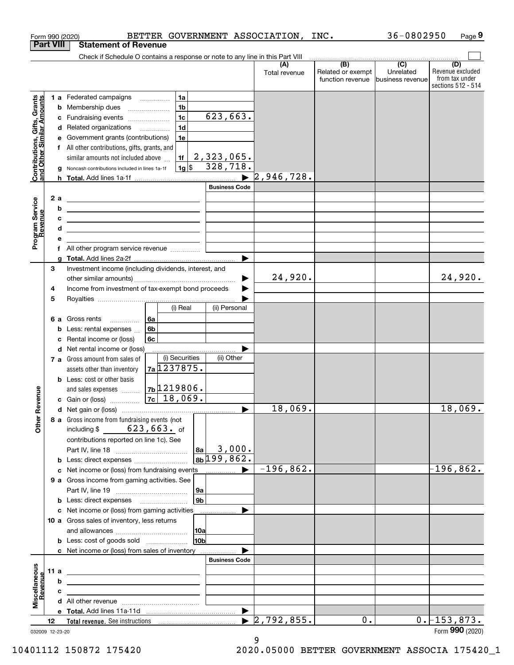|                                                           |                  |    | Form 990 (2020)                                                                                                        |                                                        | BETTER GOVERNMENT ASSOCIATION, |                      | INC.                                                | 36-0802950                    | Page 9                                                          |
|-----------------------------------------------------------|------------------|----|------------------------------------------------------------------------------------------------------------------------|--------------------------------------------------------|--------------------------------|----------------------|-----------------------------------------------------|-------------------------------|-----------------------------------------------------------------|
|                                                           | <b>Part VIII</b> |    | <b>Statement of Revenue</b>                                                                                            |                                                        |                                |                      |                                                     |                               |                                                                 |
|                                                           |                  |    | Check if Schedule O contains a response or note to any line in this Part VIII                                          |                                                        |                                |                      | $\overline{(\mathsf{B})}$ $\overline{(\mathsf{C})}$ |                               |                                                                 |
|                                                           |                  |    |                                                                                                                        |                                                        |                                | (A)<br>Total revenue | Related or exempt<br>function revenue               | Unrelated<br>business revenue | (D)<br>Revenue excluded<br>from tax under<br>sections 512 - 514 |
|                                                           |                  |    | 1 a Federated campaigns                                                                                                | 1a                                                     |                                |                      |                                                     |                               |                                                                 |
| Contributions, Gifts, Grants<br>and Other Similar Amounts |                  | b  | Membership dues                                                                                                        | 1 <sub>b</sub><br>$\ldots \ldots \ldots \ldots \ldots$ |                                |                      |                                                     |                               |                                                                 |
|                                                           |                  | с  | Fundraising events                                                                                                     | 1 <sub>c</sub>                                         | $\overline{623,663}$ .         |                      |                                                     |                               |                                                                 |
|                                                           |                  | d  | Related organizations                                                                                                  | 1 <sub>d</sub>                                         |                                |                      |                                                     |                               |                                                                 |
|                                                           |                  | е  | Government grants (contributions)                                                                                      | 1e                                                     |                                |                      |                                                     |                               |                                                                 |
|                                                           |                  | f  | All other contributions, gifts, grants, and                                                                            |                                                        |                                |                      |                                                     |                               |                                                                 |
|                                                           |                  |    | similar amounts not included above                                                                                     | 1f                                                     | 2,323,065.                     |                      |                                                     |                               |                                                                 |
|                                                           |                  | g  | Noncash contributions included in lines 1a-1f                                                                          | $1g$ s                                                 | 328,718.                       |                      |                                                     |                               |                                                                 |
|                                                           |                  |    |                                                                                                                        |                                                        |                                | 2,946,728.           |                                                     |                               |                                                                 |
|                                                           |                  |    |                                                                                                                        |                                                        | <b>Business Code</b>           |                      |                                                     |                               |                                                                 |
|                                                           |                  | 2a |                                                                                                                        |                                                        |                                |                      |                                                     |                               |                                                                 |
|                                                           |                  | b  | <u> 1989 - Johann Barn, fransk politik amerikansk politik (</u>                                                        |                                                        |                                |                      |                                                     |                               |                                                                 |
|                                                           |                  |    | <u> 1989 - Johann John Stone, markin fizikar (</u>                                                                     |                                                        |                                |                      |                                                     |                               |                                                                 |
| Program Service<br>Revenue                                |                  | с  | <u> Alexander (Alexander Alexander Alexander Alexander Alexander Alexander Alexander Alexander Alexander Alexander</u> |                                                        |                                |                      |                                                     |                               |                                                                 |
|                                                           |                  | d  | <u> 1989 - Johann Stein, mars an de Brasilia (b. 1989)</u>                                                             |                                                        |                                |                      |                                                     |                               |                                                                 |
|                                                           |                  | е  |                                                                                                                        |                                                        |                                |                      |                                                     |                               |                                                                 |
|                                                           |                  |    | f All other program service revenue                                                                                    |                                                        |                                |                      |                                                     |                               |                                                                 |
|                                                           | 3                | g  | Investment income (including dividends, interest, and                                                                  |                                                        |                                |                      |                                                     |                               |                                                                 |
|                                                           |                  |    |                                                                                                                        |                                                        |                                | 24,920.              |                                                     |                               | 24,920.                                                         |
|                                                           |                  |    |                                                                                                                        |                                                        |                                |                      |                                                     |                               |                                                                 |
|                                                           | 4                |    | Income from investment of tax-exempt bond proceeds                                                                     |                                                        |                                |                      |                                                     |                               |                                                                 |
|                                                           | 5                |    |                                                                                                                        | (i) Real                                               | (ii) Personal                  |                      |                                                     |                               |                                                                 |
|                                                           |                  |    |                                                                                                                        |                                                        |                                |                      |                                                     |                               |                                                                 |
|                                                           |                  |    | 6 a Gross rents                                                                                                        | 6a                                                     |                                |                      |                                                     |                               |                                                                 |
|                                                           |                  | b  | Less: rental expenses                                                                                                  | 6b                                                     |                                |                      |                                                     |                               |                                                                 |
|                                                           |                  | c  | Rental income or (loss)                                                                                                | 6с                                                     |                                |                      |                                                     |                               |                                                                 |
|                                                           |                  | d  | Net rental income or (loss)                                                                                            |                                                        |                                |                      |                                                     |                               |                                                                 |
|                                                           |                  |    | 7 a Gross amount from sales of                                                                                         | (i) Securities                                         | (ii) Other                     |                      |                                                     |                               |                                                                 |
|                                                           |                  |    | assets other than inventory                                                                                            | 7a 1237875.                                            |                                |                      |                                                     |                               |                                                                 |
|                                                           |                  |    | <b>b</b> Less: cost or other basis                                                                                     |                                                        |                                |                      |                                                     |                               |                                                                 |
| evenue                                                    |                  |    | and sales expenses                                                                                                     | $\vert$ 7b $\rm{\upmu}$ 219806.                        |                                |                      |                                                     |                               |                                                                 |
|                                                           |                  |    | c Gain or (loss)                                                                                                       | $ 7c $ 18,069.                                         |                                |                      |                                                     |                               |                                                                 |
|                                                           |                  |    |                                                                                                                        |                                                        |                                | 18,069.              |                                                     |                               | 18,069.                                                         |
| Other <sub>R</sub>                                        |                  |    | 8 a Gross income from fundraising events (not                                                                          |                                                        |                                |                      |                                                     |                               |                                                                 |
|                                                           |                  |    | including $$623, 663$ . of                                                                                             |                                                        |                                |                      |                                                     |                               |                                                                 |
|                                                           |                  |    | contributions reported on line 1c). See                                                                                |                                                        |                                |                      |                                                     |                               |                                                                 |
|                                                           |                  |    |                                                                                                                        |                                                        | 3,000.<br> 8a                  |                      |                                                     |                               |                                                                 |
|                                                           |                  |    |                                                                                                                        |                                                        | $8b$ 199,862.                  |                      |                                                     |                               |                                                                 |
|                                                           |                  |    |                                                                                                                        |                                                        |                                | $-196,862.$          |                                                     |                               | -196,862.                                                       |
|                                                           |                  |    | 9 a Gross income from gaming activities. See                                                                           |                                                        |                                |                      |                                                     |                               |                                                                 |
|                                                           |                  |    |                                                                                                                        |                                                        | 9a                             |                      |                                                     |                               |                                                                 |
|                                                           |                  |    | <b>b</b> Less: direct expenses <b>manually</b>                                                                         |                                                        | 9b                             |                      |                                                     |                               |                                                                 |
|                                                           |                  |    | c Net income or (loss) from gaming activities                                                                          |                                                        |                                |                      |                                                     |                               |                                                                 |
|                                                           |                  |    | 10 a Gross sales of inventory, less returns                                                                            |                                                        |                                |                      |                                                     |                               |                                                                 |
|                                                           |                  |    |                                                                                                                        |                                                        | 10a                            |                      |                                                     |                               |                                                                 |
|                                                           |                  |    | <b>b</b> Less: cost of goods sold                                                                                      |                                                        | 10 <sub>b</sub>                |                      |                                                     |                               |                                                                 |
|                                                           |                  |    | c Net income or (loss) from sales of inventory                                                                         |                                                        |                                |                      |                                                     |                               |                                                                 |
|                                                           |                  |    |                                                                                                                        |                                                        | <b>Business Code</b>           |                      |                                                     |                               |                                                                 |
|                                                           | 11 a             |    | <u> 1980 - Johann John Stone, markin fizikar (h. 1980).</u>                                                            |                                                        |                                |                      |                                                     |                               |                                                                 |
|                                                           |                  | b  | the contract of the contract of the contract of the contract of the contract of                                        |                                                        |                                |                      |                                                     |                               |                                                                 |
|                                                           |                  | c  | the control of the control of the control of the control of the control of                                             |                                                        |                                |                      |                                                     |                               |                                                                 |
| Miscellaneous<br>Revenue                                  |                  |    |                                                                                                                        |                                                        |                                |                      |                                                     |                               |                                                                 |
|                                                           |                  |    |                                                                                                                        |                                                        | $\blacktriangleright$          |                      |                                                     |                               |                                                                 |
|                                                           |                  |    |                                                                                                                        |                                                        | $\blacktriangleright$          | 2,792,855.           | 0.                                                  |                               | $0.$ -153,873.                                                  |
|                                                           | 12               |    |                                                                                                                        |                                                        |                                |                      |                                                     |                               |                                                                 |

<sup>032009 12-23-20</sup>

<sup>9</sup>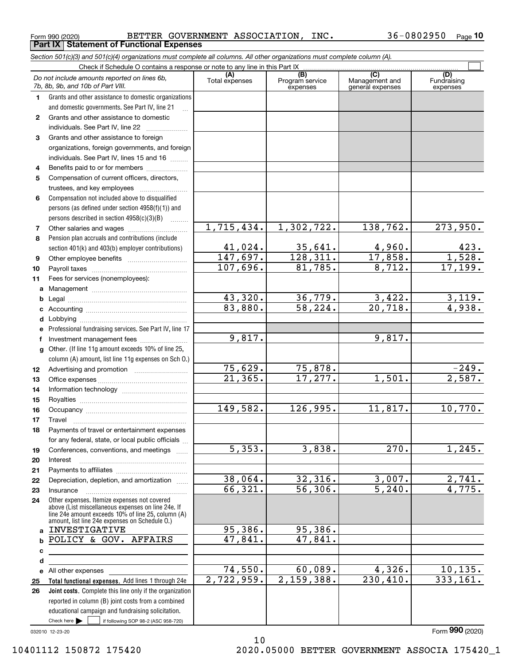Form 990 (2020) Page BETTER GOVERNMENT ASSOCIATION, INC. 36-0802950 **Part IX Statement of Functional Expenses**

|              | Section 501(c)(3) and 501(c)(4) organizations must complete all columns. All other organizations must complete column (A).                                                                                 |                       |                                    |                                           |                                |
|--------------|------------------------------------------------------------------------------------------------------------------------------------------------------------------------------------------------------------|-----------------------|------------------------------------|-------------------------------------------|--------------------------------|
|              | Check if Schedule O contains a response or note to any line in this Part IX                                                                                                                                |                       |                                    |                                           |                                |
|              | Do not include amounts reported on lines 6b,<br>7b, 8b, 9b, and 10b of Part VIII.                                                                                                                          | (A)<br>Total expenses | (B)<br>Program service<br>expenses | (C)<br>Management and<br>general expenses | (D)<br>Fundraising<br>expenses |
| 1.           | Grants and other assistance to domestic organizations                                                                                                                                                      |                       |                                    |                                           |                                |
|              | and domestic governments. See Part IV, line 21                                                                                                                                                             |                       |                                    |                                           |                                |
| $\mathbf{2}$ | Grants and other assistance to domestic                                                                                                                                                                    |                       |                                    |                                           |                                |
|              | individuals. See Part IV, line 22                                                                                                                                                                          |                       |                                    |                                           |                                |
| 3            | Grants and other assistance to foreign                                                                                                                                                                     |                       |                                    |                                           |                                |
|              | organizations, foreign governments, and foreign                                                                                                                                                            |                       |                                    |                                           |                                |
|              | individuals. See Part IV, lines 15 and 16                                                                                                                                                                  |                       |                                    |                                           |                                |
| 4            | Benefits paid to or for members                                                                                                                                                                            |                       |                                    |                                           |                                |
| 5            | Compensation of current officers, directors,                                                                                                                                                               |                       |                                    |                                           |                                |
|              | trustees, and key employees                                                                                                                                                                                |                       |                                    |                                           |                                |
| 6            | Compensation not included above to disqualified                                                                                                                                                            |                       |                                    |                                           |                                |
|              | persons (as defined under section 4958(f)(1)) and                                                                                                                                                          |                       |                                    |                                           |                                |
|              | persons described in section 4958(c)(3)(B)                                                                                                                                                                 |                       |                                    |                                           |                                |
| 7            |                                                                                                                                                                                                            | 1,715,434.            | 1,302,722.                         | 138,762.                                  | 273,950.                       |
| 8            | Pension plan accruals and contributions (include                                                                                                                                                           |                       |                                    |                                           |                                |
|              | section 401(k) and 403(b) employer contributions)                                                                                                                                                          | 41,024.               | 35,641.                            | 4,960.                                    | $\frac{423}{1,528}$ .          |
| 9            |                                                                                                                                                                                                            | 147,697.              | 128,311.                           | 17,858.                                   |                                |
| 10           |                                                                                                                                                                                                            | 107,696.              | 81,785.                            | 8,712.                                    | 17, 199.                       |
| 11           | Fees for services (nonemployees):                                                                                                                                                                          |                       |                                    |                                           |                                |
| а            |                                                                                                                                                                                                            |                       |                                    |                                           |                                |
| b            |                                                                                                                                                                                                            | 43,320.               | 36,779.                            | 3,422.                                    | 3,119.                         |
| с            |                                                                                                                                                                                                            | 83,880.               | $\overline{58, 224}$ .             | 20,718.                                   | 4,938.                         |
| d            |                                                                                                                                                                                                            |                       |                                    |                                           |                                |
| е            | Professional fundraising services. See Part IV, line 17                                                                                                                                                    |                       |                                    |                                           |                                |
| f            | Investment management fees                                                                                                                                                                                 | 9,817.                |                                    | 9,817.                                    |                                |
| g            | Other. (If line 11g amount exceeds 10% of line 25,                                                                                                                                                         |                       |                                    |                                           |                                |
|              | column (A) amount, list line 11g expenses on Sch 0.)                                                                                                                                                       |                       |                                    |                                           |                                |
| 12           |                                                                                                                                                                                                            | 75,629.               | 75,878.                            |                                           | $-249.$                        |
| 13           |                                                                                                                                                                                                            | $\overline{21,365}$ . | 17,277.                            | 1,501.                                    | 2,587.                         |
| 14           |                                                                                                                                                                                                            |                       |                                    |                                           |                                |
| 15           |                                                                                                                                                                                                            |                       |                                    |                                           |                                |
| 16           |                                                                                                                                                                                                            | 149,582.              | 126,995.                           | 11,817.                                   | 10,770.                        |
| 17           |                                                                                                                                                                                                            |                       |                                    |                                           |                                |
|              | Payments of travel or entertainment expenses                                                                                                                                                               |                       |                                    |                                           |                                |
|              | for any federal, state, or local public officials                                                                                                                                                          |                       |                                    |                                           |                                |
| 19           | Conferences, conventions, and meetings                                                                                                                                                                     | $\overline{5,353.}$   | 3,838.                             | 270.                                      | 1,245.                         |
| 20           | Interest                                                                                                                                                                                                   |                       |                                    |                                           |                                |
| 21           |                                                                                                                                                                                                            |                       |                                    |                                           |                                |
| 22           | Depreciation, depletion, and amortization                                                                                                                                                                  | 38,064.               | 32,316.                            | 3,007.                                    | 2,741.                         |
| 23           | Insurance                                                                                                                                                                                                  | 66,321.               | $\overline{56, 306}$ .             | $\overline{5,240}$ .                      | 4,775.                         |
| 24           | Other expenses. Itemize expenses not covered<br>above (List miscellaneous expenses on line 24e. If<br>line 24e amount exceeds 10% of line 25, column (A)<br>amount, list line 24e expenses on Schedule O.) |                       |                                    |                                           |                                |
| a            | INVESTIGATIVE                                                                                                                                                                                              | 95,386.               | 95,386.                            |                                           |                                |
| b            | POLICY & GOV. AFFAIRS                                                                                                                                                                                      | 47,841.               | 47,841.                            |                                           |                                |
| с            |                                                                                                                                                                                                            |                       |                                    |                                           |                                |
| d            |                                                                                                                                                                                                            |                       |                                    |                                           |                                |
|              | e All other expenses                                                                                                                                                                                       | 74,550.               | 60,089.                            | 4,326.                                    | 10, 135.                       |
| 25           | Total functional expenses. Add lines 1 through 24e                                                                                                                                                         | 2,722,959.            | 2,159,388.                         | 230,410.                                  | 333,161.                       |
| 26           | Joint costs. Complete this line only if the organization                                                                                                                                                   |                       |                                    |                                           |                                |
|              | reported in column (B) joint costs from a combined                                                                                                                                                         |                       |                                    |                                           |                                |
|              | educational campaign and fundraising solicitation.                                                                                                                                                         |                       |                                    |                                           |                                |
|              | Check here         if following SOP 98-2 (ASC 958-720)                                                                                                                                                     |                       |                                    |                                           |                                |

10

032010 12-23-20

Form (2020) **990**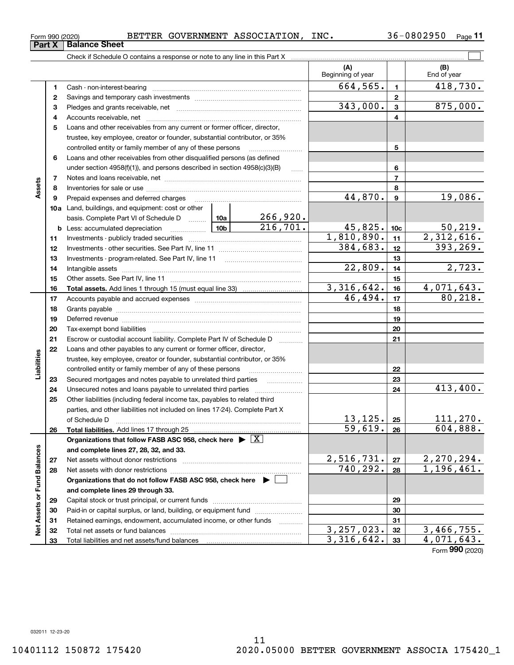#### Form 990 (2020) Page BETTER GOVERNMENT ASSOCIATION, INC. 36-0802950

 $\mathcal{L}^{\text{max}}$ 

|                             |          |                                                                                                                                                                                                                                |                 |                           | (A)<br>Beginning of year |                | (B)<br>End of year           |
|-----------------------------|----------|--------------------------------------------------------------------------------------------------------------------------------------------------------------------------------------------------------------------------------|-----------------|---------------------------|--------------------------|----------------|------------------------------|
|                             | 1        |                                                                                                                                                                                                                                |                 |                           | 664,565.                 | $\blacksquare$ | 418,730.                     |
|                             | 2        |                                                                                                                                                                                                                                |                 |                           |                          | $\mathbf{2}$   |                              |
|                             | з        |                                                                                                                                                                                                                                |                 |                           | 343,000.                 | $\mathbf{3}$   | 875,000.                     |
|                             | 4        |                                                                                                                                                                                                                                |                 |                           | 4                        |                |                              |
|                             | 5        | Loans and other receivables from any current or former officer, director,                                                                                                                                                      |                 |                           |                          |                |                              |
|                             |          | trustee, key employee, creator or founder, substantial contributor, or 35%                                                                                                                                                     |                 |                           |                          |                |                              |
|                             |          | controlled entity or family member of any of these persons                                                                                                                                                                     |                 |                           |                          | 5              |                              |
|                             | 6        | Loans and other receivables from other disqualified persons (as defined                                                                                                                                                        |                 |                           |                          |                |                              |
|                             |          | under section $4958(f)(1)$ , and persons described in section $4958(c)(3)(B)$                                                                                                                                                  | $\ldots$        |                           | 6                        |                |                              |
|                             | 7        |                                                                                                                                                                                                                                |                 |                           |                          | $\overline{7}$ |                              |
| Assets                      | 8        |                                                                                                                                                                                                                                |                 |                           |                          | 8              |                              |
|                             | 9        | Prepaid expenses and deferred charges                                                                                                                                                                                          |                 |                           | 44,870.                  | $\mathbf{9}$   | 19,086.                      |
|                             |          | 10a Land, buildings, and equipment: cost or other                                                                                                                                                                              |                 |                           |                          |                |                              |
|                             |          | basis. Complete Part VI of Schedule D  10a                                                                                                                                                                                     | 10 <sub>b</sub> | $\frac{266,920}{216,701}$ |                          |                |                              |
|                             |          | <b>b</b> Less: accumulated depreciation<br>$\ldots \ldots \ldots \ldots$                                                                                                                                                       |                 | 45,825.                   | 10 <sub>c</sub>          | 50, 219.       |                              |
|                             | 11       |                                                                                                                                                                                                                                |                 |                           | 1,810,890.               | 11             | 2,312,616.                   |
|                             | 12       |                                                                                                                                                                                                                                |                 |                           | 384,683.                 | 12             | 393, 269.                    |
|                             | 13       |                                                                                                                                                                                                                                |                 |                           | 13                       |                |                              |
|                             | 14       |                                                                                                                                                                                                                                |                 | 22,809.                   | 14                       | 2,723.         |                              |
|                             | 15       |                                                                                                                                                                                                                                |                 | 15                        |                          |                |                              |
|                             | 16       |                                                                                                                                                                                                                                |                 |                           | 3, 316, 642.<br>46,494.  | 16             | 4,071,643.<br>80, 218.       |
|                             | 17       |                                                                                                                                                                                                                                |                 |                           |                          | 17             |                              |
|                             | 18       |                                                                                                                                                                                                                                |                 | 18                        |                          |                |                              |
|                             | 19       | Deferred revenue manual contracts and contracts are all the manual contracts and contracts are contracted and contracts are contracted and contract are contracted and contract are contracted and contract are contracted and |                 |                           | 19                       |                |                              |
|                             | 20       |                                                                                                                                                                                                                                |                 |                           | 20                       |                |                              |
|                             | 21<br>22 | Escrow or custodial account liability. Complete Part IV of Schedule D<br>Loans and other payables to any current or former officer, director,                                                                                  |                 | 1.1.1.1.1.1.1.1.1.1       |                          | 21             |                              |
| Liabilities                 |          | trustee, key employee, creator or founder, substantial contributor, or 35%                                                                                                                                                     |                 |                           |                          |                |                              |
|                             |          | controlled entity or family member of any of these persons                                                                                                                                                                     |                 |                           |                          | 22             |                              |
|                             | 23       |                                                                                                                                                                                                                                |                 |                           |                          | 23             |                              |
|                             | 24       | Unsecured notes and loans payable to unrelated third parties                                                                                                                                                                   |                 |                           |                          | 24             | 413,400.                     |
|                             | 25       | Other liabilities (including federal income tax, payables to related third                                                                                                                                                     |                 |                           |                          |                |                              |
|                             |          | parties, and other liabilities not included on lines 17-24). Complete Part X                                                                                                                                                   |                 |                           |                          |                |                              |
|                             |          | of Schedule D                                                                                                                                                                                                                  |                 |                           | 13, 125.                 | 25             | 111,270.                     |
|                             | 26       |                                                                                                                                                                                                                                |                 |                           | 59,619.                  | 26             | 604,888.                     |
|                             |          | Organizations that follow FASB ASC 958, check here $\blacktriangleright \boxed{X}$                                                                                                                                             |                 |                           |                          |                |                              |
|                             |          | and complete lines 27, 28, 32, and 33.                                                                                                                                                                                         |                 |                           |                          |                |                              |
|                             | 27       |                                                                                                                                                                                                                                |                 |                           | 2,516,731.               | 27             | $2,270,294.$<br>$1,196,461.$ |
|                             | 28       |                                                                                                                                                                                                                                |                 |                           | 740, 292.                | 28             |                              |
|                             |          | Organizations that do not follow FASB ASC 958, check here ▶ □                                                                                                                                                                  |                 |                           |                          |                |                              |
|                             |          | and complete lines 29 through 33.                                                                                                                                                                                              |                 |                           |                          |                |                              |
|                             | 29       |                                                                                                                                                                                                                                |                 |                           |                          | 29             |                              |
| Net Assets or Fund Balances | 30       | Paid-in or capital surplus, or land, building, or equipment fund                                                                                                                                                               |                 |                           |                          | 30             |                              |
|                             | 31       | Retained earnings, endowment, accumulated income, or other funds                                                                                                                                                               |                 |                           |                          | 31             |                              |
|                             | 32       |                                                                                                                                                                                                                                |                 |                           | 3, 257, 023.             | 32             | 3,466,755.                   |
|                             | 33       |                                                                                                                                                                                                                                |                 |                           | 3, 316, 642.             | 33             | $\overline{4,071,643.}$      |
|                             |          |                                                                                                                                                                                                                                |                 |                           |                          |                | Form 990 (2020)              |

**Part X Balance Sheet**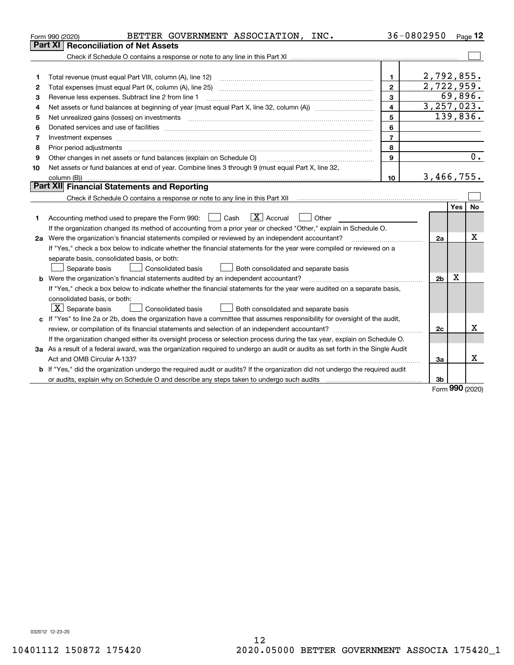| <b>Part XI Reconciliation of Net Assets</b><br>2,792,855.<br>1.<br>1<br>2,722,959.<br>Total expenses (must equal Part IX, column (A), line 25)<br>$\overline{2}$<br>2<br>69,896.<br>Revenue less expenses. Subtract line 2 from line 1<br>3<br>З<br>3, 257, 023.<br>$\overline{\mathbf{4}}$<br>4<br>139,836.<br>5<br>Net unrealized gains (losses) on investments<br>5<br>6<br>6<br>$\overline{7}$<br>7<br>8<br>8<br>0.<br>Other changes in net assets or fund balances (explain on Schedule O)<br>9<br>9<br>Net assets or fund balances at end of year. Combine lines 3 through 9 (must equal Part X, line 32,<br>10<br>3,466,755.<br>10<br>Part XII Financial Statements and Reporting<br><b>No</b><br><b>Yes</b><br>$\overline{X}$ Accrual<br>Accounting method used to prepare the Form 990: <u>[</u> Cash<br>Other<br>1<br>If the organization changed its method of accounting from a prior year or checked "Other," explain in Schedule O.<br>х<br>2a Were the organization's financial statements compiled or reviewed by an independent accountant?<br>2a<br>If "Yes," check a box below to indicate whether the financial statements for the year were compiled or reviewed on a<br>separate basis, consolidated basis, or both:<br>Both consolidated and separate basis<br>Separate basis<br>Consolidated basis<br>Х<br><b>b</b> Were the organization's financial statements audited by an independent accountant?<br>2 <sub>b</sub><br>If "Yes," check a box below to indicate whether the financial statements for the year were audited on a separate basis,<br>consolidated basis, or both:<br>$X$ Separate basis<br><b>Consolidated basis</b><br>Both consolidated and separate basis<br>c If "Yes" to line 2a or 2b, does the organization have a committee that assumes responsibility for oversight of the audit,<br>x<br>2c<br>If the organization changed either its oversight process or selection process during the tax year, explain on Schedule O.<br>3a As a result of a federal award, was the organization required to undergo an audit or audits as set forth in the Single Audit<br>Χ<br>За<br><b>b</b> If "Yes," did the organization undergo the required audit or audits? If the organization did not undergo the required audit | BETTER GOVERNMENT ASSOCIATION, INC.<br>Form 990 (2020) | 36-0802950 | Page $12$ |
|---------------------------------------------------------------------------------------------------------------------------------------------------------------------------------------------------------------------------------------------------------------------------------------------------------------------------------------------------------------------------------------------------------------------------------------------------------------------------------------------------------------------------------------------------------------------------------------------------------------------------------------------------------------------------------------------------------------------------------------------------------------------------------------------------------------------------------------------------------------------------------------------------------------------------------------------------------------------------------------------------------------------------------------------------------------------------------------------------------------------------------------------------------------------------------------------------------------------------------------------------------------------------------------------------------------------------------------------------------------------------------------------------------------------------------------------------------------------------------------------------------------------------------------------------------------------------------------------------------------------------------------------------------------------------------------------------------------------------------------------------------------------------------------------------------------------------------------------------------------------------------------------------------------------------------------------------------------------------------------------------------------------------------------------------------------------------------------------------------------------------------------------------------------------------------------------------------------------------------------------------------------------|--------------------------------------------------------|------------|-----------|
|                                                                                                                                                                                                                                                                                                                                                                                                                                                                                                                                                                                                                                                                                                                                                                                                                                                                                                                                                                                                                                                                                                                                                                                                                                                                                                                                                                                                                                                                                                                                                                                                                                                                                                                                                                                                                                                                                                                                                                                                                                                                                                                                                                                                                                                                     |                                                        |            |           |
|                                                                                                                                                                                                                                                                                                                                                                                                                                                                                                                                                                                                                                                                                                                                                                                                                                                                                                                                                                                                                                                                                                                                                                                                                                                                                                                                                                                                                                                                                                                                                                                                                                                                                                                                                                                                                                                                                                                                                                                                                                                                                                                                                                                                                                                                     |                                                        |            |           |
|                                                                                                                                                                                                                                                                                                                                                                                                                                                                                                                                                                                                                                                                                                                                                                                                                                                                                                                                                                                                                                                                                                                                                                                                                                                                                                                                                                                                                                                                                                                                                                                                                                                                                                                                                                                                                                                                                                                                                                                                                                                                                                                                                                                                                                                                     |                                                        |            |           |
|                                                                                                                                                                                                                                                                                                                                                                                                                                                                                                                                                                                                                                                                                                                                                                                                                                                                                                                                                                                                                                                                                                                                                                                                                                                                                                                                                                                                                                                                                                                                                                                                                                                                                                                                                                                                                                                                                                                                                                                                                                                                                                                                                                                                                                                                     |                                                        |            |           |
|                                                                                                                                                                                                                                                                                                                                                                                                                                                                                                                                                                                                                                                                                                                                                                                                                                                                                                                                                                                                                                                                                                                                                                                                                                                                                                                                                                                                                                                                                                                                                                                                                                                                                                                                                                                                                                                                                                                                                                                                                                                                                                                                                                                                                                                                     |                                                        |            |           |
|                                                                                                                                                                                                                                                                                                                                                                                                                                                                                                                                                                                                                                                                                                                                                                                                                                                                                                                                                                                                                                                                                                                                                                                                                                                                                                                                                                                                                                                                                                                                                                                                                                                                                                                                                                                                                                                                                                                                                                                                                                                                                                                                                                                                                                                                     |                                                        |            |           |
|                                                                                                                                                                                                                                                                                                                                                                                                                                                                                                                                                                                                                                                                                                                                                                                                                                                                                                                                                                                                                                                                                                                                                                                                                                                                                                                                                                                                                                                                                                                                                                                                                                                                                                                                                                                                                                                                                                                                                                                                                                                                                                                                                                                                                                                                     |                                                        |            |           |
|                                                                                                                                                                                                                                                                                                                                                                                                                                                                                                                                                                                                                                                                                                                                                                                                                                                                                                                                                                                                                                                                                                                                                                                                                                                                                                                                                                                                                                                                                                                                                                                                                                                                                                                                                                                                                                                                                                                                                                                                                                                                                                                                                                                                                                                                     |                                                        |            |           |
|                                                                                                                                                                                                                                                                                                                                                                                                                                                                                                                                                                                                                                                                                                                                                                                                                                                                                                                                                                                                                                                                                                                                                                                                                                                                                                                                                                                                                                                                                                                                                                                                                                                                                                                                                                                                                                                                                                                                                                                                                                                                                                                                                                                                                                                                     |                                                        |            |           |
|                                                                                                                                                                                                                                                                                                                                                                                                                                                                                                                                                                                                                                                                                                                                                                                                                                                                                                                                                                                                                                                                                                                                                                                                                                                                                                                                                                                                                                                                                                                                                                                                                                                                                                                                                                                                                                                                                                                                                                                                                                                                                                                                                                                                                                                                     |                                                        |            |           |
|                                                                                                                                                                                                                                                                                                                                                                                                                                                                                                                                                                                                                                                                                                                                                                                                                                                                                                                                                                                                                                                                                                                                                                                                                                                                                                                                                                                                                                                                                                                                                                                                                                                                                                                                                                                                                                                                                                                                                                                                                                                                                                                                                                                                                                                                     |                                                        |            |           |
|                                                                                                                                                                                                                                                                                                                                                                                                                                                                                                                                                                                                                                                                                                                                                                                                                                                                                                                                                                                                                                                                                                                                                                                                                                                                                                                                                                                                                                                                                                                                                                                                                                                                                                                                                                                                                                                                                                                                                                                                                                                                                                                                                                                                                                                                     |                                                        |            |           |
|                                                                                                                                                                                                                                                                                                                                                                                                                                                                                                                                                                                                                                                                                                                                                                                                                                                                                                                                                                                                                                                                                                                                                                                                                                                                                                                                                                                                                                                                                                                                                                                                                                                                                                                                                                                                                                                                                                                                                                                                                                                                                                                                                                                                                                                                     |                                                        |            |           |
|                                                                                                                                                                                                                                                                                                                                                                                                                                                                                                                                                                                                                                                                                                                                                                                                                                                                                                                                                                                                                                                                                                                                                                                                                                                                                                                                                                                                                                                                                                                                                                                                                                                                                                                                                                                                                                                                                                                                                                                                                                                                                                                                                                                                                                                                     |                                                        |            |           |
|                                                                                                                                                                                                                                                                                                                                                                                                                                                                                                                                                                                                                                                                                                                                                                                                                                                                                                                                                                                                                                                                                                                                                                                                                                                                                                                                                                                                                                                                                                                                                                                                                                                                                                                                                                                                                                                                                                                                                                                                                                                                                                                                                                                                                                                                     |                                                        |            |           |
|                                                                                                                                                                                                                                                                                                                                                                                                                                                                                                                                                                                                                                                                                                                                                                                                                                                                                                                                                                                                                                                                                                                                                                                                                                                                                                                                                                                                                                                                                                                                                                                                                                                                                                                                                                                                                                                                                                                                                                                                                                                                                                                                                                                                                                                                     |                                                        |            |           |
|                                                                                                                                                                                                                                                                                                                                                                                                                                                                                                                                                                                                                                                                                                                                                                                                                                                                                                                                                                                                                                                                                                                                                                                                                                                                                                                                                                                                                                                                                                                                                                                                                                                                                                                                                                                                                                                                                                                                                                                                                                                                                                                                                                                                                                                                     |                                                        |            |           |
|                                                                                                                                                                                                                                                                                                                                                                                                                                                                                                                                                                                                                                                                                                                                                                                                                                                                                                                                                                                                                                                                                                                                                                                                                                                                                                                                                                                                                                                                                                                                                                                                                                                                                                                                                                                                                                                                                                                                                                                                                                                                                                                                                                                                                                                                     |                                                        |            |           |
|                                                                                                                                                                                                                                                                                                                                                                                                                                                                                                                                                                                                                                                                                                                                                                                                                                                                                                                                                                                                                                                                                                                                                                                                                                                                                                                                                                                                                                                                                                                                                                                                                                                                                                                                                                                                                                                                                                                                                                                                                                                                                                                                                                                                                                                                     |                                                        |            |           |
|                                                                                                                                                                                                                                                                                                                                                                                                                                                                                                                                                                                                                                                                                                                                                                                                                                                                                                                                                                                                                                                                                                                                                                                                                                                                                                                                                                                                                                                                                                                                                                                                                                                                                                                                                                                                                                                                                                                                                                                                                                                                                                                                                                                                                                                                     |                                                        |            |           |
|                                                                                                                                                                                                                                                                                                                                                                                                                                                                                                                                                                                                                                                                                                                                                                                                                                                                                                                                                                                                                                                                                                                                                                                                                                                                                                                                                                                                                                                                                                                                                                                                                                                                                                                                                                                                                                                                                                                                                                                                                                                                                                                                                                                                                                                                     |                                                        |            |           |
|                                                                                                                                                                                                                                                                                                                                                                                                                                                                                                                                                                                                                                                                                                                                                                                                                                                                                                                                                                                                                                                                                                                                                                                                                                                                                                                                                                                                                                                                                                                                                                                                                                                                                                                                                                                                                                                                                                                                                                                                                                                                                                                                                                                                                                                                     |                                                        |            |           |
|                                                                                                                                                                                                                                                                                                                                                                                                                                                                                                                                                                                                                                                                                                                                                                                                                                                                                                                                                                                                                                                                                                                                                                                                                                                                                                                                                                                                                                                                                                                                                                                                                                                                                                                                                                                                                                                                                                                                                                                                                                                                                                                                                                                                                                                                     |                                                        |            |           |
|                                                                                                                                                                                                                                                                                                                                                                                                                                                                                                                                                                                                                                                                                                                                                                                                                                                                                                                                                                                                                                                                                                                                                                                                                                                                                                                                                                                                                                                                                                                                                                                                                                                                                                                                                                                                                                                                                                                                                                                                                                                                                                                                                                                                                                                                     |                                                        |            |           |
|                                                                                                                                                                                                                                                                                                                                                                                                                                                                                                                                                                                                                                                                                                                                                                                                                                                                                                                                                                                                                                                                                                                                                                                                                                                                                                                                                                                                                                                                                                                                                                                                                                                                                                                                                                                                                                                                                                                                                                                                                                                                                                                                                                                                                                                                     |                                                        |            |           |
|                                                                                                                                                                                                                                                                                                                                                                                                                                                                                                                                                                                                                                                                                                                                                                                                                                                                                                                                                                                                                                                                                                                                                                                                                                                                                                                                                                                                                                                                                                                                                                                                                                                                                                                                                                                                                                                                                                                                                                                                                                                                                                                                                                                                                                                                     |                                                        |            |           |
|                                                                                                                                                                                                                                                                                                                                                                                                                                                                                                                                                                                                                                                                                                                                                                                                                                                                                                                                                                                                                                                                                                                                                                                                                                                                                                                                                                                                                                                                                                                                                                                                                                                                                                                                                                                                                                                                                                                                                                                                                                                                                                                                                                                                                                                                     |                                                        |            |           |
|                                                                                                                                                                                                                                                                                                                                                                                                                                                                                                                                                                                                                                                                                                                                                                                                                                                                                                                                                                                                                                                                                                                                                                                                                                                                                                                                                                                                                                                                                                                                                                                                                                                                                                                                                                                                                                                                                                                                                                                                                                                                                                                                                                                                                                                                     |                                                        |            |           |
|                                                                                                                                                                                                                                                                                                                                                                                                                                                                                                                                                                                                                                                                                                                                                                                                                                                                                                                                                                                                                                                                                                                                                                                                                                                                                                                                                                                                                                                                                                                                                                                                                                                                                                                                                                                                                                                                                                                                                                                                                                                                                                                                                                                                                                                                     |                                                        |            |           |
|                                                                                                                                                                                                                                                                                                                                                                                                                                                                                                                                                                                                                                                                                                                                                                                                                                                                                                                                                                                                                                                                                                                                                                                                                                                                                                                                                                                                                                                                                                                                                                                                                                                                                                                                                                                                                                                                                                                                                                                                                                                                                                                                                                                                                                                                     |                                                        |            |           |
|                                                                                                                                                                                                                                                                                                                                                                                                                                                                                                                                                                                                                                                                                                                                                                                                                                                                                                                                                                                                                                                                                                                                                                                                                                                                                                                                                                                                                                                                                                                                                                                                                                                                                                                                                                                                                                                                                                                                                                                                                                                                                                                                                                                                                                                                     |                                                        |            |           |
|                                                                                                                                                                                                                                                                                                                                                                                                                                                                                                                                                                                                                                                                                                                                                                                                                                                                                                                                                                                                                                                                                                                                                                                                                                                                                                                                                                                                                                                                                                                                                                                                                                                                                                                                                                                                                                                                                                                                                                                                                                                                                                                                                                                                                                                                     |                                                        |            |           |
|                                                                                                                                                                                                                                                                                                                                                                                                                                                                                                                                                                                                                                                                                                                                                                                                                                                                                                                                                                                                                                                                                                                                                                                                                                                                                                                                                                                                                                                                                                                                                                                                                                                                                                                                                                                                                                                                                                                                                                                                                                                                                                                                                                                                                                                                     |                                                        |            |           |
| 3b<br>^^^                                                                                                                                                                                                                                                                                                                                                                                                                                                                                                                                                                                                                                                                                                                                                                                                                                                                                                                                                                                                                                                                                                                                                                                                                                                                                                                                                                                                                                                                                                                                                                                                                                                                                                                                                                                                                                                                                                                                                                                                                                                                                                                                                                                                                                                           |                                                        |            |           |

Form (2020) **990**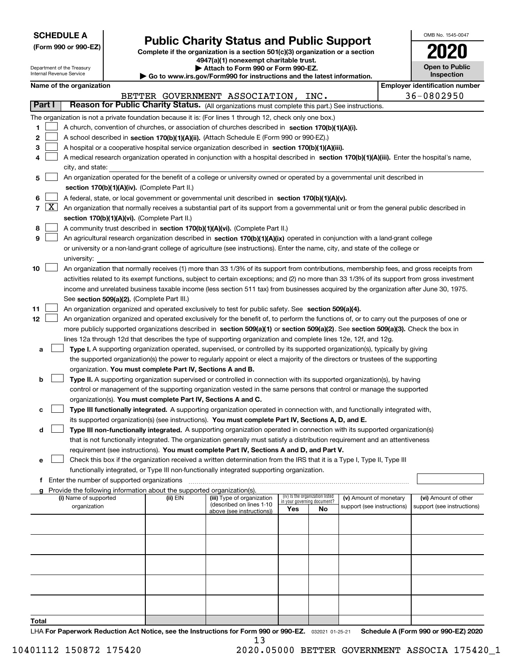| <b>SCHEDULE A</b> |
|-------------------|
|-------------------|

**(Form 990 or 990-EZ)**

# **Public Charity Status and Public Support**

**Complete if the organization is a section 501(c)(3) organization or a section 4947(a)(1) nonexempt charitable trust.**

| OMB No 1545-0047                  |
|-----------------------------------|
| 2020                              |
| <b>Open to Public</b><br>cnootion |

|                                                                                                    | Internal Revenue Service |                                                                                                                                                                | Department of the Treasury |                                             |                                                                                    | Attach to Form 990 or Form 990-EZ.                                                                                                           |     |                                   |                                       |  | <b>Open to Public</b><br>Inspection |
|----------------------------------------------------------------------------------------------------|--------------------------|----------------------------------------------------------------------------------------------------------------------------------------------------------------|----------------------------|---------------------------------------------|------------------------------------------------------------------------------------|----------------------------------------------------------------------------------------------------------------------------------------------|-----|-----------------------------------|---------------------------------------|--|-------------------------------------|
| Go to www.irs.gov/Form990 for instructions and the latest information.<br>Name of the organization |                          |                                                                                                                                                                |                            |                                             |                                                                                    |                                                                                                                                              |     |                                   | <b>Employer identification number</b> |  |                                     |
|                                                                                                    |                          |                                                                                                                                                                |                            |                                             |                                                                                    | BETTER GOVERNMENT ASSOCIATION, INC.                                                                                                          |     |                                   |                                       |  | 36-0802950                          |
|                                                                                                    | Part I                   |                                                                                                                                                                |                            |                                             |                                                                                    | Reason for Public Charity Status. (All organizations must complete this part.) See instructions.                                             |     |                                   |                                       |  |                                     |
|                                                                                                    |                          |                                                                                                                                                                |                            |                                             |                                                                                    | The organization is not a private foundation because it is: (For lines 1 through 12, check only one box.)                                    |     |                                   |                                       |  |                                     |
| 1                                                                                                  |                          |                                                                                                                                                                |                            |                                             |                                                                                    | A church, convention of churches, or association of churches described in section 170(b)(1)(A)(i).                                           |     |                                   |                                       |  |                                     |
| 2                                                                                                  |                          |                                                                                                                                                                |                            |                                             |                                                                                    | A school described in section 170(b)(1)(A)(ii). (Attach Schedule E (Form 990 or 990-EZ).)                                                    |     |                                   |                                       |  |                                     |
| 3                                                                                                  |                          |                                                                                                                                                                |                            |                                             |                                                                                    | A hospital or a cooperative hospital service organization described in section 170(b)(1)(A)(iii).                                            |     |                                   |                                       |  |                                     |
|                                                                                                    |                          |                                                                                                                                                                |                            |                                             |                                                                                    |                                                                                                                                              |     |                                   |                                       |  |                                     |
|                                                                                                    |                          | A medical research organization operated in conjunction with a hospital described in section 170(b)(1)(A)(iii). Enter the hospital's name,<br>city, and state: |                            |                                             |                                                                                    |                                                                                                                                              |     |                                   |                                       |  |                                     |
| 5                                                                                                  |                          | An organization operated for the benefit of a college or university owned or operated by a governmental unit described in                                      |                            |                                             |                                                                                    |                                                                                                                                              |     |                                   |                                       |  |                                     |
|                                                                                                    |                          |                                                                                                                                                                |                            |                                             | section 170(b)(1)(A)(iv). (Complete Part II.)                                      |                                                                                                                                              |     |                                   |                                       |  |                                     |
| 6                                                                                                  |                          |                                                                                                                                                                |                            |                                             |                                                                                    | A federal, state, or local government or governmental unit described in section 170(b)(1)(A)(v).                                             |     |                                   |                                       |  |                                     |
|                                                                                                    | $7 \mid X \mid$          |                                                                                                                                                                |                            |                                             |                                                                                    | An organization that normally receives a substantial part of its support from a governmental unit or from the general public described in    |     |                                   |                                       |  |                                     |
|                                                                                                    |                          |                                                                                                                                                                |                            |                                             | section 170(b)(1)(A)(vi). (Complete Part II.)                                      |                                                                                                                                              |     |                                   |                                       |  |                                     |
| 8                                                                                                  |                          |                                                                                                                                                                |                            |                                             |                                                                                    | A community trust described in section 170(b)(1)(A)(vi). (Complete Part II.)                                                                 |     |                                   |                                       |  |                                     |
| 9                                                                                                  |                          |                                                                                                                                                                |                            |                                             |                                                                                    | An agricultural research organization described in section 170(b)(1)(A)(ix) operated in conjunction with a land-grant college                |     |                                   |                                       |  |                                     |
|                                                                                                    |                          |                                                                                                                                                                |                            |                                             |                                                                                    | or university or a non-land-grant college of agriculture (see instructions). Enter the name, city, and state of the college or               |     |                                   |                                       |  |                                     |
|                                                                                                    |                          |                                                                                                                                                                | university:                |                                             |                                                                                    |                                                                                                                                              |     |                                   |                                       |  |                                     |
| 10                                                                                                 |                          |                                                                                                                                                                |                            |                                             |                                                                                    | An organization that normally receives (1) more than 33 1/3% of its support from contributions, membership fees, and gross receipts from     |     |                                   |                                       |  |                                     |
|                                                                                                    |                          |                                                                                                                                                                |                            |                                             |                                                                                    | activities related to its exempt functions, subject to certain exceptions; and (2) no more than 33 1/3% of its support from gross investment |     |                                   |                                       |  |                                     |
|                                                                                                    |                          |                                                                                                                                                                |                            |                                             |                                                                                    | income and unrelated business taxable income (less section 511 tax) from businesses acquired by the organization after June 30, 1975.        |     |                                   |                                       |  |                                     |
|                                                                                                    |                          |                                                                                                                                                                |                            |                                             | See section 509(a)(2). (Complete Part III.)                                        |                                                                                                                                              |     |                                   |                                       |  |                                     |
| 11                                                                                                 |                          |                                                                                                                                                                |                            |                                             |                                                                                    | An organization organized and operated exclusively to test for public safety. See section 509(a)(4).                                         |     |                                   |                                       |  |                                     |
| 12                                                                                                 |                          |                                                                                                                                                                |                            |                                             |                                                                                    | An organization organized and operated exclusively for the benefit of, to perform the functions of, or to carry out the purposes of one or   |     |                                   |                                       |  |                                     |
|                                                                                                    |                          |                                                                                                                                                                |                            |                                             |                                                                                    | more publicly supported organizations described in section 509(a)(1) or section 509(a)(2). See section 509(a)(3). Check the box in           |     |                                   |                                       |  |                                     |
|                                                                                                    |                          |                                                                                                                                                                |                            |                                             |                                                                                    | lines 12a through 12d that describes the type of supporting organization and complete lines 12e, 12f, and 12g.                               |     |                                   |                                       |  |                                     |
| а                                                                                                  |                          |                                                                                                                                                                |                            |                                             |                                                                                    | Type I. A supporting organization operated, supervised, or controlled by its supported organization(s), typically by giving                  |     |                                   |                                       |  |                                     |
|                                                                                                    |                          |                                                                                                                                                                |                            |                                             |                                                                                    | the supported organization(s) the power to regularly appoint or elect a majority of the directors or trustees of the supporting              |     |                                   |                                       |  |                                     |
|                                                                                                    |                          |                                                                                                                                                                |                            |                                             | organization. You must complete Part IV, Sections A and B.                         |                                                                                                                                              |     |                                   |                                       |  |                                     |
| b                                                                                                  |                          |                                                                                                                                                                |                            |                                             |                                                                                    | Type II. A supporting organization supervised or controlled in connection with its supported organization(s), by having                      |     |                                   |                                       |  |                                     |
|                                                                                                    |                          |                                                                                                                                                                |                            |                                             |                                                                                    | control or management of the supporting organization vested in the same persons that control or manage the supported                         |     |                                   |                                       |  |                                     |
|                                                                                                    |                          |                                                                                                                                                                |                            |                                             |                                                                                    | organization(s). You must complete Part IV, Sections A and C.                                                                                |     |                                   |                                       |  |                                     |
| с                                                                                                  |                          |                                                                                                                                                                |                            |                                             |                                                                                    | Type III functionally integrated. A supporting organization operated in connection with, and functionally integrated with,                   |     |                                   |                                       |  |                                     |
|                                                                                                    |                          |                                                                                                                                                                |                            |                                             |                                                                                    | its supported organization(s) (see instructions). You must complete Part IV, Sections A, D, and E.                                           |     |                                   |                                       |  |                                     |
| d                                                                                                  |                          |                                                                                                                                                                |                            |                                             |                                                                                    | Type III non-functionally integrated. A supporting organization operated in connection with its supported organization(s)                    |     |                                   |                                       |  |                                     |
|                                                                                                    |                          |                                                                                                                                                                |                            |                                             |                                                                                    | that is not functionally integrated. The organization generally must satisfy a distribution requirement and an attentiveness                 |     |                                   |                                       |  |                                     |
|                                                                                                    |                          |                                                                                                                                                                |                            |                                             |                                                                                    | requirement (see instructions). You must complete Part IV, Sections A and D, and Part V.                                                     |     |                                   |                                       |  |                                     |
| е                                                                                                  |                          |                                                                                                                                                                |                            |                                             |                                                                                    | Check this box if the organization received a written determination from the IRS that it is a Type I, Type II, Type III                      |     |                                   |                                       |  |                                     |
|                                                                                                    |                          |                                                                                                                                                                |                            |                                             |                                                                                    | functionally integrated, or Type III non-functionally integrated supporting organization.                                                    |     |                                   |                                       |  |                                     |
|                                                                                                    |                          |                                                                                                                                                                |                            | Enter the number of supported organizations |                                                                                    |                                                                                                                                              |     |                                   |                                       |  |                                     |
|                                                                                                    |                          |                                                                                                                                                                | (i) Name of supported      |                                             | Provide the following information about the supported organization(s).<br>(ii) EIN | (iii) Type of organization                                                                                                                   |     | (iv) Is the organization listed   | (v) Amount of monetary                |  | (vi) Amount of other                |
|                                                                                                    |                          |                                                                                                                                                                | organization               |                                             |                                                                                    | (described on lines 1-10                                                                                                                     | Yes | in your governing document?<br>No | support (see instructions)            |  | support (see instructions)          |
|                                                                                                    |                          |                                                                                                                                                                |                            |                                             |                                                                                    | above (see instructions))                                                                                                                    |     |                                   |                                       |  |                                     |
|                                                                                                    |                          |                                                                                                                                                                |                            |                                             |                                                                                    |                                                                                                                                              |     |                                   |                                       |  |                                     |
|                                                                                                    |                          |                                                                                                                                                                |                            |                                             |                                                                                    |                                                                                                                                              |     |                                   |                                       |  |                                     |
|                                                                                                    |                          |                                                                                                                                                                |                            |                                             |                                                                                    |                                                                                                                                              |     |                                   |                                       |  |                                     |
|                                                                                                    |                          |                                                                                                                                                                |                            |                                             |                                                                                    |                                                                                                                                              |     |                                   |                                       |  |                                     |
|                                                                                                    |                          |                                                                                                                                                                |                            |                                             |                                                                                    |                                                                                                                                              |     |                                   |                                       |  |                                     |
|                                                                                                    |                          |                                                                                                                                                                |                            |                                             |                                                                                    |                                                                                                                                              |     |                                   |                                       |  |                                     |
|                                                                                                    |                          |                                                                                                                                                                |                            |                                             |                                                                                    |                                                                                                                                              |     |                                   |                                       |  |                                     |
|                                                                                                    |                          |                                                                                                                                                                |                            |                                             |                                                                                    |                                                                                                                                              |     |                                   |                                       |  |                                     |
|                                                                                                    |                          |                                                                                                                                                                |                            |                                             |                                                                                    |                                                                                                                                              |     |                                   |                                       |  |                                     |
|                                                                                                    |                          |                                                                                                                                                                |                            |                                             |                                                                                    |                                                                                                                                              |     |                                   |                                       |  |                                     |

**Total**

LHA For Paperwork Reduction Act Notice, see the Instructions for Form 990 or 990-EZ. <sub>032021</sub> o1-25-21 Schedule A (Form 990 or 990-EZ) 2020 13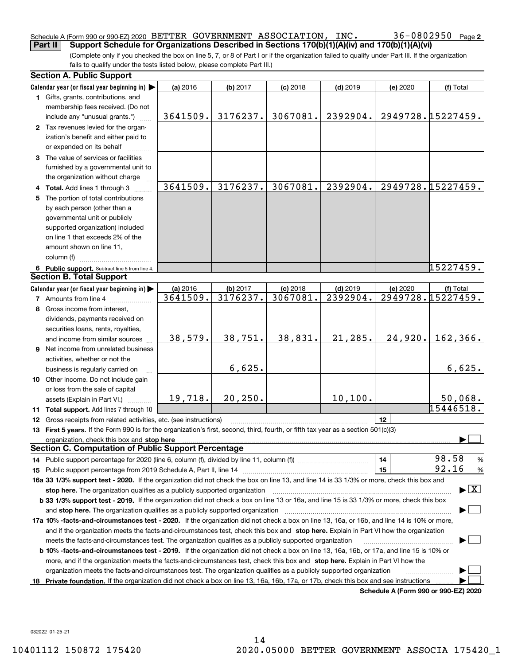#### Schedule A (Form 990 or 990-EZ) 2020 Page BETTER GOVERNMENT ASSOCIATION, INC. 36-0802950 **Part II Support Schedule for Organizations Described in Sections 170(b)(1)(A)(iv) and 170(b)(1)(A)(vi)**

(Complete only if you checked the box on line 5, 7, or 8 of Part I or if the organization failed to qualify under Part III. If the organization fails to qualify under the tests listed below, please complete Part III.)

|    | <b>Section A. Public Support</b>                                                                                                                                                                                               |          |          |            |            |          |                                          |
|----|--------------------------------------------------------------------------------------------------------------------------------------------------------------------------------------------------------------------------------|----------|----------|------------|------------|----------|------------------------------------------|
|    | Calendar year (or fiscal year beginning in) $\blacktriangleright$                                                                                                                                                              | (a) 2016 | (b) 2017 | $(c)$ 2018 | $(d)$ 2019 | (e) 2020 | (f) Total                                |
|    | 1 Gifts, grants, contributions, and                                                                                                                                                                                            |          |          |            |            |          |                                          |
|    | membership fees received. (Do not                                                                                                                                                                                              |          |          |            |            |          |                                          |
|    | include any "unusual grants.")                                                                                                                                                                                                 | 3641509. | 3176237. | 3067081.   | 2392904.   |          | 2949728.15227459.                        |
|    | 2 Tax revenues levied for the organ-                                                                                                                                                                                           |          |          |            |            |          |                                          |
|    | ization's benefit and either paid to                                                                                                                                                                                           |          |          |            |            |          |                                          |
|    | or expended on its behalf                                                                                                                                                                                                      |          |          |            |            |          |                                          |
|    | 3 The value of services or facilities                                                                                                                                                                                          |          |          |            |            |          |                                          |
|    | furnished by a governmental unit to                                                                                                                                                                                            |          |          |            |            |          |                                          |
|    | the organization without charge                                                                                                                                                                                                |          |          |            |            |          |                                          |
|    | 4 Total. Add lines 1 through 3                                                                                                                                                                                                 | 3641509. | 3176237. | 3067081.   | 2392904.   |          | 2949728.15227459.                        |
|    | 5 The portion of total contributions                                                                                                                                                                                           |          |          |            |            |          |                                          |
|    | by each person (other than a                                                                                                                                                                                                   |          |          |            |            |          |                                          |
|    | governmental unit or publicly                                                                                                                                                                                                  |          |          |            |            |          |                                          |
|    | supported organization) included                                                                                                                                                                                               |          |          |            |            |          |                                          |
|    | on line 1 that exceeds 2% of the                                                                                                                                                                                               |          |          |            |            |          |                                          |
|    | amount shown on line 11,                                                                                                                                                                                                       |          |          |            |            |          |                                          |
|    | column (f)                                                                                                                                                                                                                     |          |          |            |            |          |                                          |
|    | 6 Public support. Subtract line 5 from line 4.                                                                                                                                                                                 |          |          |            |            |          | 15227459.                                |
|    | <b>Section B. Total Support</b>                                                                                                                                                                                                |          |          |            |            |          |                                          |
|    | Calendar year (or fiscal year beginning in)                                                                                                                                                                                    | (a) 2016 | (b) 2017 | $(c)$ 2018 | $(d)$ 2019 | (e) 2020 | (f) Total                                |
|    | <b>7</b> Amounts from line 4                                                                                                                                                                                                   | 3641509. | 3176237. | 3067081.   | 2392904.   |          | 2949728.15227459.                        |
|    | 8 Gross income from interest,                                                                                                                                                                                                  |          |          |            |            |          |                                          |
|    | dividends, payments received on                                                                                                                                                                                                |          |          |            |            |          |                                          |
|    | securities loans, rents, royalties,                                                                                                                                                                                            |          |          |            |            |          |                                          |
|    | and income from similar sources                                                                                                                                                                                                | 38,579.  | 38,751.  | 38,831.    | 21, 285.   | 24,920.  | 162, 366.                                |
|    | <b>9</b> Net income from unrelated business                                                                                                                                                                                    |          |          |            |            |          |                                          |
|    | activities, whether or not the                                                                                                                                                                                                 |          |          |            |            |          |                                          |
|    | business is regularly carried on                                                                                                                                                                                               |          | 6,625.   |            |            |          | 6,625.                                   |
|    | 10 Other income. Do not include gain                                                                                                                                                                                           |          |          |            |            |          |                                          |
|    | or loss from the sale of capital                                                                                                                                                                                               |          |          |            |            |          |                                          |
|    | assets (Explain in Part VI.)                                                                                                                                                                                                   | 19,718.  | 20, 250. |            | 10, 100.   |          | 50,068.                                  |
|    | 11 Total support. Add lines 7 through 10                                                                                                                                                                                       |          |          |            |            |          | 15446518.                                |
|    | <b>12</b> Gross receipts from related activities, etc. (see instructions)                                                                                                                                                      |          |          |            |            | 12       |                                          |
|    | 13 First 5 years. If the Form 990 is for the organization's first, second, third, fourth, or fifth tax year as a section 501(c)(3)                                                                                             |          |          |            |            |          |                                          |
|    | organization, check this box and stop here manufactured and according to the state of the state of the state of the state of the state of the state of the state of the state of the state of the state of the state of the st |          |          |            |            |          |                                          |
|    | <b>Section C. Computation of Public Support Percentage</b>                                                                                                                                                                     |          |          |            |            |          |                                          |
|    |                                                                                                                                                                                                                                |          |          |            |            | 14       | 98.58<br>%                               |
|    | 15 Public support percentage from 2019 Schedule A, Part II, line 14 [11] [11] manument continuum manument of Public support percentage from 2019 Schedule A, Part II, line 14 [11] manument continuum manument of Public suppo |          |          |            |            | 15       | 92.16<br>$\%$                            |
|    | 16a 33 1/3% support test - 2020. If the organization did not check the box on line 13, and line 14 is 33 1/3% or more, check this box and                                                                                      |          |          |            |            |          |                                          |
|    | stop here. The organization qualifies as a publicly supported organization                                                                                                                                                     |          |          |            |            |          | $\blacktriangleright$ $\boxed{\text{X}}$ |
|    | b 33 1/3% support test - 2019. If the organization did not check a box on line 13 or 16a, and line 15 is 33 1/3% or more, check this box                                                                                       |          |          |            |            |          |                                          |
|    | and stop here. The organization qualifies as a publicly supported organization                                                                                                                                                 |          |          |            |            |          |                                          |
|    | 17a 10% -facts-and-circumstances test - 2020. If the organization did not check a box on line 13, 16a, or 16b, and line 14 is 10% or more,                                                                                     |          |          |            |            |          |                                          |
|    | and if the organization meets the facts-and-circumstances test, check this box and stop here. Explain in Part VI how the organization                                                                                          |          |          |            |            |          |                                          |
|    | meets the facts-and-circumstances test. The organization qualifies as a publicly supported organization                                                                                                                        |          |          |            |            |          |                                          |
|    | <b>b 10% -facts-and-circumstances test - 2019.</b> If the organization did not check a box on line 13, 16a, 16b, or 17a, and line 15 is 10% or                                                                                 |          |          |            |            |          |                                          |
|    | more, and if the organization meets the facts-and-circumstances test, check this box and stop here. Explain in Part VI how the                                                                                                 |          |          |            |            |          |                                          |
|    | organization meets the facts-and-circumstances test. The organization qualifies as a publicly supported organization                                                                                                           |          |          |            |            |          |                                          |
| 18 | Private foundation. If the organization did not check a box on line 13, 16a, 16b, 17a, or 17b, check this box and see instructions                                                                                             |          |          |            |            |          |                                          |
|    |                                                                                                                                                                                                                                |          |          |            |            |          | Schedule A (Form 990 or 990-EZ) 2020     |

032022 01-25-21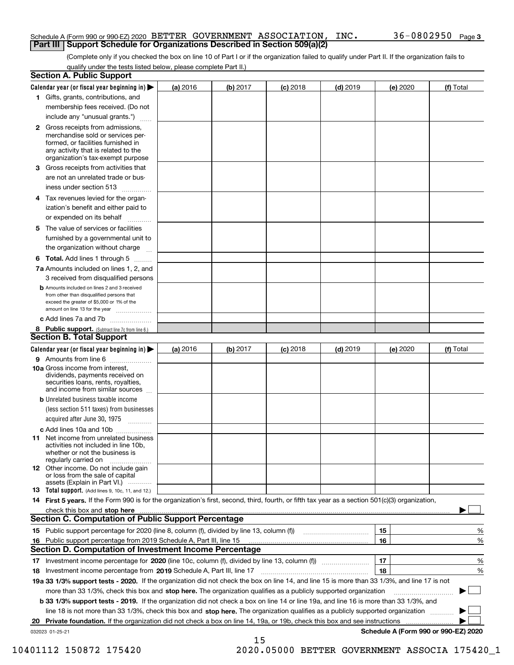#### Schedule A (Form 990 or 990-EZ) 2020 Page BETTER GOVERNMENT ASSOCIATION, INC. 36-0802950 **Part III** | Support Schedule for Organizations Described in Section 509(a)(2)

(Complete only if you checked the box on line 10 of Part I or if the organization failed to qualify under Part II. If the organization fails to qualify under the tests listed below, please complete Part II.)

|    | <b>Section A. Public Support</b>                                                                                                                                                                |          |          |            |            |          |                                           |
|----|-------------------------------------------------------------------------------------------------------------------------------------------------------------------------------------------------|----------|----------|------------|------------|----------|-------------------------------------------|
|    | Calendar year (or fiscal year beginning in) $\blacktriangleright$                                                                                                                               | (a) 2016 | (b) 2017 | $(c)$ 2018 | $(d)$ 2019 | (e) 2020 | (f) Total                                 |
|    | 1 Gifts, grants, contributions, and                                                                                                                                                             |          |          |            |            |          |                                           |
|    | membership fees received. (Do not                                                                                                                                                               |          |          |            |            |          |                                           |
|    | include any "unusual grants.")                                                                                                                                                                  |          |          |            |            |          |                                           |
|    | <b>2</b> Gross receipts from admissions,<br>merchandise sold or services per-<br>formed, or facilities furnished in<br>any activity that is related to the<br>organization's tax-exempt purpose |          |          |            |            |          |                                           |
|    | 3 Gross receipts from activities that<br>are not an unrelated trade or bus-                                                                                                                     |          |          |            |            |          |                                           |
|    | iness under section 513                                                                                                                                                                         |          |          |            |            |          |                                           |
|    | 4 Tax revenues levied for the organ-<br>ization's benefit and either paid to                                                                                                                    |          |          |            |            |          |                                           |
|    | or expended on its behalf                                                                                                                                                                       |          |          |            |            |          |                                           |
|    | 5 The value of services or facilities<br>furnished by a governmental unit to                                                                                                                    |          |          |            |            |          |                                           |
|    | the organization without charge                                                                                                                                                                 |          |          |            |            |          |                                           |
|    | <b>6 Total.</b> Add lines 1 through 5                                                                                                                                                           |          |          |            |            |          |                                           |
|    | 7a Amounts included on lines 1, 2, and<br>3 received from disqualified persons                                                                                                                  |          |          |            |            |          |                                           |
|    | <b>b</b> Amounts included on lines 2 and 3 received<br>from other than disqualified persons that<br>exceed the greater of \$5,000 or 1% of the<br>amount on line 13 for the year                |          |          |            |            |          |                                           |
|    | c Add lines 7a and 7b                                                                                                                                                                           |          |          |            |            |          |                                           |
|    | 8 Public support. (Subtract line 7c from line 6.)<br><b>Section B. Total Support</b>                                                                                                            |          |          |            |            |          |                                           |
|    | Calendar year (or fiscal year beginning in)                                                                                                                                                     | (a) 2016 | (b) 2017 | $(c)$ 2018 | $(d)$ 2019 | (e) 2020 | (f) Total                                 |
|    | 9 Amounts from line 6                                                                                                                                                                           |          |          |            |            |          |                                           |
|    | <b>10a</b> Gross income from interest,<br>dividends, payments received on<br>securities loans, rents, royalties,<br>and income from similar sources                                             |          |          |            |            |          |                                           |
|    | <b>b</b> Unrelated business taxable income<br>(less section 511 taxes) from businesses                                                                                                          |          |          |            |            |          |                                           |
|    | acquired after June 30, 1975                                                                                                                                                                    |          |          |            |            |          |                                           |
|    | c Add lines 10a and 10b                                                                                                                                                                         |          |          |            |            |          |                                           |
|    | 11 Net income from unrelated business<br>activities not included in line 10b,<br>whether or not the business is<br>regularly carried on                                                         |          |          |            |            |          |                                           |
|    | 12 Other income. Do not include gain<br>or loss from the sale of capital<br>assets (Explain in Part VI.)                                                                                        |          |          |            |            |          |                                           |
|    | 13 Total support. (Add lines 9, 10c, 11, and 12.)                                                                                                                                               |          |          |            |            |          |                                           |
|    | 14 First 5 years. If the Form 990 is for the organization's first, second, third, fourth, or fifth tax year as a section 501(c)(3) organization,                                                |          |          |            |            |          |                                           |
|    |                                                                                                                                                                                                 |          |          |            |            |          |                                           |
|    | <b>Section C. Computation of Public Support Percentage</b>                                                                                                                                      |          |          |            |            |          |                                           |
|    |                                                                                                                                                                                                 |          |          |            |            | 15       | %                                         |
| 16 | Public support percentage from 2019 Schedule A, Part III, line 15                                                                                                                               |          |          |            |            | 16       | %                                         |
|    | Section D. Computation of Investment Income Percentage                                                                                                                                          |          |          |            |            |          |                                           |
|    | 17 Investment income percentage for 2020 (line 10c, column (f), divided by line 13, column (f))                                                                                                 |          |          |            |            | 17       | %                                         |
|    | 18 Investment income percentage from 2019 Schedule A, Part III, line 17                                                                                                                         |          |          |            |            | 18       | %                                         |
|    | 19a 33 1/3% support tests - 2020. If the organization did not check the box on line 14, and line 15 is more than 33 1/3%, and line 17 is not                                                    |          |          |            |            |          |                                           |
|    | more than 33 1/3%, check this box and stop here. The organization qualifies as a publicly supported organization                                                                                |          |          |            |            |          |                                           |
|    | b 33 1/3% support tests - 2019. If the organization did not check a box on line 14 or line 19a, and line 16 is more than 33 1/3%, and                                                           |          |          |            |            |          |                                           |
|    | line 18 is not more than 33 1/3%, check this box and stop here. The organization qualifies as a publicly supported organization                                                                 |          |          |            |            |          |                                           |
| 20 | <b>Private foundation.</b> If the organization did not check a box on line 14, 19a, or 19b, check this box and see instructions                                                                 |          |          |            |            |          | .<br>Schedule A (Form 990 or 990-EZ) 2020 |
|    | 032023 01-25-21                                                                                                                                                                                 |          | 15       |            |            |          |                                           |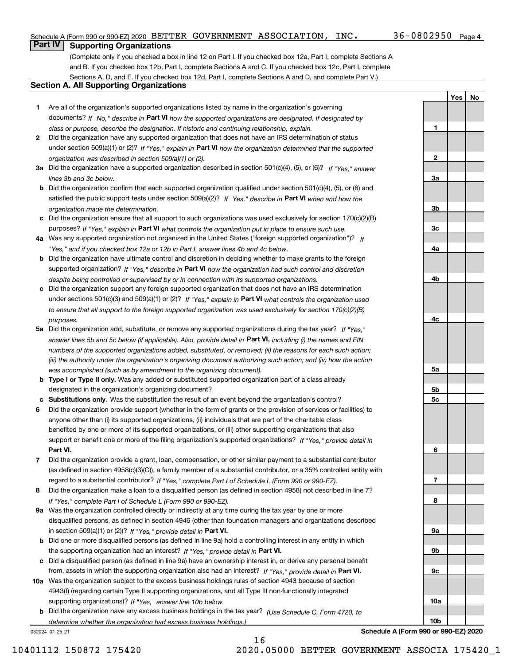**1**

**2**

**3a**

**3b**

**3c**

**4a**

**4b**

**4c**

**5a**

**5b5c**

**6**

**7**

**8**

**9a**

**9b**

**9c**

**10a**

**10b**

**Yes No**

# **Part IV Supporting Organizations**

(Complete only if you checked a box in line 12 on Part I. If you checked box 12a, Part I, complete Sections A and B. If you checked box 12b, Part I, complete Sections A and C. If you checked box 12c, Part I, complete Sections A, D, and E. If you checked box 12d, Part I, complete Sections A and D, and complete Part V.)

### **Section A. All Supporting Organizations**

- **1** Are all of the organization's supported organizations listed by name in the organization's governing documents? If "No," describe in **Part VI** how the supported organizations are designated. If designated by *class or purpose, describe the designation. If historic and continuing relationship, explain.*
- **2** Did the organization have any supported organization that does not have an IRS determination of status under section 509(a)(1) or (2)? If "Yes," explain in Part VI how the organization determined that the supported *organization was described in section 509(a)(1) or (2).*
- **3a** Did the organization have a supported organization described in section 501(c)(4), (5), or (6)? If "Yes," answer *lines 3b and 3c below.*
- **b** Did the organization confirm that each supported organization qualified under section 501(c)(4), (5), or (6) and satisfied the public support tests under section 509(a)(2)? If "Yes," describe in **Part VI** when and how the *organization made the determination.*
- **c**Did the organization ensure that all support to such organizations was used exclusively for section 170(c)(2)(B) purposes? If "Yes," explain in **Part VI** what controls the organization put in place to ensure such use.
- **4a***If* Was any supported organization not organized in the United States ("foreign supported organization")? *"Yes," and if you checked box 12a or 12b in Part I, answer lines 4b and 4c below.*
- **b** Did the organization have ultimate control and discretion in deciding whether to make grants to the foreign supported organization? If "Yes," describe in **Part VI** how the organization had such control and discretion *despite being controlled or supervised by or in connection with its supported organizations.*
- **c** Did the organization support any foreign supported organization that does not have an IRS determination under sections 501(c)(3) and 509(a)(1) or (2)? If "Yes," explain in **Part VI** what controls the organization used *to ensure that all support to the foreign supported organization was used exclusively for section 170(c)(2)(B) purposes.*
- **5a** Did the organization add, substitute, or remove any supported organizations during the tax year? If "Yes," answer lines 5b and 5c below (if applicable). Also, provide detail in **Part VI,** including (i) the names and EIN *numbers of the supported organizations added, substituted, or removed; (ii) the reasons for each such action; (iii) the authority under the organization's organizing document authorizing such action; and (iv) how the action was accomplished (such as by amendment to the organizing document).*
- **b** Type I or Type II only. Was any added or substituted supported organization part of a class already designated in the organization's organizing document?
- **cSubstitutions only.**  Was the substitution the result of an event beyond the organization's control?
- **6** Did the organization provide support (whether in the form of grants or the provision of services or facilities) to **Part VI.** *If "Yes," provide detail in* support or benefit one or more of the filing organization's supported organizations? anyone other than (i) its supported organizations, (ii) individuals that are part of the charitable class benefited by one or more of its supported organizations, or (iii) other supporting organizations that also
- **7**Did the organization provide a grant, loan, compensation, or other similar payment to a substantial contributor *If "Yes," complete Part I of Schedule L (Form 990 or 990-EZ).* regard to a substantial contributor? (as defined in section 4958(c)(3)(C)), a family member of a substantial contributor, or a 35% controlled entity with
- **8** Did the organization make a loan to a disqualified person (as defined in section 4958) not described in line 7? *If "Yes," complete Part I of Schedule L (Form 990 or 990-EZ).*
- **9a** Was the organization controlled directly or indirectly at any time during the tax year by one or more in section 509(a)(1) or (2))? If "Yes," *provide detail in* <code>Part VI.</code> disqualified persons, as defined in section 4946 (other than foundation managers and organizations described
- **b** Did one or more disqualified persons (as defined in line 9a) hold a controlling interest in any entity in which the supporting organization had an interest? If "Yes," provide detail in P**art VI**.
- **c**Did a disqualified person (as defined in line 9a) have an ownership interest in, or derive any personal benefit from, assets in which the supporting organization also had an interest? If "Yes," provide detail in P**art VI.**
- **10a** Was the organization subject to the excess business holdings rules of section 4943 because of section supporting organizations)? If "Yes," answer line 10b below. 4943(f) (regarding certain Type II supporting organizations, and all Type III non-functionally integrated
- **b** Did the organization have any excess business holdings in the tax year? (Use Schedule C, Form 4720, to *determine whether the organization had excess business holdings.)*

16

032024 01-25-21

**Schedule A (Form 990 or 990-EZ) 2020**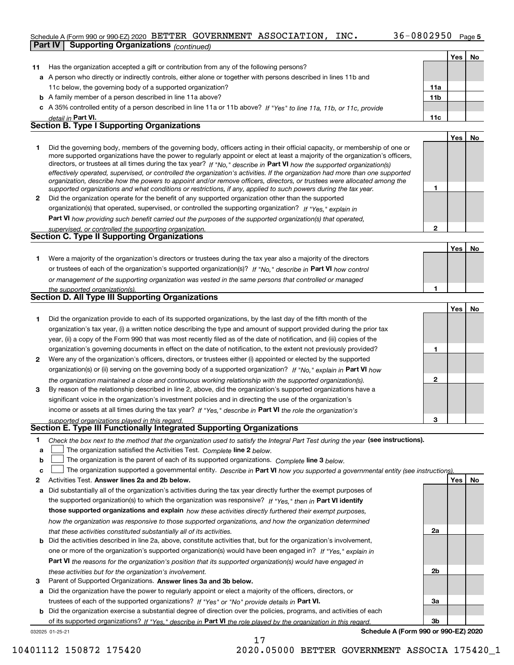#### Schedule A (Form 990 or 990-EZ) 2020 Page BETTER GOVERNMENT ASSOCIATION, INC. 36-0802950

|    | <b>Part IV</b><br><b>Supporting Organizations</b> (continued)                                                                                                                                                                                                                                                                                                                                                                                                                                                            |                 |     |    |
|----|--------------------------------------------------------------------------------------------------------------------------------------------------------------------------------------------------------------------------------------------------------------------------------------------------------------------------------------------------------------------------------------------------------------------------------------------------------------------------------------------------------------------------|-----------------|-----|----|
|    |                                                                                                                                                                                                                                                                                                                                                                                                                                                                                                                          |                 | Yes | No |
| 11 | Has the organization accepted a gift or contribution from any of the following persons?                                                                                                                                                                                                                                                                                                                                                                                                                                  |                 |     |    |
|    | a A person who directly or indirectly controls, either alone or together with persons described in lines 11b and                                                                                                                                                                                                                                                                                                                                                                                                         |                 |     |    |
|    | 11c below, the governing body of a supported organization?                                                                                                                                                                                                                                                                                                                                                                                                                                                               | 11a             |     |    |
|    | <b>b</b> A family member of a person described in line 11a above?                                                                                                                                                                                                                                                                                                                                                                                                                                                        | 11 <sub>b</sub> |     |    |
|    | c A 35% controlled entity of a person described in line 11a or 11b above? If "Yes" to line 11a, 11b, or 11c, provide                                                                                                                                                                                                                                                                                                                                                                                                     |                 |     |    |
|    | detail in Part VI.                                                                                                                                                                                                                                                                                                                                                                                                                                                                                                       | 11c             |     |    |
|    | <b>Section B. Type I Supporting Organizations</b>                                                                                                                                                                                                                                                                                                                                                                                                                                                                        |                 |     |    |
|    |                                                                                                                                                                                                                                                                                                                                                                                                                                                                                                                          |                 | Yes | No |
| 1  | Did the governing body, members of the governing body, officers acting in their official capacity, or membership of one or<br>more supported organizations have the power to regularly appoint or elect at least a majority of the organization's officers,<br>directors, or trustees at all times during the tax year? If "No," describe in Part VI how the supported organization(s)<br>effectively operated, supervised, or controlled the organization's activities. If the organization had more than one supported |                 |     |    |
|    | organization, describe how the powers to appoint and/or remove officers, directors, or trustees were allocated among the<br>supported organizations and what conditions or restrictions, if any, applied to such powers during the tax year.                                                                                                                                                                                                                                                                             | 1               |     |    |
| 2  | Did the organization operate for the benefit of any supported organization other than the supported                                                                                                                                                                                                                                                                                                                                                                                                                      |                 |     |    |
|    | organization(s) that operated, supervised, or controlled the supporting organization? If "Yes," explain in                                                                                                                                                                                                                                                                                                                                                                                                               |                 |     |    |
|    | Part VI how providing such benefit carried out the purposes of the supported organization(s) that operated,                                                                                                                                                                                                                                                                                                                                                                                                              |                 |     |    |
|    | supervised, or controlled the supporting organization.                                                                                                                                                                                                                                                                                                                                                                                                                                                                   | $\mathbf{2}$    |     |    |
|    | <b>Section C. Type II Supporting Organizations</b>                                                                                                                                                                                                                                                                                                                                                                                                                                                                       |                 |     |    |
|    |                                                                                                                                                                                                                                                                                                                                                                                                                                                                                                                          |                 | Yes | No |
| 1. | Were a majority of the organization's directors or trustees during the tax year also a majority of the directors                                                                                                                                                                                                                                                                                                                                                                                                         |                 |     |    |
|    | or trustees of each of the organization's supported organization(s)? If "No." describe in Part VI how control                                                                                                                                                                                                                                                                                                                                                                                                            |                 |     |    |
|    | or management of the supporting organization was vested in the same persons that controlled or managed                                                                                                                                                                                                                                                                                                                                                                                                                   |                 |     |    |
|    | the supported organization(s).                                                                                                                                                                                                                                                                                                                                                                                                                                                                                           | 1               |     |    |
|    | Section D. All Type III Supporting Organizations                                                                                                                                                                                                                                                                                                                                                                                                                                                                         |                 |     |    |
|    |                                                                                                                                                                                                                                                                                                                                                                                                                                                                                                                          |                 | Yes | No |
| 1  | Did the organization provide to each of its supported organizations, by the last day of the fifth month of the                                                                                                                                                                                                                                                                                                                                                                                                           |                 |     |    |
|    | organization's tax year, (i) a written notice describing the type and amount of support provided during the prior tax                                                                                                                                                                                                                                                                                                                                                                                                    |                 |     |    |
|    | year, (ii) a copy of the Form 990 that was most recently filed as of the date of notification, and (iii) copies of the                                                                                                                                                                                                                                                                                                                                                                                                   |                 |     |    |
|    | organization's governing documents in effect on the date of notification, to the extent not previously provided?                                                                                                                                                                                                                                                                                                                                                                                                         | 1               |     |    |
| 2  | Were any of the organization's officers, directors, or trustees either (i) appointed or elected by the supported                                                                                                                                                                                                                                                                                                                                                                                                         |                 |     |    |
|    | organization(s) or (ii) serving on the governing body of a supported organization? If "No," explain in Part VI how                                                                                                                                                                                                                                                                                                                                                                                                       |                 |     |    |
|    | the organization maintained a close and continuous working relationship with the supported organization(s).                                                                                                                                                                                                                                                                                                                                                                                                              | $\mathbf{2}$    |     |    |
| З  | By reason of the relationship described in line 2, above, did the organization's supported organizations have a<br>significant voice in the organization's investment policies and in directing the use of the organization's                                                                                                                                                                                                                                                                                            |                 |     |    |
|    | income or assets at all times during the tax year? If "Yes," describe in Part VI the role the organization's                                                                                                                                                                                                                                                                                                                                                                                                             |                 |     |    |
|    |                                                                                                                                                                                                                                                                                                                                                                                                                                                                                                                          | 3               |     |    |
|    | supported organizations played in this regard.<br>Section E. Type III Functionally Integrated Supporting Organizations                                                                                                                                                                                                                                                                                                                                                                                                   |                 |     |    |
| 1  | Check the box next to the method that the organization used to satisfy the Integral Part Test during the year (see instructions).                                                                                                                                                                                                                                                                                                                                                                                        |                 |     |    |
| a  | The organization satisfied the Activities Test. Complete line 2 below.                                                                                                                                                                                                                                                                                                                                                                                                                                                   |                 |     |    |
| b  | The organization is the parent of each of its supported organizations. Complete line 3 below.                                                                                                                                                                                                                                                                                                                                                                                                                            |                 |     |    |
| c  | The organization supported a governmental entity. Describe in Part VI how you supported a governmental entity (see instructions).                                                                                                                                                                                                                                                                                                                                                                                        |                 |     |    |
| 2  | Activities Test. Answer lines 2a and 2b below.                                                                                                                                                                                                                                                                                                                                                                                                                                                                           |                 | Yes | No |
| a  | Did substantially all of the organization's activities during the tax year directly further the exempt purposes of                                                                                                                                                                                                                                                                                                                                                                                                       |                 |     |    |
|    | the supported organization(s) to which the organization was responsive? If "Yes." then in Part VI identify                                                                                                                                                                                                                                                                                                                                                                                                               |                 |     |    |

| those supported organizations and explain how these activities directly furthered their exempt purposes,                     |
|------------------------------------------------------------------------------------------------------------------------------|
| how the organization was responsive to those supported organizations, and how the organization determined                    |
| that these activities constituted substantially all of its activities.                                                       |
| <b>b</b> Did the activities described in line 2a, above, constitute activities that, but for the organization's involvement, |
| one or more of the organization's supported organization(s) would have been engaged in? If "Yes." explain in                 |
| Part VI the reasons for the organization's position that its supported organization(s) would have engaged in                 |
| these activities but for the organization's involvement.                                                                     |

**3** Parent of Supported Organizations. Answer lines 3a and 3b below.

**a** Did the organization have the power to regularly appoint or elect a majority of the officers, directors, or trustees of each of the supported organizations? If "Yes" or "No" provide details in P**art VI.** 

**b** Did the organization exercise a substantial degree of direction over the policies, programs, and activities of each **Part VI**  *If "Yes," describe in the role played by the organization in this regard.* of its supported organizations?

17

032025 01-25-21

**Schedule A (Form 990 or 990-EZ) 2020**

**2a**

**2b**

**3a**

**3b**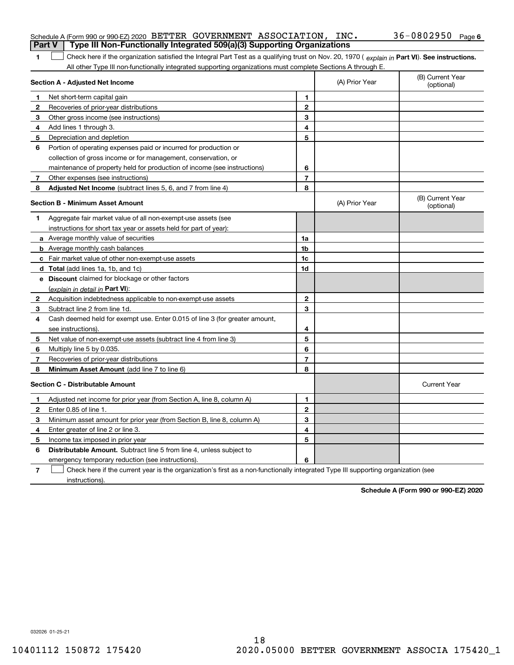|              | Schedule A (Form 990 or 990-EZ) 2020 BETTER GOVERNMENT ASSOCIATION, $INC$ .                                                                                                                                                                                   |                |                | $36 - 0802950$ Page 6          |
|--------------|---------------------------------------------------------------------------------------------------------------------------------------------------------------------------------------------------------------------------------------------------------------|----------------|----------------|--------------------------------|
| Part V       | Type III Non-Functionally Integrated 509(a)(3) Supporting Organizations                                                                                                                                                                                       |                |                |                                |
| 1            | Check here if the organization satisfied the Integral Part Test as a qualifying trust on Nov. 20, 1970 (explain in Part VI). See instructions.<br>All other Type III non-functionally integrated supporting organizations must complete Sections A through E. |                |                |                                |
|              | Section A - Adjusted Net Income                                                                                                                                                                                                                               |                | (A) Prior Year | (B) Current Year<br>(optional) |
| 1            | Net short-term capital gain                                                                                                                                                                                                                                   | 1.             |                |                                |
| 2            | Recoveries of prior-year distributions                                                                                                                                                                                                                        | $\mathbf{2}$   |                |                                |
| 3            | Other gross income (see instructions)                                                                                                                                                                                                                         | 3              |                |                                |
| 4            | Add lines 1 through 3.                                                                                                                                                                                                                                        | 4              |                |                                |
| 5            | Depreciation and depletion                                                                                                                                                                                                                                    | 5              |                |                                |
| 6            | Portion of operating expenses paid or incurred for production or                                                                                                                                                                                              |                |                |                                |
|              | collection of gross income or for management, conservation, or                                                                                                                                                                                                |                |                |                                |
|              | maintenance of property held for production of income (see instructions)                                                                                                                                                                                      | 6              |                |                                |
| $\mathbf{7}$ | Other expenses (see instructions)                                                                                                                                                                                                                             | $\overline{7}$ |                |                                |
| 8            | Adjusted Net Income (subtract lines 5, 6, and 7 from line 4)                                                                                                                                                                                                  | 8              |                |                                |
|              | <b>Section B - Minimum Asset Amount</b>                                                                                                                                                                                                                       |                | (A) Prior Year | (B) Current Year<br>(optional) |
| 1            | Aggregate fair market value of all non-exempt-use assets (see                                                                                                                                                                                                 |                |                |                                |
|              | instructions for short tax year or assets held for part of year):                                                                                                                                                                                             |                |                |                                |
|              | <b>a</b> Average monthly value of securities                                                                                                                                                                                                                  | 1a             |                |                                |
|              | <b>b</b> Average monthly cash balances                                                                                                                                                                                                                        | 1b             |                |                                |
|              | c Fair market value of other non-exempt-use assets                                                                                                                                                                                                            | 1c             |                |                                |
|              | <b>d</b> Total (add lines 1a, 1b, and 1c)                                                                                                                                                                                                                     | 1d             |                |                                |
|              | <b>e</b> Discount claimed for blockage or other factors                                                                                                                                                                                                       |                |                |                                |
|              | (explain in detail in Part VI):                                                                                                                                                                                                                               |                |                |                                |
| 2            | Acquisition indebtedness applicable to non-exempt-use assets                                                                                                                                                                                                  | $\mathbf{2}$   |                |                                |
| 3            | Subtract line 2 from line 1d.                                                                                                                                                                                                                                 | 3              |                |                                |
| 4            | Cash deemed held for exempt use. Enter 0.015 of line 3 (for greater amount,                                                                                                                                                                                   |                |                |                                |
|              | see instructions).                                                                                                                                                                                                                                            | 4              |                |                                |
| 5            | Net value of non-exempt-use assets (subtract line 4 from line 3)                                                                                                                                                                                              | 5              |                |                                |
| 6            | Multiply line 5 by 0.035.                                                                                                                                                                                                                                     | 6              |                |                                |
| 7            | Recoveries of prior-year distributions                                                                                                                                                                                                                        | $\overline{7}$ |                |                                |
| 8            | Minimum Asset Amount (add line 7 to line 6)                                                                                                                                                                                                                   | 8              |                |                                |
|              | <b>Section C - Distributable Amount</b>                                                                                                                                                                                                                       |                |                | <b>Current Year</b>            |
|              | Adjusted net income for prior year (from Section A, line 8, column A)                                                                                                                                                                                         | 1              |                |                                |
|              | Enter 0.85 of line 1.                                                                                                                                                                                                                                         | 2              |                |                                |
| З.           | Minimum asset amount for prior year (from Section B, line 8, column A)                                                                                                                                                                                        | 3              |                |                                |
| 4            | Enter greater of line 2 or line 3.                                                                                                                                                                                                                            | 4              |                |                                |
|              | 5 Income tax imposed in prior year                                                                                                                                                                                                                            | 5              |                |                                |
| 6            | <b>Distributable Amount.</b> Subtract line 5 from line 4, unless subject to                                                                                                                                                                                   |                |                |                                |
|              | emergency temporary reduction (see instructions).                                                                                                                                                                                                             | 6              |                |                                |
| 7            | Check here if the current year is the organization's first as a non-functionally integrated Type III supporting organization (see                                                                                                                             |                |                |                                |

**Schedule A (Form 990 or 990-EZ) 2020**

032026 01-25-21

instructions).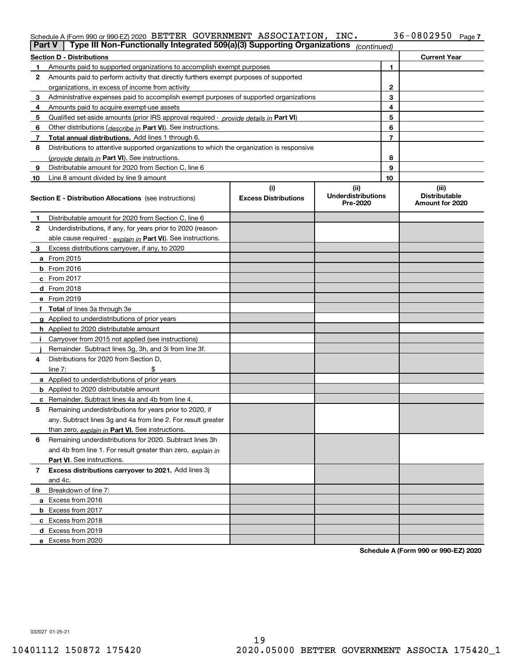# Schedule A (Form 990 or 990-EZ) 2020 Page BETTER GOVERNMENT ASSOCIATION, INC. 36-0802950

|                | Type III Non-Functionally Integrated 509(a)(3) Supporting Organizations<br>Part V          |                             | (continued)                           |                |                                         |
|----------------|--------------------------------------------------------------------------------------------|-----------------------------|---------------------------------------|----------------|-----------------------------------------|
|                | <b>Section D - Distributions</b>                                                           |                             |                                       |                | <b>Current Year</b>                     |
| 1              | Amounts paid to supported organizations to accomplish exempt purposes                      |                             |                                       | 1              |                                         |
| 2              | Amounts paid to perform activity that directly furthers exempt purposes of supported       |                             |                                       |                |                                         |
|                | organizations, in excess of income from activity                                           | 2                           |                                       |                |                                         |
| 3              | Administrative expenses paid to accomplish exempt purposes of supported organizations      |                             |                                       | 3              |                                         |
| 4              | Amounts paid to acquire exempt-use assets                                                  |                             |                                       | 4              |                                         |
| 5              | Qualified set-aside amounts (prior IRS approval required - provide details in Part VI)     |                             |                                       | 5              |                                         |
| 6              | Other distributions ( <i>describe in</i> Part VI). See instructions.                       |                             |                                       | 6              |                                         |
| 7              | Total annual distributions. Add lines 1 through 6.                                         |                             |                                       | $\overline{7}$ |                                         |
| 8              | Distributions to attentive supported organizations to which the organization is responsive |                             |                                       |                |                                         |
|                | (provide details in Part VI). See instructions.                                            |                             |                                       | 8              |                                         |
| 9              | Distributable amount for 2020 from Section C, line 6                                       |                             |                                       | 9              |                                         |
| 10             | Line 8 amount divided by line 9 amount                                                     |                             |                                       | 10             |                                         |
|                |                                                                                            | (i)                         | (ii)                                  |                | (iii)                                   |
|                | <b>Section E - Distribution Allocations</b> (see instructions)                             | <b>Excess Distributions</b> | <b>Underdistributions</b><br>Pre-2020 |                | <b>Distributable</b><br>Amount for 2020 |
| 1              | Distributable amount for 2020 from Section C, line 6                                       |                             |                                       |                |                                         |
| 2              | Underdistributions, if any, for years prior to 2020 (reason-                               |                             |                                       |                |                                         |
|                | able cause required - explain in Part VI). See instructions.                               |                             |                                       |                |                                         |
| 3              | Excess distributions carryover, if any, to 2020                                            |                             |                                       |                |                                         |
|                | a From 2015                                                                                |                             |                                       |                |                                         |
|                | <b>b</b> From 2016                                                                         |                             |                                       |                |                                         |
|                | $c$ From 2017                                                                              |                             |                                       |                |                                         |
|                | d From 2018                                                                                |                             |                                       |                |                                         |
|                | e From 2019                                                                                |                             |                                       |                |                                         |
| f              | <b>Total</b> of lines 3a through 3e                                                        |                             |                                       |                |                                         |
|                | g Applied to underdistributions of prior years                                             |                             |                                       |                |                                         |
|                | <b>h</b> Applied to 2020 distributable amount                                              |                             |                                       |                |                                         |
|                | Carryover from 2015 not applied (see instructions)                                         |                             |                                       |                |                                         |
|                | Remainder. Subtract lines 3g, 3h, and 3i from line 3f.                                     |                             |                                       |                |                                         |
| 4              | Distributions for 2020 from Section D,                                                     |                             |                                       |                |                                         |
|                | line $7:$                                                                                  |                             |                                       |                |                                         |
|                | a Applied to underdistributions of prior years                                             |                             |                                       |                |                                         |
|                | <b>b</b> Applied to 2020 distributable amount                                              |                             |                                       |                |                                         |
|                | c Remainder. Subtract lines 4a and 4b from line 4.                                         |                             |                                       |                |                                         |
| 5              | Remaining underdistributions for years prior to 2020, if                                   |                             |                                       |                |                                         |
|                | any. Subtract lines 3g and 4a from line 2. For result greater                              |                             |                                       |                |                                         |
|                | than zero, explain in Part VI. See instructions.                                           |                             |                                       |                |                                         |
| 6              | Remaining underdistributions for 2020. Subtract lines 3h                                   |                             |                                       |                |                                         |
|                | and 4b from line 1. For result greater than zero, explain in                               |                             |                                       |                |                                         |
|                | <b>Part VI.</b> See instructions.                                                          |                             |                                       |                |                                         |
| $\overline{7}$ | Excess distributions carryover to 2021. Add lines 3j                                       |                             |                                       |                |                                         |
|                | and 4c.                                                                                    |                             |                                       |                |                                         |
| 8              | Breakdown of line 7:                                                                       |                             |                                       |                |                                         |
|                | a Excess from 2016                                                                         |                             |                                       |                |                                         |
|                | <b>b</b> Excess from 2017                                                                  |                             |                                       |                |                                         |
|                | c Excess from 2018                                                                         |                             |                                       |                |                                         |
|                | d Excess from 2019                                                                         |                             |                                       |                |                                         |
|                | e Excess from 2020                                                                         |                             |                                       |                |                                         |

**Schedule A (Form 990 or 990-EZ) 2020**

032027 01-25-21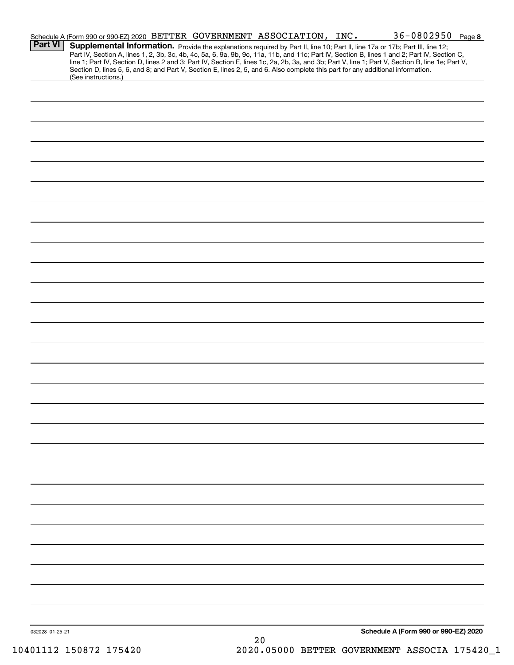|                 | Schedule A (Form 990 or 990-EZ) 2020 BETTER GOVERNMENT ASSOCIATION, INC.                                                                                                                                                                                                                                                                                                                                                          |  |    | 36-0802950 Page 8                    |  |
|-----------------|-----------------------------------------------------------------------------------------------------------------------------------------------------------------------------------------------------------------------------------------------------------------------------------------------------------------------------------------------------------------------------------------------------------------------------------|--|----|--------------------------------------|--|
| <b>Part VI</b>  | Supplemental Information. Provide the explanations required by Part II, line 10; Part II, line 17a or 17b; Part III, line 12;<br>Part IV, Section A, lines 1, 2, 3b, 3c, 4b, 4c, 5a, 6, 9a, 9b, 9c, 11a, 11b, and 11c; Part IV, Section B, lines 1 and 2; Part IV, Section C,<br>line 1; Part IV, Section D, lines 2 and 3; Part IV, Section E, lines 1c, 2a, 2b, 3a, and 3b; Part V, line 1; Part V, Section B, line 1e; Part V, |  |    |                                      |  |
|                 | Section D, lines 5, 6, and 8; and Part V, Section E, lines 2, 5, and 6. Also complete this part for any additional information.<br>(See instructions.)                                                                                                                                                                                                                                                                            |  |    |                                      |  |
|                 |                                                                                                                                                                                                                                                                                                                                                                                                                                   |  |    |                                      |  |
|                 |                                                                                                                                                                                                                                                                                                                                                                                                                                   |  |    |                                      |  |
|                 |                                                                                                                                                                                                                                                                                                                                                                                                                                   |  |    |                                      |  |
|                 |                                                                                                                                                                                                                                                                                                                                                                                                                                   |  |    |                                      |  |
|                 |                                                                                                                                                                                                                                                                                                                                                                                                                                   |  |    |                                      |  |
|                 |                                                                                                                                                                                                                                                                                                                                                                                                                                   |  |    |                                      |  |
|                 |                                                                                                                                                                                                                                                                                                                                                                                                                                   |  |    |                                      |  |
|                 |                                                                                                                                                                                                                                                                                                                                                                                                                                   |  |    |                                      |  |
|                 |                                                                                                                                                                                                                                                                                                                                                                                                                                   |  |    |                                      |  |
|                 |                                                                                                                                                                                                                                                                                                                                                                                                                                   |  |    |                                      |  |
|                 |                                                                                                                                                                                                                                                                                                                                                                                                                                   |  |    |                                      |  |
|                 |                                                                                                                                                                                                                                                                                                                                                                                                                                   |  |    |                                      |  |
|                 |                                                                                                                                                                                                                                                                                                                                                                                                                                   |  |    |                                      |  |
|                 |                                                                                                                                                                                                                                                                                                                                                                                                                                   |  |    |                                      |  |
|                 |                                                                                                                                                                                                                                                                                                                                                                                                                                   |  |    |                                      |  |
|                 |                                                                                                                                                                                                                                                                                                                                                                                                                                   |  |    |                                      |  |
|                 |                                                                                                                                                                                                                                                                                                                                                                                                                                   |  |    |                                      |  |
|                 |                                                                                                                                                                                                                                                                                                                                                                                                                                   |  |    |                                      |  |
|                 |                                                                                                                                                                                                                                                                                                                                                                                                                                   |  |    |                                      |  |
|                 |                                                                                                                                                                                                                                                                                                                                                                                                                                   |  |    |                                      |  |
|                 |                                                                                                                                                                                                                                                                                                                                                                                                                                   |  |    |                                      |  |
|                 |                                                                                                                                                                                                                                                                                                                                                                                                                                   |  |    |                                      |  |
|                 |                                                                                                                                                                                                                                                                                                                                                                                                                                   |  |    |                                      |  |
|                 |                                                                                                                                                                                                                                                                                                                                                                                                                                   |  |    |                                      |  |
|                 |                                                                                                                                                                                                                                                                                                                                                                                                                                   |  |    |                                      |  |
|                 |                                                                                                                                                                                                                                                                                                                                                                                                                                   |  |    |                                      |  |
|                 |                                                                                                                                                                                                                                                                                                                                                                                                                                   |  |    |                                      |  |
|                 |                                                                                                                                                                                                                                                                                                                                                                                                                                   |  |    |                                      |  |
|                 |                                                                                                                                                                                                                                                                                                                                                                                                                                   |  |    |                                      |  |
|                 |                                                                                                                                                                                                                                                                                                                                                                                                                                   |  |    |                                      |  |
|                 |                                                                                                                                                                                                                                                                                                                                                                                                                                   |  |    |                                      |  |
| 032028 01-25-21 |                                                                                                                                                                                                                                                                                                                                                                                                                                   |  |    | Schedule A (Form 990 or 990-EZ) 2020 |  |
|                 |                                                                                                                                                                                                                                                                                                                                                                                                                                   |  | っぃ |                                      |  |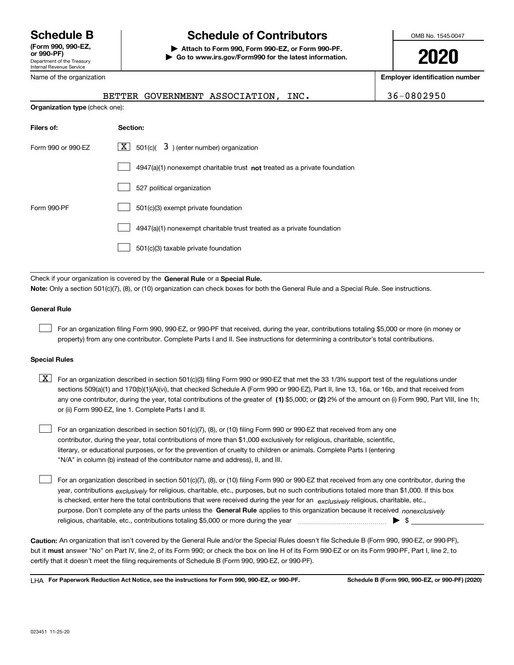Department of the Treasury Internal Revenue Service **(Form 990, 990-EZ, or 990-PF)**

Name of the organization

# **Schedule B Schedule of Contributors**

**| Attach to Form 990, Form 990-EZ, or Form 990-PF. | Go to www.irs.gov/Form990 for the latest information.** OMB No. 1545-0047

**2020**

**Employer identification number**

|                                                                                  | BETTER GOVERNMENT ASSOCIATION, INC.                                                                                                        | 36-0802950 |  |  |  |
|----------------------------------------------------------------------------------|--------------------------------------------------------------------------------------------------------------------------------------------|------------|--|--|--|
| Organization type (check one):                                                   |                                                                                                                                            |            |  |  |  |
| Filers of:                                                                       | Section:                                                                                                                                   |            |  |  |  |
| $\lfloor x \rfloor$ 501(c)( 3) (enter number) organization<br>Form 990 or 990-EZ |                                                                                                                                            |            |  |  |  |
|                                                                                  | 4947(a)(1) nonexempt charitable trust not treated as a private foundation                                                                  |            |  |  |  |
|                                                                                  | 527 political organization                                                                                                                 |            |  |  |  |
| Form 990-PF                                                                      | 501(c)(3) exempt private foundation                                                                                                        |            |  |  |  |
|                                                                                  | 4947(a)(1) nonexempt charitable trust treated as a private foundation                                                                      |            |  |  |  |
|                                                                                  | 501(c)(3) taxable private foundation                                                                                                       |            |  |  |  |
|                                                                                  | Check if your organization is covered by the General Rule or a Special Rule.                                                               |            |  |  |  |
|                                                                                  | Note: Only a section 501(c)(7), (8), or (10) organization can check boxes for both the General Rule and a Special Rule. See instructions.  |            |  |  |  |
| <b>General Rule</b>                                                              |                                                                                                                                            |            |  |  |  |
|                                                                                  | For an organization filing Form 990, 990-EZ, or 990-PF that received, during the year, contributions totaling \$5,000 or more (in money or |            |  |  |  |

property) from any one contributor. Complete Parts I and II. See instructions for determining a contributor's total contributions.

#### **Special Rules**

| $\boxed{\textbf{X}}$ For an organization described in section 501(c)(3) filing Form 990 or 990-EZ that met the 33 1/3% support test of the regulations under |
|--------------------------------------------------------------------------------------------------------------------------------------------------------------|
| sections 509(a)(1) and 170(b)(1)(A)(vi), that checked Schedule A (Form 990 or 990-EZ), Part II, line 13, 16a, or 16b, and that received from                 |
| any one contributor, during the year, total contributions of the greater of (1) \$5,000; or (2) 2% of the amount on (i) Form 990, Part VIII, line 1h;        |
| or (ii) Form 990-EZ, line 1. Complete Parts I and II.                                                                                                        |

For an organization described in section 501(c)(7), (8), or (10) filing Form 990 or 990-EZ that received from any one contributor, during the year, total contributions of more than \$1,000 exclusively for religious, charitable, scientific, literary, or educational purposes, or for the prevention of cruelty to children or animals. Complete Parts I (entering "N/A" in column (b) instead of the contributor name and address), II, and III.  $\mathcal{L}^{\text{max}}$ 

purpose. Don't complete any of the parts unless the **General Rule** applies to this organization because it received *nonexclusively* year, contributions <sub>exclusively</sub> for religious, charitable, etc., purposes, but no such contributions totaled more than \$1,000. If this box is checked, enter here the total contributions that were received during the year for an  $\;$ exclusively religious, charitable, etc., For an organization described in section 501(c)(7), (8), or (10) filing Form 990 or 990-EZ that received from any one contributor, during the religious, charitable, etc., contributions totaling \$5,000 or more during the year  $\Box$ — $\Box$  =  $\Box$  $\mathcal{L}^{\text{max}}$ 

**Caution:**  An organization that isn't covered by the General Rule and/or the Special Rules doesn't file Schedule B (Form 990, 990-EZ, or 990-PF), but it **must** answer "No" on Part IV, line 2, of its Form 990; or check the box on line H of its Form 990-EZ or on its Form 990-PF, Part I, line 2, to<br>cortify that it doesn't meet the filipe requirements of Schodule B (Fer certify that it doesn't meet the filing requirements of Schedule B (Form 990, 990-EZ, or 990-PF).

**For Paperwork Reduction Act Notice, see the instructions for Form 990, 990-EZ, or 990-PF. Schedule B (Form 990, 990-EZ, or 990-PF) (2020)** LHA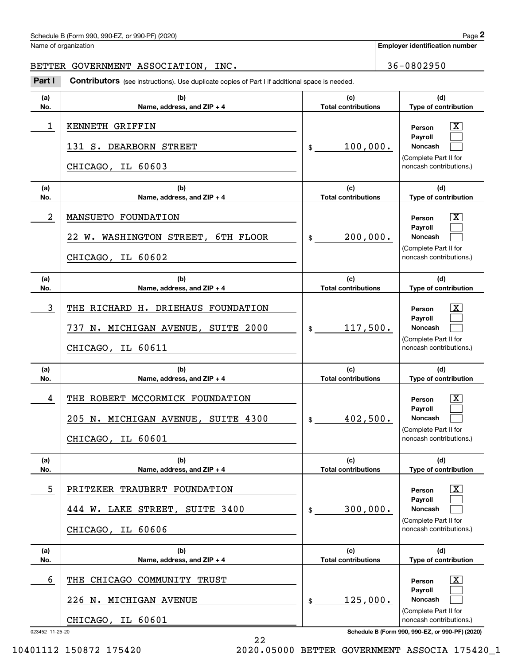# Schedule B (Form 990, 990-EZ, or 990-PF) (2020) Page 2

#### BETTER GOVERNMENT ASSOCIATION, INC. 49 | 36-0802950

|                 | Schedule B (Form 990, 990-EZ, or 990-PF) (2020)                                                |                                   |                             | Page 2                                                                                                             |
|-----------------|------------------------------------------------------------------------------------------------|-----------------------------------|-----------------------------|--------------------------------------------------------------------------------------------------------------------|
|                 | Name of organization                                                                           |                                   |                             | <b>Employer identification number</b>                                                                              |
|                 | BETTER GOVERNMENT ASSOCIATION, INC.                                                            |                                   |                             | 36-0802950                                                                                                         |
| Part I          | Contributors (see instructions). Use duplicate copies of Part I if additional space is needed. |                                   |                             |                                                                                                                    |
| (a)<br>No.      | (c)<br>(b)<br><b>Total contributions</b><br>Name, address, and ZIP + 4                         |                                   | (d)<br>Type of contribution |                                                                                                                    |
| 1               | KENNETH GRIFFIN<br>131 S. DEARBORN STREET<br>CHICAGO, IL 60603                                 | 100,000.<br>\$                    |                             | $\overline{\mathbf{X}}$<br>Person<br>Payroll<br>Noncash<br>(Complete Part II for<br>noncash contributions.)        |
| (a)<br>No.      | (b)<br>Name, address, and ZIP + 4                                                              | (c)<br><b>Total contributions</b> |                             | (d)<br>Type of contribution                                                                                        |
| 2               | MANSUETO FOUNDATION<br>22 W. WASHINGTON STREET, 6TH FLOOR<br>CHICAGO, IL 60602                 | 200,000.<br>\$                    |                             | $\overline{\mathbf{X}}$<br>Person<br>Payroll<br>Noncash<br>(Complete Part II for<br>noncash contributions.)        |
| (a)<br>No.      | (b)<br>Name, address, and ZIP + 4                                                              | (c)<br><b>Total contributions</b> |                             | (d)<br>Type of contribution                                                                                        |
| 3               | THE RICHARD H. DRIEHAUS FOUNDATION<br>737 N. MICHIGAN AVENUE, SUITE 2000<br>CHICAGO, IL 60611  | 117,500.<br>\$                    |                             | $\overline{\text{X}}$<br>Person<br>Payroll<br>Noncash<br>(Complete Part II for<br>noncash contributions.)          |
| (a)<br>No.      | (b)<br>Name, address, and ZIP + 4                                                              | (c)<br><b>Total contributions</b> |                             | (d)<br>Type of contribution                                                                                        |
| 4               | THE ROBERT MCCORMICK FOUNDATION<br>205 N. MICHIGAN AVENUE, SUITE 4300<br>CHICAGO, IL 60601     | 402,500.<br>\$                    |                             | $\overline{\mathbf{X}}$<br>Person<br><b>Payroll</b><br>Noncash<br>(Complete Part II for<br>noncash contributions.) |
| (a)<br>No.      | (b)<br>Name, address, and ZIP + 4                                                              | (c)<br><b>Total contributions</b> |                             | (d)<br>Type of contribution                                                                                        |
| 5               | PRITZKER TRAUBERT FOUNDATION<br>444 W. LAKE STREET, SUITE 3400<br>CHICAGO, IL 60606            | 300,000.<br>\$                    |                             | $\overline{\mathbf{X}}$<br>Person<br>Payroll<br>Noncash<br>(Complete Part II for<br>noncash contributions.)        |
| (a)<br>No.      | (b)<br>Name, address, and ZIP + 4                                                              | (c)<br><b>Total contributions</b> |                             | (d)<br>Type of contribution                                                                                        |
| 6               | THE CHICAGO COMMUNITY TRUST                                                                    |                                   |                             | $\overline{\mathbf{X}}$<br>Person                                                                                  |
|                 | 226 N. MICHIGAN AVENUE                                                                         | 125,000.<br>\$                    |                             | Payroll<br>Noncash<br>(Complete Part II for                                                                        |
| 023452 11-25-20 | CHICAGO, IL 60601                                                                              |                                   |                             | noncash contributions.)<br>Schedule B (Form 990, 990-EZ, or 990-PF) (2020)                                         |

22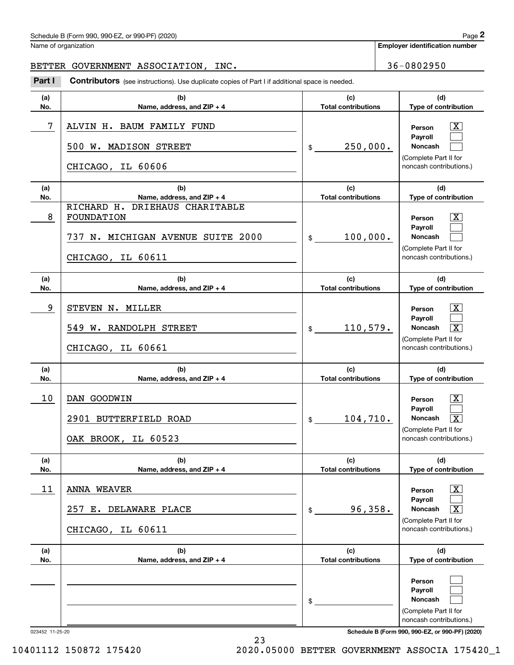# Schedule B (Form 990, 990-EZ, or 990-PF) (2020) Page 2

#### BETTER GOVERNMENT ASSOCIATION, INC. 49 | 36-0802950

|            | Schedule B (Form 990, 990-EZ, or 990-PF) (2020)                                                                                         |                                              | Page 2                                                                                                                              |
|------------|-----------------------------------------------------------------------------------------------------------------------------------------|----------------------------------------------|-------------------------------------------------------------------------------------------------------------------------------------|
|            | Name of organization                                                                                                                    |                                              | <b>Employer identification number</b>                                                                                               |
|            | BETTER GOVERNMENT ASSOCIATION, INC.                                                                                                     |                                              | 36-0802950                                                                                                                          |
| Part I     | Contributors (see instructions). Use duplicate copies of Part I if additional space is needed.                                          |                                              |                                                                                                                                     |
| (a)<br>No. | (c)<br>(b)<br><b>Total contributions</b><br>Name, address, and ZIP + 4                                                                  |                                              | (d)<br>Type of contribution                                                                                                         |
| 7          | ALVIN H. BAUM FAMILY FUND<br>500 W. MADISON STREET<br>CHICAGO, IL 60606                                                                 | 250,000.<br>\$                               | $\overline{\text{X}}$<br>Person<br>Payroll<br>Noncash<br>(Complete Part II for<br>noncash contributions.)                           |
| (a)        | (b)                                                                                                                                     | (c)                                          | (d)                                                                                                                                 |
| No.<br>8   | Name, address, and ZIP + 4<br>RICHARD H.<br>DRIEHAUS CHARITABLE<br>FOUNDATION<br>737 N. MICHIGAN AVENUE SUITE 2000<br>CHICAGO, IL 60611 | <b>Total contributions</b><br>100,000.<br>\$ | Type of contribution<br>$\overline{\mathbf{X}}$<br>Person<br>Payroll<br>Noncash<br>(Complete Part II for<br>noncash contributions.) |
| (a)<br>No. | (b)<br>Name, address, and ZIP + 4                                                                                                       | (c)<br><b>Total contributions</b>            | (d)<br>Type of contribution                                                                                                         |
| 9          | STEVEN N. MILLER<br>549 W. RANDOLPH STREET<br>CHICAGO, IL 60661                                                                         | 110,579.<br>$$\mathbb{S}$$                   | $\mathbf{X}$<br>Person<br>Payroll<br>$\overline{\mathbf{x}}$<br>Noncash<br>(Complete Part II for<br>noncash contributions.)         |
| (a)<br>No. | (b)<br>Name, address, and ZIP + 4                                                                                                       | (c)<br><b>Total contributions</b>            | (d)<br>Type of contribution                                                                                                         |
| 10         | DAN GOODWIN<br>2901 BUTTERFIELD ROAD<br>OAK BROOK, IL 60523                                                                             | 104,710.<br>\$                               | $\mathbf{X}$<br>Person<br><b>Payroll</b><br>Noncash<br>$\overline{\text{X}}$<br>(Complete Part II for<br>noncash contributions.)    |
| (a)<br>No. | (b)<br>Name, address, and ZIP + 4                                                                                                       | (c)<br><b>Total contributions</b>            | (d)<br>Type of contribution                                                                                                         |
| 11         | <b>ANNA WEAVER</b><br>257 E. DELAWARE PLACE<br>CHICAGO, IL 60611                                                                        | 96,358.<br>\$                                | $\boxed{\text{X}}$<br>Person<br>Payroll<br>Noncash<br>$\overline{\mathbf{X}}$<br>(Complete Part II for<br>noncash contributions.)   |
| (a)<br>No. | (b)<br>Name, address, and ZIP + 4                                                                                                       | (c)<br><b>Total contributions</b>            | (d)<br>Type of contribution                                                                                                         |
|            |                                                                                                                                         | \$                                           | Person<br>Payroll<br><b>Noncash</b><br>(Complete Part II for<br>noncash contributions.)                                             |

23

023452 11-25-20 **Schedule B (Form 990, 990-EZ, or 990-PF) (2020)**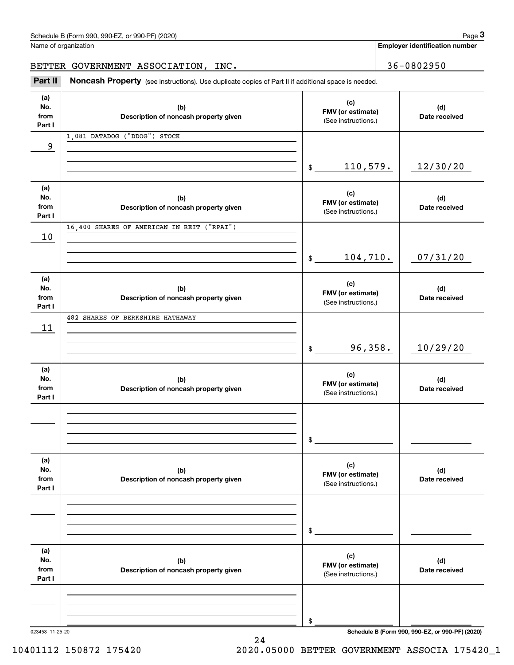| Schedule B (Form 990, 990-EZ, or 990-PF) (2020) | Page |
|-------------------------------------------------|------|
|-------------------------------------------------|------|

|                              | Schedule B (Form 990, 990-EZ, or 990-PF) (2020)                                                     |                                                 |  | Page 3                                |
|------------------------------|-----------------------------------------------------------------------------------------------------|-------------------------------------------------|--|---------------------------------------|
|                              | Name of organization                                                                                |                                                 |  | <b>Employer identification number</b> |
|                              | BETTER GOVERNMENT ASSOCIATION, INC.                                                                 | 36-0802950                                      |  |                                       |
| Part II                      | Noncash Property (see instructions). Use duplicate copies of Part II if additional space is needed. |                                                 |  |                                       |
| (a)<br>No.<br>from<br>Part I | (b)<br>Description of noncash property given                                                        | (c)<br>FMV (or estimate)<br>(See instructions.) |  | (d)<br>Date received                  |
| 9                            | 1,081 DATADOG ("DDOG") STOCK                                                                        |                                                 |  |                                       |
|                              |                                                                                                     | 110,579.<br>\$                                  |  | 12/30/20                              |
| (a)<br>No.<br>from<br>Part I | (b)<br>Description of noncash property given                                                        | (c)<br>FMV (or estimate)<br>(See instructions.) |  | (d)<br>Date received                  |
| 10                           | 16,400 SHARES OF AMERICAN IN REIT ("RPAI")                                                          |                                                 |  |                                       |
|                              |                                                                                                     | 104,710.<br>\$                                  |  | 07/31/20                              |
| (a)<br>No.<br>from<br>Part I | (b)<br>Description of noncash property given                                                        | (c)<br>FMV (or estimate)<br>(See instructions.) |  | (d)<br>Date received                  |
| 11                           | 482 SHARES OF BERKSHIRE HATHAWAY                                                                    |                                                 |  |                                       |
|                              |                                                                                                     | 96,358.<br>\$                                   |  | 10/29/20                              |
| (a)<br>No.<br>from<br>Part I | (b)<br>Description of noncash property given                                                        | (c)<br>FMV (or estimate)<br>(See instructions.) |  | (d)<br>Date received                  |
|                              |                                                                                                     |                                                 |  |                                       |
|                              |                                                                                                     | \$                                              |  |                                       |
| (a)<br>No.<br>from<br>Part I | (b)<br>Description of noncash property given                                                        | (c)<br>FMV (or estimate)<br>(See instructions.) |  | (d)<br>Date received                  |
|                              |                                                                                                     |                                                 |  |                                       |
|                              |                                                                                                     | \$                                              |  |                                       |
| (a)<br>No.<br>from<br>Part I | (b)<br>Description of noncash property given                                                        | (c)<br>FMV (or estimate)<br>(See instructions.) |  | (d)<br>Date received                  |
|                              |                                                                                                     |                                                 |  |                                       |
|                              |                                                                                                     | \$                                              |  |                                       |
|                              |                                                                                                     |                                                 |  |                                       |

24

023453 11-25-20 **Schedule B (Form 990, 990-EZ, or 990-PF) (2020)**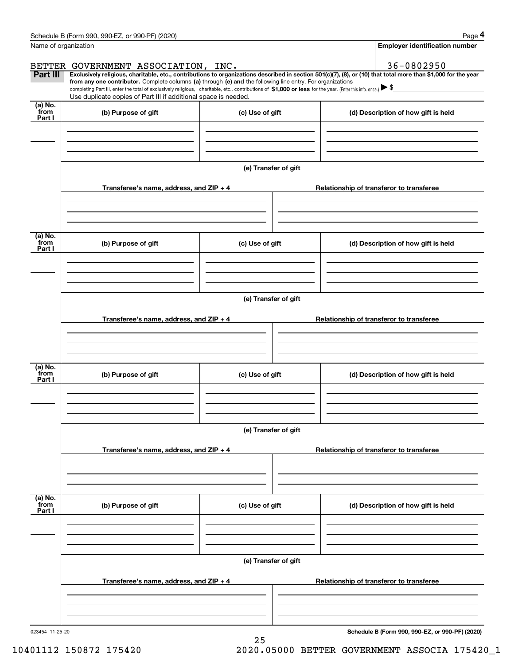|                           | Schedule B (Form 990, 990-EZ, or 990-PF) (2020)                                                                                                                                                                                                                                                                                                                    |                      |  | Page 4                                                                                                                                                         |  |  |  |  |
|---------------------------|--------------------------------------------------------------------------------------------------------------------------------------------------------------------------------------------------------------------------------------------------------------------------------------------------------------------------------------------------------------------|----------------------|--|----------------------------------------------------------------------------------------------------------------------------------------------------------------|--|--|--|--|
| Name of organization      |                                                                                                                                                                                                                                                                                                                                                                    |                      |  | <b>Employer identification number</b>                                                                                                                          |  |  |  |  |
|                           | BETTER GOVERNMENT ASSOCIATION, INC.                                                                                                                                                                                                                                                                                                                                |                      |  | 36-0802950                                                                                                                                                     |  |  |  |  |
| Part III                  | from any one contributor. Complete columns (a) through (e) and the following line entry. For organizations<br>completing Part III, enter the total of exclusively religious, charitable, etc., contributions of \$1,000 or less for the year. (Enter this info. once.) $\blacktriangleright$ \$<br>Use duplicate copies of Part III if additional space is needed. |                      |  | Exclusively religious, charitable, etc., contributions to organizations described in section 501(c)(7), (8), or (10) that total more than \$1,000 for the year |  |  |  |  |
| (a) No.<br>from<br>Part I | (b) Purpose of gift                                                                                                                                                                                                                                                                                                                                                | (c) Use of gift      |  | (d) Description of how gift is held                                                                                                                            |  |  |  |  |
|                           |                                                                                                                                                                                                                                                                                                                                                                    |                      |  |                                                                                                                                                                |  |  |  |  |
|                           |                                                                                                                                                                                                                                                                                                                                                                    | (e) Transfer of gift |  |                                                                                                                                                                |  |  |  |  |
|                           | Transferee's name, address, and ZIP + 4                                                                                                                                                                                                                                                                                                                            |                      |  | Relationship of transferor to transferee                                                                                                                       |  |  |  |  |
|                           |                                                                                                                                                                                                                                                                                                                                                                    |                      |  |                                                                                                                                                                |  |  |  |  |
| (a) No.<br>from<br>Part I | (b) Purpose of gift                                                                                                                                                                                                                                                                                                                                                | (c) Use of gift      |  | (d) Description of how gift is held                                                                                                                            |  |  |  |  |
|                           |                                                                                                                                                                                                                                                                                                                                                                    |                      |  |                                                                                                                                                                |  |  |  |  |
|                           | (e) Transfer of gift                                                                                                                                                                                                                                                                                                                                               |                      |  |                                                                                                                                                                |  |  |  |  |
|                           | Transferee's name, address, and ZIP + 4                                                                                                                                                                                                                                                                                                                            |                      |  | Relationship of transferor to transferee                                                                                                                       |  |  |  |  |
|                           |                                                                                                                                                                                                                                                                                                                                                                    |                      |  |                                                                                                                                                                |  |  |  |  |
| (a) No.<br>from<br>Part I | (b) Purpose of gift                                                                                                                                                                                                                                                                                                                                                | (c) Use of gift      |  | (d) Description of how gift is held                                                                                                                            |  |  |  |  |
|                           |                                                                                                                                                                                                                                                                                                                                                                    |                      |  |                                                                                                                                                                |  |  |  |  |
|                           |                                                                                                                                                                                                                                                                                                                                                                    | (e) Transfer of gift |  |                                                                                                                                                                |  |  |  |  |
|                           | Transferee's name, address, and ZIP + 4                                                                                                                                                                                                                                                                                                                            |                      |  | Relationship of transferor to transferee                                                                                                                       |  |  |  |  |
|                           |                                                                                                                                                                                                                                                                                                                                                                    |                      |  |                                                                                                                                                                |  |  |  |  |
| (a) No.<br>from           | (b) Purpose of gift                                                                                                                                                                                                                                                                                                                                                | (c) Use of gift      |  | (d) Description of how gift is held                                                                                                                            |  |  |  |  |
| Part I                    |                                                                                                                                                                                                                                                                                                                                                                    |                      |  |                                                                                                                                                                |  |  |  |  |
|                           |                                                                                                                                                                                                                                                                                                                                                                    |                      |  |                                                                                                                                                                |  |  |  |  |
|                           |                                                                                                                                                                                                                                                                                                                                                                    | (e) Transfer of gift |  |                                                                                                                                                                |  |  |  |  |
|                           | Transferee's name, address, and $ZIP + 4$                                                                                                                                                                                                                                                                                                                          |                      |  | Relationship of transferor to transferee                                                                                                                       |  |  |  |  |
|                           |                                                                                                                                                                                                                                                                                                                                                                    |                      |  |                                                                                                                                                                |  |  |  |  |

25

**Schedule B (Form 990, 990-EZ, or 990-PF) (2020)**

10401112 150872 175420 2020.05000 BETTER GOVERNMENT ASSOCIA 175420\_1

Schedule B (Form 990, 990-EZ, or 990-PF) (2020) Page 4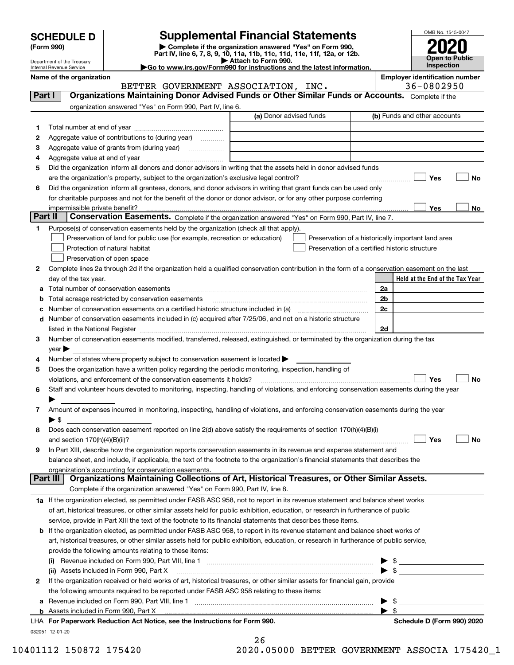| <b>SCHEDULE D</b> |  |
|-------------------|--|
|-------------------|--|

| (Form 990) |  |
|------------|--|
|------------|--|

# **Supplemental Financial Statements**

(Form 990)<br>
Pepartment of the Treasury<br>
Department of the Treasury<br>
Department of the Treasury<br>
Department of the Treasury<br> **Co to www.irs.gov/Form990 for instructions and the latest information.**<br> **Co to www.irs.gov/Form9** 



Department of the Treasury Internal Revenue Service **Name of the organization Employer identification number**

|                 | BETTER GOVERNMENT ASSOCIATION, INC.                                                                                                                                                                                           | 36-0802950                                         |
|-----------------|-------------------------------------------------------------------------------------------------------------------------------------------------------------------------------------------------------------------------------|----------------------------------------------------|
| <b>Part I</b>   | Organizations Maintaining Donor Advised Funds or Other Similar Funds or Accounts. Complete if the                                                                                                                             |                                                    |
|                 | organization answered "Yes" on Form 990, Part IV, line 6.                                                                                                                                                                     |                                                    |
|                 | (a) Donor advised funds                                                                                                                                                                                                       | (b) Funds and other accounts                       |
| 1.              |                                                                                                                                                                                                                               |                                                    |
| 2               | Aggregate value of contributions to (during year)                                                                                                                                                                             |                                                    |
| з               |                                                                                                                                                                                                                               |                                                    |
| 4               |                                                                                                                                                                                                                               |                                                    |
| 5               | Did the organization inform all donors and donor advisors in writing that the assets held in donor advised funds                                                                                                              |                                                    |
|                 |                                                                                                                                                                                                                               | Yes<br>No                                          |
| 6               | Did the organization inform all grantees, donors, and donor advisors in writing that grant funds can be used only                                                                                                             |                                                    |
|                 | for charitable purposes and not for the benefit of the donor or donor advisor, or for any other purpose conferring                                                                                                            |                                                    |
|                 |                                                                                                                                                                                                                               | Yes<br>No                                          |
| <b>Part II</b>  | Conservation Easements. Complete if the organization answered "Yes" on Form 990, Part IV, line 7.                                                                                                                             |                                                    |
| 1               | Purpose(s) of conservation easements held by the organization (check all that apply).                                                                                                                                         |                                                    |
|                 | Preservation of land for public use (for example, recreation or education)                                                                                                                                                    | Preservation of a historically important land area |
|                 | Protection of natural habitat                                                                                                                                                                                                 | Preservation of a certified historic structure     |
|                 | Preservation of open space                                                                                                                                                                                                    |                                                    |
| 2               | Complete lines 2a through 2d if the organization held a qualified conservation contribution in the form of a conservation easement on the last                                                                                |                                                    |
|                 | day of the tax year.                                                                                                                                                                                                          | Held at the End of the Tax Year                    |
| a               | Total number of conservation easements                                                                                                                                                                                        | 2a                                                 |
| b               | Total acreage restricted by conservation easements                                                                                                                                                                            | 2 <sub>b</sub>                                     |
| с               |                                                                                                                                                                                                                               | 2c                                                 |
| d               | Number of conservation easements included in (c) acquired after 7/25/06, and not on a historic structure                                                                                                                      |                                                    |
|                 | listed in the National Register [111] Marshall Register [11] Marshall Register [11] Marshall Register [11] Marshall Register [11] Marshall Register [11] Marshall Register [11] Marshall Register [11] Marshall Register [11] | 2d                                                 |
| 3               | Number of conservation easements modified, transferred, released, extinguished, or terminated by the organization during the tax                                                                                              |                                                    |
|                 | year                                                                                                                                                                                                                          |                                                    |
| 4               | Number of states where property subject to conservation easement is located >                                                                                                                                                 |                                                    |
| 5               | Does the organization have a written policy regarding the periodic monitoring, inspection, handling of                                                                                                                        |                                                    |
|                 | violations, and enforcement of the conservation easements it holds?                                                                                                                                                           | Yes<br>No                                          |
| 6               | Staff and volunteer hours devoted to monitoring, inspecting, handling of violations, and enforcing conservation easements during the year                                                                                     |                                                    |
|                 |                                                                                                                                                                                                                               |                                                    |
| 7               | Amount of expenses incurred in monitoring, inspecting, handling of violations, and enforcing conservation easements during the year                                                                                           |                                                    |
|                 | $\blacktriangleright$ s                                                                                                                                                                                                       |                                                    |
| 8               | Does each conservation easement reported on line 2(d) above satisfy the requirements of section 170(h)(4)(B)(i)                                                                                                               |                                                    |
|                 |                                                                                                                                                                                                                               | Yes<br>No                                          |
| 9               | In Part XIII, describe how the organization reports conservation easements in its revenue and expense statement and                                                                                                           |                                                    |
|                 | balance sheet, and include, if applicable, the text of the footnote to the organization's financial statements that describes the                                                                                             |                                                    |
|                 | organization's accounting for conservation easements.                                                                                                                                                                         |                                                    |
| <b>Part III</b> | Organizations Maintaining Collections of Art, Historical Treasures, or Other Similar Assets.                                                                                                                                  |                                                    |
|                 | Complete if the organization answered "Yes" on Form 990, Part IV, line 8.                                                                                                                                                     |                                                    |
|                 | 1a If the organization elected, as permitted under FASB ASC 958, not to report in its revenue statement and balance sheet works                                                                                               |                                                    |
|                 | of art, historical treasures, or other similar assets held for public exhibition, education, or research in furtherance of public                                                                                             |                                                    |
|                 | service, provide in Part XIII the text of the footnote to its financial statements that describes these items.                                                                                                                |                                                    |
| b               | If the organization elected, as permitted under FASB ASC 958, to report in its revenue statement and balance sheet works of                                                                                                   |                                                    |
|                 | art, historical treasures, or other similar assets held for public exhibition, education, or research in furtherance of public service,                                                                                       |                                                    |
|                 | provide the following amounts relating to these items:                                                                                                                                                                        |                                                    |
|                 | (i)                                                                                                                                                                                                                           |                                                    |
|                 | (ii) Assets included in Form 990, Part X                                                                                                                                                                                      | $\blacktriangleright$ \$                           |
| 2               | If the organization received or held works of art, historical treasures, or other similar assets for financial gain, provide                                                                                                  |                                                    |
|                 | the following amounts required to be reported under FASB ASC 958 relating to these items:                                                                                                                                     |                                                    |
| а               | Revenue included on Form 990, Part VIII, line 1 manufactured contracts and contracts and contracts and contracts                                                                                                              | \$<br>▶                                            |
|                 |                                                                                                                                                                                                                               | $\blacktriangleright$ s                            |
|                 | LHA For Paperwork Reduction Act Notice, see the Instructions for Form 990.                                                                                                                                                    | Schedule D (Form 990) 2020                         |
|                 | 032051 12-01-20                                                                                                                                                                                                               |                                                    |
|                 | ን ፎ                                                                                                                                                                                                                           |                                                    |

| 26  |              |   |
|-----|--------------|---|
| ጎ ሰ | <b>OEOOO</b> | ᠇ |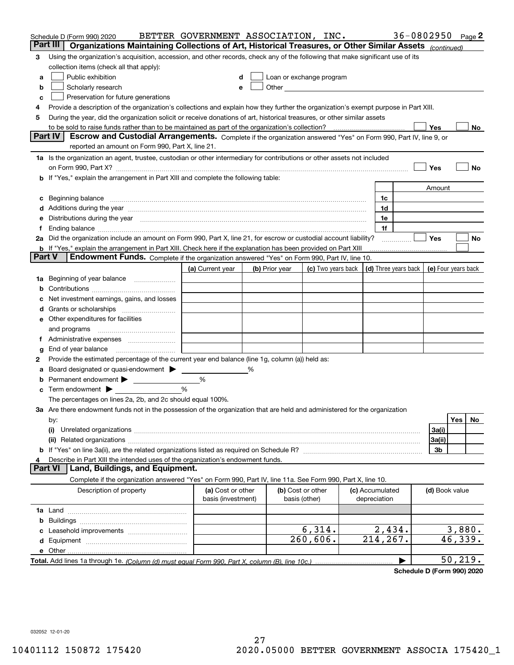| Part III<br>Organizations Maintaining Collections of Art, Historical Treasures, or Other Similar Assets (continued)<br>Using the organization's acquisition, accession, and other records, check any of the following that make significant use of its<br>3<br>collection items (check all that apply):<br>Public exhibition<br>Loan or exchange program<br>a<br>Scholarly research<br>b<br>е<br>Preservation for future generations<br>с<br>Provide a description of the organization's collections and explain how they further the organization's exempt purpose in Part XIII.<br>4<br>During the year, did the organization solicit or receive donations of art, historical treasures, or other similar assets<br>5<br>Yes<br>to be sold to raise funds rather than to be maintained as part of the organization's collection?<br>No<br><b>Part IV</b><br>Escrow and Custodial Arrangements. Complete if the organization answered "Yes" on Form 990, Part IV, line 9, or<br>reported an amount on Form 990, Part X, line 21.<br>1a Is the organization an agent, trustee, custodian or other intermediary for contributions or other assets not included<br>Yes<br>No<br>on Form 990, Part X? [11] matter contracts and contracts and contracts are contracted and contracts are contracted and contract and contract of the contract of the contract of the contract of the contract of the contract o<br>b If "Yes," explain the arrangement in Part XIII and complete the following table:<br>Amount<br>Beginning balance measurements and contain a series of the series of the series of the series of the series of<br>1c<br>c<br>Additions during the year manufactured and an annual contract of the year manufactured and all the year manufactured and all the year manufactured and all the year manufactured and all the year manufactured and all the yea<br>1d<br>Distributions during the year manufactured and an account of the state of the state of the state of the state o<br>1e<br>1f<br>Ť.<br>2a Did the organization include an amount on Form 990, Part X, line 21, for escrow or custodial account liability?<br>Yes<br>No<br>.<br><b>b</b> If "Yes," explain the arrangement in Part XIII. Check here if the explanation has been provided on Part XIII<br>Part V<br>Endowment Funds. Complete if the organization answered "Yes" on Form 990, Part IV, line 10.<br>(d) Three years back<br>(a) Current year<br>(c) Two years back<br>(e) Four years back<br>(b) Prior year<br>Beginning of year balance<br>1a<br>Net investment earnings, gains, and losses<br>d<br>e Other expenditures for facilities<br>and programs<br>g<br>Provide the estimated percentage of the current year end balance (line 1g, column (a)) held as:<br>2<br>Board designated or quasi-endowment<br>℅<br>а<br>Permanent endowment > <u>example</u><br>%<br>%<br>Term endowment $\blacktriangleright$<br>The percentages on lines 2a, 2b, and 2c should equal 100%.<br>3a Are there endowment funds not in the possession of the organization that are held and administered for the organization<br>Yes<br>No.<br>by:<br>3a(i)<br>(i)<br>3a(ii)<br>3b<br>Describe in Part XIII the intended uses of the organization's endowment funds.<br>Land, Buildings, and Equipment.<br>Part VI<br>Complete if the organization answered "Yes" on Form 990, Part IV, line 11a. See Form 990, Part X, line 10.<br>Description of property<br>(a) Cost or other<br>(b) Cost or other<br>(c) Accumulated<br>(d) Book value<br>basis (investment)<br>basis (other)<br>depreciation<br>b<br>6,314.<br>2,434.<br>260,606.<br>214,267.<br>46,339.<br>50, 219. | Schedule D (Form 990) 2020 | BETTER GOVERNMENT ASSOCIATION, INC. |  |  | 36-0802950 |  | Page 2 |
|----------------------------------------------------------------------------------------------------------------------------------------------------------------------------------------------------------------------------------------------------------------------------------------------------------------------------------------------------------------------------------------------------------------------------------------------------------------------------------------------------------------------------------------------------------------------------------------------------------------------------------------------------------------------------------------------------------------------------------------------------------------------------------------------------------------------------------------------------------------------------------------------------------------------------------------------------------------------------------------------------------------------------------------------------------------------------------------------------------------------------------------------------------------------------------------------------------------------------------------------------------------------------------------------------------------------------------------------------------------------------------------------------------------------------------------------------------------------------------------------------------------------------------------------------------------------------------------------------------------------------------------------------------------------------------------------------------------------------------------------------------------------------------------------------------------------------------------------------------------------------------------------------------------------------------------------------------------------------------------------------------------------------------------------------------------------------------------------------------------------------------------------------------------------------------------------------------------------------------------------------------------------------------------------------------------------------------------------------------------------------------------------------------------------------------------------------------------------------------------------------------------------------------------------------------------------------------------------------------------------------------------------------------------------------------------------------------------------------------------------------------------------------------------------------------------------------------------------------------------------------------------------------------------------------------------------------------------------------------------------------------------------------------------------------------------------------------------------------------------------------------------------------------------------------------------------------------------------------------------------------------------------------------------------------------------------------------------------------------------------------------------------------------------------------------------------------------------------------------------------------------------------------------------------------------------------------------------------------------------------------------------------------------|----------------------------|-------------------------------------|--|--|------------|--|--------|
| 3,880.                                                                                                                                                                                                                                                                                                                                                                                                                                                                                                                                                                                                                                                                                                                                                                                                                                                                                                                                                                                                                                                                                                                                                                                                                                                                                                                                                                                                                                                                                                                                                                                                                                                                                                                                                                                                                                                                                                                                                                                                                                                                                                                                                                                                                                                                                                                                                                                                                                                                                                                                                                                                                                                                                                                                                                                                                                                                                                                                                                                                                                                                                                                                                                                                                                                                                                                                                                                                                                                                                                                                                                                                                                                   |                            |                                     |  |  |            |  |        |
|                                                                                                                                                                                                                                                                                                                                                                                                                                                                                                                                                                                                                                                                                                                                                                                                                                                                                                                                                                                                                                                                                                                                                                                                                                                                                                                                                                                                                                                                                                                                                                                                                                                                                                                                                                                                                                                                                                                                                                                                                                                                                                                                                                                                                                                                                                                                                                                                                                                                                                                                                                                                                                                                                                                                                                                                                                                                                                                                                                                                                                                                                                                                                                                                                                                                                                                                                                                                                                                                                                                                                                                                                                                          |                            |                                     |  |  |            |  |        |
|                                                                                                                                                                                                                                                                                                                                                                                                                                                                                                                                                                                                                                                                                                                                                                                                                                                                                                                                                                                                                                                                                                                                                                                                                                                                                                                                                                                                                                                                                                                                                                                                                                                                                                                                                                                                                                                                                                                                                                                                                                                                                                                                                                                                                                                                                                                                                                                                                                                                                                                                                                                                                                                                                                                                                                                                                                                                                                                                                                                                                                                                                                                                                                                                                                                                                                                                                                                                                                                                                                                                                                                                                                                          |                            |                                     |  |  |            |  |        |
|                                                                                                                                                                                                                                                                                                                                                                                                                                                                                                                                                                                                                                                                                                                                                                                                                                                                                                                                                                                                                                                                                                                                                                                                                                                                                                                                                                                                                                                                                                                                                                                                                                                                                                                                                                                                                                                                                                                                                                                                                                                                                                                                                                                                                                                                                                                                                                                                                                                                                                                                                                                                                                                                                                                                                                                                                                                                                                                                                                                                                                                                                                                                                                                                                                                                                                                                                                                                                                                                                                                                                                                                                                                          |                            |                                     |  |  |            |  |        |
|                                                                                                                                                                                                                                                                                                                                                                                                                                                                                                                                                                                                                                                                                                                                                                                                                                                                                                                                                                                                                                                                                                                                                                                                                                                                                                                                                                                                                                                                                                                                                                                                                                                                                                                                                                                                                                                                                                                                                                                                                                                                                                                                                                                                                                                                                                                                                                                                                                                                                                                                                                                                                                                                                                                                                                                                                                                                                                                                                                                                                                                                                                                                                                                                                                                                                                                                                                                                                                                                                                                                                                                                                                                          |                            |                                     |  |  |            |  |        |
|                                                                                                                                                                                                                                                                                                                                                                                                                                                                                                                                                                                                                                                                                                                                                                                                                                                                                                                                                                                                                                                                                                                                                                                                                                                                                                                                                                                                                                                                                                                                                                                                                                                                                                                                                                                                                                                                                                                                                                                                                                                                                                                                                                                                                                                                                                                                                                                                                                                                                                                                                                                                                                                                                                                                                                                                                                                                                                                                                                                                                                                                                                                                                                                                                                                                                                                                                                                                                                                                                                                                                                                                                                                          |                            |                                     |  |  |            |  |        |
|                                                                                                                                                                                                                                                                                                                                                                                                                                                                                                                                                                                                                                                                                                                                                                                                                                                                                                                                                                                                                                                                                                                                                                                                                                                                                                                                                                                                                                                                                                                                                                                                                                                                                                                                                                                                                                                                                                                                                                                                                                                                                                                                                                                                                                                                                                                                                                                                                                                                                                                                                                                                                                                                                                                                                                                                                                                                                                                                                                                                                                                                                                                                                                                                                                                                                                                                                                                                                                                                                                                                                                                                                                                          |                            |                                     |  |  |            |  |        |
|                                                                                                                                                                                                                                                                                                                                                                                                                                                                                                                                                                                                                                                                                                                                                                                                                                                                                                                                                                                                                                                                                                                                                                                                                                                                                                                                                                                                                                                                                                                                                                                                                                                                                                                                                                                                                                                                                                                                                                                                                                                                                                                                                                                                                                                                                                                                                                                                                                                                                                                                                                                                                                                                                                                                                                                                                                                                                                                                                                                                                                                                                                                                                                                                                                                                                                                                                                                                                                                                                                                                                                                                                                                          |                            |                                     |  |  |            |  |        |
|                                                                                                                                                                                                                                                                                                                                                                                                                                                                                                                                                                                                                                                                                                                                                                                                                                                                                                                                                                                                                                                                                                                                                                                                                                                                                                                                                                                                                                                                                                                                                                                                                                                                                                                                                                                                                                                                                                                                                                                                                                                                                                                                                                                                                                                                                                                                                                                                                                                                                                                                                                                                                                                                                                                                                                                                                                                                                                                                                                                                                                                                                                                                                                                                                                                                                                                                                                                                                                                                                                                                                                                                                                                          |                            |                                     |  |  |            |  |        |
|                                                                                                                                                                                                                                                                                                                                                                                                                                                                                                                                                                                                                                                                                                                                                                                                                                                                                                                                                                                                                                                                                                                                                                                                                                                                                                                                                                                                                                                                                                                                                                                                                                                                                                                                                                                                                                                                                                                                                                                                                                                                                                                                                                                                                                                                                                                                                                                                                                                                                                                                                                                                                                                                                                                                                                                                                                                                                                                                                                                                                                                                                                                                                                                                                                                                                                                                                                                                                                                                                                                                                                                                                                                          |                            |                                     |  |  |            |  |        |
|                                                                                                                                                                                                                                                                                                                                                                                                                                                                                                                                                                                                                                                                                                                                                                                                                                                                                                                                                                                                                                                                                                                                                                                                                                                                                                                                                                                                                                                                                                                                                                                                                                                                                                                                                                                                                                                                                                                                                                                                                                                                                                                                                                                                                                                                                                                                                                                                                                                                                                                                                                                                                                                                                                                                                                                                                                                                                                                                                                                                                                                                                                                                                                                                                                                                                                                                                                                                                                                                                                                                                                                                                                                          |                            |                                     |  |  |            |  |        |
|                                                                                                                                                                                                                                                                                                                                                                                                                                                                                                                                                                                                                                                                                                                                                                                                                                                                                                                                                                                                                                                                                                                                                                                                                                                                                                                                                                                                                                                                                                                                                                                                                                                                                                                                                                                                                                                                                                                                                                                                                                                                                                                                                                                                                                                                                                                                                                                                                                                                                                                                                                                                                                                                                                                                                                                                                                                                                                                                                                                                                                                                                                                                                                                                                                                                                                                                                                                                                                                                                                                                                                                                                                                          |                            |                                     |  |  |            |  |        |
|                                                                                                                                                                                                                                                                                                                                                                                                                                                                                                                                                                                                                                                                                                                                                                                                                                                                                                                                                                                                                                                                                                                                                                                                                                                                                                                                                                                                                                                                                                                                                                                                                                                                                                                                                                                                                                                                                                                                                                                                                                                                                                                                                                                                                                                                                                                                                                                                                                                                                                                                                                                                                                                                                                                                                                                                                                                                                                                                                                                                                                                                                                                                                                                                                                                                                                                                                                                                                                                                                                                                                                                                                                                          |                            |                                     |  |  |            |  |        |
|                                                                                                                                                                                                                                                                                                                                                                                                                                                                                                                                                                                                                                                                                                                                                                                                                                                                                                                                                                                                                                                                                                                                                                                                                                                                                                                                                                                                                                                                                                                                                                                                                                                                                                                                                                                                                                                                                                                                                                                                                                                                                                                                                                                                                                                                                                                                                                                                                                                                                                                                                                                                                                                                                                                                                                                                                                                                                                                                                                                                                                                                                                                                                                                                                                                                                                                                                                                                                                                                                                                                                                                                                                                          |                            |                                     |  |  |            |  |        |
|                                                                                                                                                                                                                                                                                                                                                                                                                                                                                                                                                                                                                                                                                                                                                                                                                                                                                                                                                                                                                                                                                                                                                                                                                                                                                                                                                                                                                                                                                                                                                                                                                                                                                                                                                                                                                                                                                                                                                                                                                                                                                                                                                                                                                                                                                                                                                                                                                                                                                                                                                                                                                                                                                                                                                                                                                                                                                                                                                                                                                                                                                                                                                                                                                                                                                                                                                                                                                                                                                                                                                                                                                                                          |                            |                                     |  |  |            |  |        |
|                                                                                                                                                                                                                                                                                                                                                                                                                                                                                                                                                                                                                                                                                                                                                                                                                                                                                                                                                                                                                                                                                                                                                                                                                                                                                                                                                                                                                                                                                                                                                                                                                                                                                                                                                                                                                                                                                                                                                                                                                                                                                                                                                                                                                                                                                                                                                                                                                                                                                                                                                                                                                                                                                                                                                                                                                                                                                                                                                                                                                                                                                                                                                                                                                                                                                                                                                                                                                                                                                                                                                                                                                                                          |                            |                                     |  |  |            |  |        |
|                                                                                                                                                                                                                                                                                                                                                                                                                                                                                                                                                                                                                                                                                                                                                                                                                                                                                                                                                                                                                                                                                                                                                                                                                                                                                                                                                                                                                                                                                                                                                                                                                                                                                                                                                                                                                                                                                                                                                                                                                                                                                                                                                                                                                                                                                                                                                                                                                                                                                                                                                                                                                                                                                                                                                                                                                                                                                                                                                                                                                                                                                                                                                                                                                                                                                                                                                                                                                                                                                                                                                                                                                                                          |                            |                                     |  |  |            |  |        |
|                                                                                                                                                                                                                                                                                                                                                                                                                                                                                                                                                                                                                                                                                                                                                                                                                                                                                                                                                                                                                                                                                                                                                                                                                                                                                                                                                                                                                                                                                                                                                                                                                                                                                                                                                                                                                                                                                                                                                                                                                                                                                                                                                                                                                                                                                                                                                                                                                                                                                                                                                                                                                                                                                                                                                                                                                                                                                                                                                                                                                                                                                                                                                                                                                                                                                                                                                                                                                                                                                                                                                                                                                                                          |                            |                                     |  |  |            |  |        |
|                                                                                                                                                                                                                                                                                                                                                                                                                                                                                                                                                                                                                                                                                                                                                                                                                                                                                                                                                                                                                                                                                                                                                                                                                                                                                                                                                                                                                                                                                                                                                                                                                                                                                                                                                                                                                                                                                                                                                                                                                                                                                                                                                                                                                                                                                                                                                                                                                                                                                                                                                                                                                                                                                                                                                                                                                                                                                                                                                                                                                                                                                                                                                                                                                                                                                                                                                                                                                                                                                                                                                                                                                                                          |                            |                                     |  |  |            |  |        |
|                                                                                                                                                                                                                                                                                                                                                                                                                                                                                                                                                                                                                                                                                                                                                                                                                                                                                                                                                                                                                                                                                                                                                                                                                                                                                                                                                                                                                                                                                                                                                                                                                                                                                                                                                                                                                                                                                                                                                                                                                                                                                                                                                                                                                                                                                                                                                                                                                                                                                                                                                                                                                                                                                                                                                                                                                                                                                                                                                                                                                                                                                                                                                                                                                                                                                                                                                                                                                                                                                                                                                                                                                                                          |                            |                                     |  |  |            |  |        |
|                                                                                                                                                                                                                                                                                                                                                                                                                                                                                                                                                                                                                                                                                                                                                                                                                                                                                                                                                                                                                                                                                                                                                                                                                                                                                                                                                                                                                                                                                                                                                                                                                                                                                                                                                                                                                                                                                                                                                                                                                                                                                                                                                                                                                                                                                                                                                                                                                                                                                                                                                                                                                                                                                                                                                                                                                                                                                                                                                                                                                                                                                                                                                                                                                                                                                                                                                                                                                                                                                                                                                                                                                                                          |                            |                                     |  |  |            |  |        |
|                                                                                                                                                                                                                                                                                                                                                                                                                                                                                                                                                                                                                                                                                                                                                                                                                                                                                                                                                                                                                                                                                                                                                                                                                                                                                                                                                                                                                                                                                                                                                                                                                                                                                                                                                                                                                                                                                                                                                                                                                                                                                                                                                                                                                                                                                                                                                                                                                                                                                                                                                                                                                                                                                                                                                                                                                                                                                                                                                                                                                                                                                                                                                                                                                                                                                                                                                                                                                                                                                                                                                                                                                                                          |                            |                                     |  |  |            |  |        |
|                                                                                                                                                                                                                                                                                                                                                                                                                                                                                                                                                                                                                                                                                                                                                                                                                                                                                                                                                                                                                                                                                                                                                                                                                                                                                                                                                                                                                                                                                                                                                                                                                                                                                                                                                                                                                                                                                                                                                                                                                                                                                                                                                                                                                                                                                                                                                                                                                                                                                                                                                                                                                                                                                                                                                                                                                                                                                                                                                                                                                                                                                                                                                                                                                                                                                                                                                                                                                                                                                                                                                                                                                                                          |                            |                                     |  |  |            |  |        |
|                                                                                                                                                                                                                                                                                                                                                                                                                                                                                                                                                                                                                                                                                                                                                                                                                                                                                                                                                                                                                                                                                                                                                                                                                                                                                                                                                                                                                                                                                                                                                                                                                                                                                                                                                                                                                                                                                                                                                                                                                                                                                                                                                                                                                                                                                                                                                                                                                                                                                                                                                                                                                                                                                                                                                                                                                                                                                                                                                                                                                                                                                                                                                                                                                                                                                                                                                                                                                                                                                                                                                                                                                                                          |                            |                                     |  |  |            |  |        |
|                                                                                                                                                                                                                                                                                                                                                                                                                                                                                                                                                                                                                                                                                                                                                                                                                                                                                                                                                                                                                                                                                                                                                                                                                                                                                                                                                                                                                                                                                                                                                                                                                                                                                                                                                                                                                                                                                                                                                                                                                                                                                                                                                                                                                                                                                                                                                                                                                                                                                                                                                                                                                                                                                                                                                                                                                                                                                                                                                                                                                                                                                                                                                                                                                                                                                                                                                                                                                                                                                                                                                                                                                                                          |                            |                                     |  |  |            |  |        |
|                                                                                                                                                                                                                                                                                                                                                                                                                                                                                                                                                                                                                                                                                                                                                                                                                                                                                                                                                                                                                                                                                                                                                                                                                                                                                                                                                                                                                                                                                                                                                                                                                                                                                                                                                                                                                                                                                                                                                                                                                                                                                                                                                                                                                                                                                                                                                                                                                                                                                                                                                                                                                                                                                                                                                                                                                                                                                                                                                                                                                                                                                                                                                                                                                                                                                                                                                                                                                                                                                                                                                                                                                                                          |                            |                                     |  |  |            |  |        |
|                                                                                                                                                                                                                                                                                                                                                                                                                                                                                                                                                                                                                                                                                                                                                                                                                                                                                                                                                                                                                                                                                                                                                                                                                                                                                                                                                                                                                                                                                                                                                                                                                                                                                                                                                                                                                                                                                                                                                                                                                                                                                                                                                                                                                                                                                                                                                                                                                                                                                                                                                                                                                                                                                                                                                                                                                                                                                                                                                                                                                                                                                                                                                                                                                                                                                                                                                                                                                                                                                                                                                                                                                                                          |                            |                                     |  |  |            |  |        |
|                                                                                                                                                                                                                                                                                                                                                                                                                                                                                                                                                                                                                                                                                                                                                                                                                                                                                                                                                                                                                                                                                                                                                                                                                                                                                                                                                                                                                                                                                                                                                                                                                                                                                                                                                                                                                                                                                                                                                                                                                                                                                                                                                                                                                                                                                                                                                                                                                                                                                                                                                                                                                                                                                                                                                                                                                                                                                                                                                                                                                                                                                                                                                                                                                                                                                                                                                                                                                                                                                                                                                                                                                                                          |                            |                                     |  |  |            |  |        |
|                                                                                                                                                                                                                                                                                                                                                                                                                                                                                                                                                                                                                                                                                                                                                                                                                                                                                                                                                                                                                                                                                                                                                                                                                                                                                                                                                                                                                                                                                                                                                                                                                                                                                                                                                                                                                                                                                                                                                                                                                                                                                                                                                                                                                                                                                                                                                                                                                                                                                                                                                                                                                                                                                                                                                                                                                                                                                                                                                                                                                                                                                                                                                                                                                                                                                                                                                                                                                                                                                                                                                                                                                                                          |                            |                                     |  |  |            |  |        |
|                                                                                                                                                                                                                                                                                                                                                                                                                                                                                                                                                                                                                                                                                                                                                                                                                                                                                                                                                                                                                                                                                                                                                                                                                                                                                                                                                                                                                                                                                                                                                                                                                                                                                                                                                                                                                                                                                                                                                                                                                                                                                                                                                                                                                                                                                                                                                                                                                                                                                                                                                                                                                                                                                                                                                                                                                                                                                                                                                                                                                                                                                                                                                                                                                                                                                                                                                                                                                                                                                                                                                                                                                                                          |                            |                                     |  |  |            |  |        |
|                                                                                                                                                                                                                                                                                                                                                                                                                                                                                                                                                                                                                                                                                                                                                                                                                                                                                                                                                                                                                                                                                                                                                                                                                                                                                                                                                                                                                                                                                                                                                                                                                                                                                                                                                                                                                                                                                                                                                                                                                                                                                                                                                                                                                                                                                                                                                                                                                                                                                                                                                                                                                                                                                                                                                                                                                                                                                                                                                                                                                                                                                                                                                                                                                                                                                                                                                                                                                                                                                                                                                                                                                                                          |                            |                                     |  |  |            |  |        |
|                                                                                                                                                                                                                                                                                                                                                                                                                                                                                                                                                                                                                                                                                                                                                                                                                                                                                                                                                                                                                                                                                                                                                                                                                                                                                                                                                                                                                                                                                                                                                                                                                                                                                                                                                                                                                                                                                                                                                                                                                                                                                                                                                                                                                                                                                                                                                                                                                                                                                                                                                                                                                                                                                                                                                                                                                                                                                                                                                                                                                                                                                                                                                                                                                                                                                                                                                                                                                                                                                                                                                                                                                                                          |                            |                                     |  |  |            |  |        |
|                                                                                                                                                                                                                                                                                                                                                                                                                                                                                                                                                                                                                                                                                                                                                                                                                                                                                                                                                                                                                                                                                                                                                                                                                                                                                                                                                                                                                                                                                                                                                                                                                                                                                                                                                                                                                                                                                                                                                                                                                                                                                                                                                                                                                                                                                                                                                                                                                                                                                                                                                                                                                                                                                                                                                                                                                                                                                                                                                                                                                                                                                                                                                                                                                                                                                                                                                                                                                                                                                                                                                                                                                                                          |                            |                                     |  |  |            |  |        |
|                                                                                                                                                                                                                                                                                                                                                                                                                                                                                                                                                                                                                                                                                                                                                                                                                                                                                                                                                                                                                                                                                                                                                                                                                                                                                                                                                                                                                                                                                                                                                                                                                                                                                                                                                                                                                                                                                                                                                                                                                                                                                                                                                                                                                                                                                                                                                                                                                                                                                                                                                                                                                                                                                                                                                                                                                                                                                                                                                                                                                                                                                                                                                                                                                                                                                                                                                                                                                                                                                                                                                                                                                                                          |                            |                                     |  |  |            |  |        |
|                                                                                                                                                                                                                                                                                                                                                                                                                                                                                                                                                                                                                                                                                                                                                                                                                                                                                                                                                                                                                                                                                                                                                                                                                                                                                                                                                                                                                                                                                                                                                                                                                                                                                                                                                                                                                                                                                                                                                                                                                                                                                                                                                                                                                                                                                                                                                                                                                                                                                                                                                                                                                                                                                                                                                                                                                                                                                                                                                                                                                                                                                                                                                                                                                                                                                                                                                                                                                                                                                                                                                                                                                                                          |                            |                                     |  |  |            |  |        |
|                                                                                                                                                                                                                                                                                                                                                                                                                                                                                                                                                                                                                                                                                                                                                                                                                                                                                                                                                                                                                                                                                                                                                                                                                                                                                                                                                                                                                                                                                                                                                                                                                                                                                                                                                                                                                                                                                                                                                                                                                                                                                                                                                                                                                                                                                                                                                                                                                                                                                                                                                                                                                                                                                                                                                                                                                                                                                                                                                                                                                                                                                                                                                                                                                                                                                                                                                                                                                                                                                                                                                                                                                                                          |                            |                                     |  |  |            |  |        |
|                                                                                                                                                                                                                                                                                                                                                                                                                                                                                                                                                                                                                                                                                                                                                                                                                                                                                                                                                                                                                                                                                                                                                                                                                                                                                                                                                                                                                                                                                                                                                                                                                                                                                                                                                                                                                                                                                                                                                                                                                                                                                                                                                                                                                                                                                                                                                                                                                                                                                                                                                                                                                                                                                                                                                                                                                                                                                                                                                                                                                                                                                                                                                                                                                                                                                                                                                                                                                                                                                                                                                                                                                                                          |                            |                                     |  |  |            |  |        |
|                                                                                                                                                                                                                                                                                                                                                                                                                                                                                                                                                                                                                                                                                                                                                                                                                                                                                                                                                                                                                                                                                                                                                                                                                                                                                                                                                                                                                                                                                                                                                                                                                                                                                                                                                                                                                                                                                                                                                                                                                                                                                                                                                                                                                                                                                                                                                                                                                                                                                                                                                                                                                                                                                                                                                                                                                                                                                                                                                                                                                                                                                                                                                                                                                                                                                                                                                                                                                                                                                                                                                                                                                                                          |                            |                                     |  |  |            |  |        |
|                                                                                                                                                                                                                                                                                                                                                                                                                                                                                                                                                                                                                                                                                                                                                                                                                                                                                                                                                                                                                                                                                                                                                                                                                                                                                                                                                                                                                                                                                                                                                                                                                                                                                                                                                                                                                                                                                                                                                                                                                                                                                                                                                                                                                                                                                                                                                                                                                                                                                                                                                                                                                                                                                                                                                                                                                                                                                                                                                                                                                                                                                                                                                                                                                                                                                                                                                                                                                                                                                                                                                                                                                                                          |                            |                                     |  |  |            |  |        |
|                                                                                                                                                                                                                                                                                                                                                                                                                                                                                                                                                                                                                                                                                                                                                                                                                                                                                                                                                                                                                                                                                                                                                                                                                                                                                                                                                                                                                                                                                                                                                                                                                                                                                                                                                                                                                                                                                                                                                                                                                                                                                                                                                                                                                                                                                                                                                                                                                                                                                                                                                                                                                                                                                                                                                                                                                                                                                                                                                                                                                                                                                                                                                                                                                                                                                                                                                                                                                                                                                                                                                                                                                                                          |                            |                                     |  |  |            |  |        |
|                                                                                                                                                                                                                                                                                                                                                                                                                                                                                                                                                                                                                                                                                                                                                                                                                                                                                                                                                                                                                                                                                                                                                                                                                                                                                                                                                                                                                                                                                                                                                                                                                                                                                                                                                                                                                                                                                                                                                                                                                                                                                                                                                                                                                                                                                                                                                                                                                                                                                                                                                                                                                                                                                                                                                                                                                                                                                                                                                                                                                                                                                                                                                                                                                                                                                                                                                                                                                                                                                                                                                                                                                                                          |                            |                                     |  |  |            |  |        |
|                                                                                                                                                                                                                                                                                                                                                                                                                                                                                                                                                                                                                                                                                                                                                                                                                                                                                                                                                                                                                                                                                                                                                                                                                                                                                                                                                                                                                                                                                                                                                                                                                                                                                                                                                                                                                                                                                                                                                                                                                                                                                                                                                                                                                                                                                                                                                                                                                                                                                                                                                                                                                                                                                                                                                                                                                                                                                                                                                                                                                                                                                                                                                                                                                                                                                                                                                                                                                                                                                                                                                                                                                                                          |                            |                                     |  |  |            |  |        |
|                                                                                                                                                                                                                                                                                                                                                                                                                                                                                                                                                                                                                                                                                                                                                                                                                                                                                                                                                                                                                                                                                                                                                                                                                                                                                                                                                                                                                                                                                                                                                                                                                                                                                                                                                                                                                                                                                                                                                                                                                                                                                                                                                                                                                                                                                                                                                                                                                                                                                                                                                                                                                                                                                                                                                                                                                                                                                                                                                                                                                                                                                                                                                                                                                                                                                                                                                                                                                                                                                                                                                                                                                                                          |                            |                                     |  |  |            |  |        |
|                                                                                                                                                                                                                                                                                                                                                                                                                                                                                                                                                                                                                                                                                                                                                                                                                                                                                                                                                                                                                                                                                                                                                                                                                                                                                                                                                                                                                                                                                                                                                                                                                                                                                                                                                                                                                                                                                                                                                                                                                                                                                                                                                                                                                                                                                                                                                                                                                                                                                                                                                                                                                                                                                                                                                                                                                                                                                                                                                                                                                                                                                                                                                                                                                                                                                                                                                                                                                                                                                                                                                                                                                                                          |                            |                                     |  |  |            |  |        |
|                                                                                                                                                                                                                                                                                                                                                                                                                                                                                                                                                                                                                                                                                                                                                                                                                                                                                                                                                                                                                                                                                                                                                                                                                                                                                                                                                                                                                                                                                                                                                                                                                                                                                                                                                                                                                                                                                                                                                                                                                                                                                                                                                                                                                                                                                                                                                                                                                                                                                                                                                                                                                                                                                                                                                                                                                                                                                                                                                                                                                                                                                                                                                                                                                                                                                                                                                                                                                                                                                                                                                                                                                                                          |                            |                                     |  |  |            |  |        |
|                                                                                                                                                                                                                                                                                                                                                                                                                                                                                                                                                                                                                                                                                                                                                                                                                                                                                                                                                                                                                                                                                                                                                                                                                                                                                                                                                                                                                                                                                                                                                                                                                                                                                                                                                                                                                                                                                                                                                                                                                                                                                                                                                                                                                                                                                                                                                                                                                                                                                                                                                                                                                                                                                                                                                                                                                                                                                                                                                                                                                                                                                                                                                                                                                                                                                                                                                                                                                                                                                                                                                                                                                                                          |                            |                                     |  |  |            |  |        |
|                                                                                                                                                                                                                                                                                                                                                                                                                                                                                                                                                                                                                                                                                                                                                                                                                                                                                                                                                                                                                                                                                                                                                                                                                                                                                                                                                                                                                                                                                                                                                                                                                                                                                                                                                                                                                                                                                                                                                                                                                                                                                                                                                                                                                                                                                                                                                                                                                                                                                                                                                                                                                                                                                                                                                                                                                                                                                                                                                                                                                                                                                                                                                                                                                                                                                                                                                                                                                                                                                                                                                                                                                                                          |                            |                                     |  |  |            |  |        |
|                                                                                                                                                                                                                                                                                                                                                                                                                                                                                                                                                                                                                                                                                                                                                                                                                                                                                                                                                                                                                                                                                                                                                                                                                                                                                                                                                                                                                                                                                                                                                                                                                                                                                                                                                                                                                                                                                                                                                                                                                                                                                                                                                                                                                                                                                                                                                                                                                                                                                                                                                                                                                                                                                                                                                                                                                                                                                                                                                                                                                                                                                                                                                                                                                                                                                                                                                                                                                                                                                                                                                                                                                                                          |                            |                                     |  |  |            |  |        |
|                                                                                                                                                                                                                                                                                                                                                                                                                                                                                                                                                                                                                                                                                                                                                                                                                                                                                                                                                                                                                                                                                                                                                                                                                                                                                                                                                                                                                                                                                                                                                                                                                                                                                                                                                                                                                                                                                                                                                                                                                                                                                                                                                                                                                                                                                                                                                                                                                                                                                                                                                                                                                                                                                                                                                                                                                                                                                                                                                                                                                                                                                                                                                                                                                                                                                                                                                                                                                                                                                                                                                                                                                                                          |                            |                                     |  |  |            |  |        |
|                                                                                                                                                                                                                                                                                                                                                                                                                                                                                                                                                                                                                                                                                                                                                                                                                                                                                                                                                                                                                                                                                                                                                                                                                                                                                                                                                                                                                                                                                                                                                                                                                                                                                                                                                                                                                                                                                                                                                                                                                                                                                                                                                                                                                                                                                                                                                                                                                                                                                                                                                                                                                                                                                                                                                                                                                                                                                                                                                                                                                                                                                                                                                                                                                                                                                                                                                                                                                                                                                                                                                                                                                                                          |                            |                                     |  |  |            |  |        |

**Schedule D (Form 990) 2020**

032052 12-01-20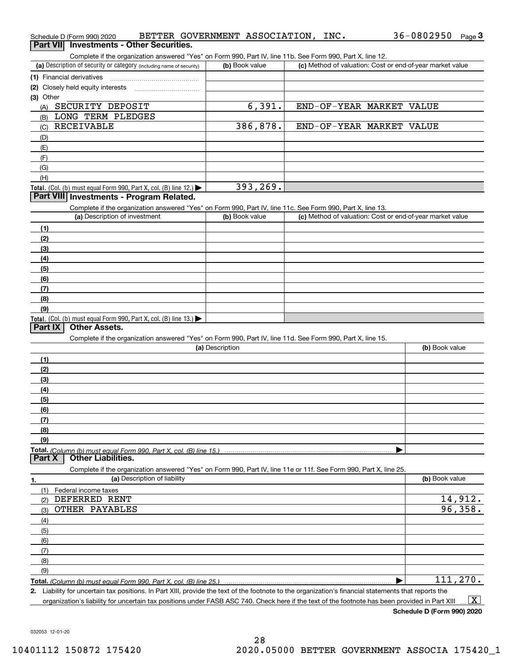| Schedule D (Form 990) 2020<br>Part VII Investments - Other Securities.                                                                               | BETTER GOVERNMENT ASSOCIATION, | INC. | $36 - 0802950$<br>Page $3$                                |
|------------------------------------------------------------------------------------------------------------------------------------------------------|--------------------------------|------|-----------------------------------------------------------|
| Complete if the organization answered "Yes" on Form 990, Part IV, line 11b. See Form 990, Part X, line 12.                                           |                                |      |                                                           |
| (a) Description of security or category (including name of security)                                                                                 | (b) Book value                 |      | (c) Method of valuation: Cost or end-of-year market value |
| (1) Financial derivatives                                                                                                                            |                                |      |                                                           |
|                                                                                                                                                      |                                |      |                                                           |
| (3) Other                                                                                                                                            |                                |      |                                                           |
| SECURITY DEPOSIT<br>(A)                                                                                                                              | 6,391.                         |      | END-OF-YEAR MARKET VALUE                                  |
| LONG TERM PLEDGES<br>(B)                                                                                                                             |                                |      |                                                           |
| RECEIVABLE<br>(C)                                                                                                                                    | 386,878.                       |      | END-OF-YEAR MARKET VALUE                                  |
| (D)                                                                                                                                                  |                                |      |                                                           |
| (E)                                                                                                                                                  |                                |      |                                                           |
| (F)                                                                                                                                                  |                                |      |                                                           |
| (G)                                                                                                                                                  |                                |      |                                                           |
| (H)                                                                                                                                                  |                                |      |                                                           |
| Total. (Col. (b) must equal Form 990, Part X, col. (B) line 12.) $\blacktriangleright$                                                               | 393,269.                       |      |                                                           |
| Part VIII Investments - Program Related.                                                                                                             |                                |      |                                                           |
| Complete if the organization answered "Yes" on Form 990, Part IV, line 11c. See Form 990, Part X, line 13.                                           |                                |      |                                                           |
| (a) Description of investment                                                                                                                        | (b) Book value                 |      | (c) Method of valuation: Cost or end-of-year market value |
| (1)                                                                                                                                                  |                                |      |                                                           |
| (2)                                                                                                                                                  |                                |      |                                                           |
| (3)                                                                                                                                                  |                                |      |                                                           |
| (4)                                                                                                                                                  |                                |      |                                                           |
| (5)                                                                                                                                                  |                                |      |                                                           |
| (6)                                                                                                                                                  |                                |      |                                                           |
| (7)                                                                                                                                                  |                                |      |                                                           |
| (8)<br>(9)                                                                                                                                           |                                |      |                                                           |
| Total. (Col. (b) must equal Form 990, Part X, col. (B) line 13.)                                                                                     |                                |      |                                                           |
| <b>Other Assets.</b><br>Part IX                                                                                                                      |                                |      |                                                           |
| Complete if the organization answered "Yes" on Form 990, Part IV, line 11d. See Form 990, Part X, line 15.                                           |                                |      |                                                           |
|                                                                                                                                                      | (a) Description                |      | (b) Book value                                            |
| (1)                                                                                                                                                  |                                |      |                                                           |
| (2)                                                                                                                                                  |                                |      |                                                           |
| (3)                                                                                                                                                  |                                |      |                                                           |
| (4)                                                                                                                                                  |                                |      |                                                           |
| (5)                                                                                                                                                  |                                |      |                                                           |
| (6)                                                                                                                                                  |                                |      |                                                           |
| (7)                                                                                                                                                  |                                |      |                                                           |
| (8)                                                                                                                                                  |                                |      |                                                           |
| (9)                                                                                                                                                  |                                |      |                                                           |
| Total. (Column (b) must equal Form 990. Part X, col. (B) line 15.)<br><b>Other Liabilities.</b><br>Part X                                            |                                |      |                                                           |
| Complete if the organization answered "Yes" on Form 990, Part IV, line 11e or 11f. See Form 990, Part X, line 25.                                    |                                |      |                                                           |
| (a) Description of liability<br>1.                                                                                                                   |                                |      | (b) Book value                                            |
| (1)<br>Federal income taxes                                                                                                                          |                                |      |                                                           |
| DEFERRED RENT<br>(2)                                                                                                                                 |                                |      | 14,912.                                                   |
| OTHER PAYABLES<br>(3)                                                                                                                                |                                |      | 96,358.                                                   |
| (4)                                                                                                                                                  |                                |      |                                                           |
| (5)                                                                                                                                                  |                                |      |                                                           |
| (6)                                                                                                                                                  |                                |      |                                                           |
| (7)                                                                                                                                                  |                                |      |                                                           |
| (8)                                                                                                                                                  |                                |      |                                                           |
| (9)                                                                                                                                                  |                                |      |                                                           |
| Total. (Column (b) must equal Form 990. Part X, col. (B) line 25.)                                                                                   |                                |      | 111,270.                                                  |
| 2. Liability for uncertain tax positions. In Part XIII, provide the text of the footnote to the organization's financial statements that reports the |                                |      |                                                           |
| organization's liability for uncertain tax positions under FASB ASC 740. Check here if the text of the footnote has been provided in Part XIII       |                                |      | $\mathbf{X}$                                              |

**Schedule D (Form 990) 2020**

032053 12-01-20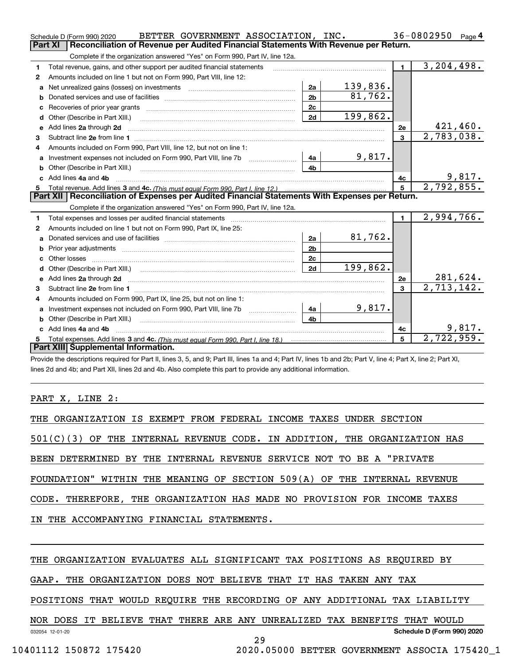|    | BETTER GOVERNMENT ASSOCIATION, INC.<br>Schedule D (Form 990) 2020                                                                                              |                |          |                | $36 - 0802950$<br>Page $4$ |
|----|----------------------------------------------------------------------------------------------------------------------------------------------------------------|----------------|----------|----------------|----------------------------|
|    | Reconciliation of Revenue per Audited Financial Statements With Revenue per Return.<br>Part XI                                                                 |                |          |                |                            |
|    | Complete if the organization answered "Yes" on Form 990, Part IV, line 12a.                                                                                    |                |          |                |                            |
| 1  | Total revenue, gains, and other support per audited financial statements                                                                                       |                |          |                | 3, 204, 498.               |
| 2  | Amounts included on line 1 but not on Form 990, Part VIII, line 12:                                                                                            |                |          |                |                            |
| a  | Net unrealized gains (losses) on investments [111] [12] matter contracts and all all all all all all all all a                                                 | 2a             | 139,836. |                |                            |
| b  |                                                                                                                                                                | 2 <sub>b</sub> | 81,762.  |                |                            |
| c  |                                                                                                                                                                | 2c             |          |                |                            |
|    |                                                                                                                                                                | 2d             | 199,862. |                |                            |
|    | e Add lines 2a through 2d                                                                                                                                      |                |          | 2e             | 421,460.                   |
| 3  |                                                                                                                                                                |                |          | 3              | 2,783,038.                 |
| 4  | Amounts included on Form 990, Part VIII, line 12, but not on line 1:                                                                                           |                |          |                |                            |
|    | a Investment expenses not included on Form 990, Part VIII, line 7b [11, 111, 111, 111]                                                                         | 4a             | 9,817.   |                |                            |
|    |                                                                                                                                                                | 4b             |          |                |                            |
|    | c Add lines 4a and 4b                                                                                                                                          |                |          | 4с             | 9,817.                     |
|    |                                                                                                                                                                |                |          | 5              | 2,792,855.                 |
|    | Part XII   Reconciliation of Expenses per Audited Financial Statements With Expenses per Return.                                                               |                |          |                |                            |
|    | Complete if the organization answered "Yes" on Form 990, Part IV, line 12a.                                                                                    |                |          |                |                            |
| 1  |                                                                                                                                                                |                |          | $\blacksquare$ | 2,994,766.                 |
| 2  | Amounts included on line 1 but not on Form 990, Part IX, line 25:                                                                                              |                |          |                |                            |
| a  |                                                                                                                                                                | 2a             | 81,762.  |                |                            |
| b  |                                                                                                                                                                | 2 <sub>b</sub> |          |                |                            |
|    |                                                                                                                                                                | 2 <sub>c</sub> |          |                |                            |
| d  |                                                                                                                                                                | 2d             | 199,862. |                |                            |
|    |                                                                                                                                                                |                |          | 2e             | 281,624.                   |
| 3  |                                                                                                                                                                |                |          | 3              | $\overline{2,713,142}$ .   |
| 4  | Amounts included on Form 990, Part IX, line 25, but not on line 1:                                                                                             |                |          |                |                            |
|    | a Investment expenses not included on Form 990, Part VIII, line 7b [11, 111, 111, 111]                                                                         | 4a             | 9,817.   |                |                            |
|    |                                                                                                                                                                | 4h             |          |                |                            |
|    | Add lines 4a and 4b                                                                                                                                            |                |          | 4с             | 9,817.                     |
| 5. |                                                                                                                                                                |                |          | 5              | 2,722,959.                 |
|    | Part XIII Supplemental Information.                                                                                                                            |                |          |                |                            |
|    | Provide the descriptions required for Part II, lines 3, 5, and 9; Part III, lines 1a and 4; Part IV, lines 1b and 2b; Part V, line 4; Part X, line 2; Part XI, |                |          |                |                            |

lines 2d and 4b; and Part XII, lines 2d and 4b. Also complete this part to provide any additional information.

#### PART X, LINE 2:

| THE ORGANIZATION IS EXEMPT FROM FEDERAL INCOME TAXES UNDER SECTION          |
|-----------------------------------------------------------------------------|
| $501(C)(3)$ OF THE INTERNAL REVENUE CODE. IN ADDITION, THE ORGANIZATION HAS |
| BEEN DETERMINED BY THE INTERNAL REVENUE SERVICE NOT TO BE A "PRIVATE        |
| FOUNDATION" WITHIN THE MEANING OF SECTION 509(A) OF THE INTERNAL REVENUE    |
| CODE. THEREFORE, THE ORGANIZATION HAS MADE NO PROVISION FOR INCOME TAXES    |
| IN THE ACCOMPANYING FINANCIAL STATEMENTS.                                   |
|                                                                             |

THE ORGANIZATION EVALUATES ALL SIGNIFICANT TAX POSITIONS AS REQUIRED BY

GAAP. THE ORGANIZATION DOES NOT BELIEVE THAT IT HAS TAKEN ANY TAX

POSITIONS THAT WOULD REQUIRE THE RECORDING OF ANY ADDITIONAL TAX LIABILITY

032054 12-01-20 **Schedule D (Form 990) 2020** NOR DOES IT BELIEVE THAT THERE ARE ANY UNREALIZED TAX BENEFITS THAT WOULD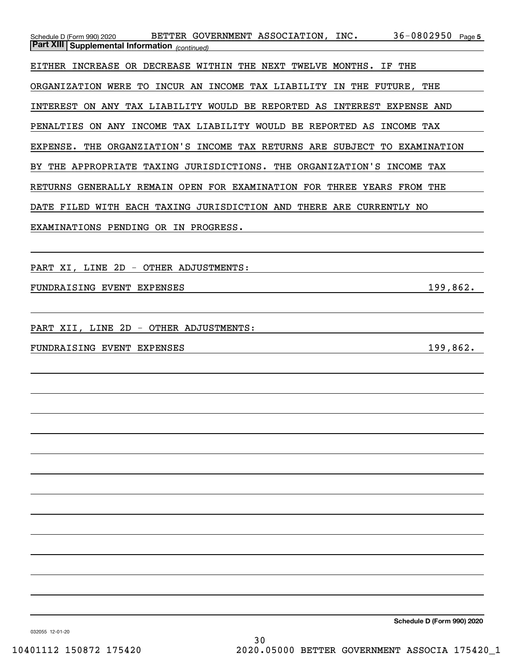| 36-0802950 Page 5<br>BETTER GOVERNMENT ASSOCIATION, INC.<br>Schedule D (Form 990) 2020<br><b>Part XIII Supplemental Information</b> (continued) |
|-------------------------------------------------------------------------------------------------------------------------------------------------|
| EITHER INCREASE OR DECREASE WITHIN THE NEXT TWELVE MONTHS. IF THE                                                                               |
| ORGANIZATION WERE TO INCUR AN INCOME TAX LIABILITY IN THE FUTURE, THE                                                                           |
|                                                                                                                                                 |
| INTEREST ON ANY TAX LIABILITY WOULD BE REPORTED AS INTEREST EXPENSE AND                                                                         |
| PENALTIES ON ANY INCOME TAX LIABILITY WOULD BE REPORTED AS INCOME TAX                                                                           |
| EXPENSE. THE ORGANZIATION'S INCOME TAX RETURNS ARE SUBJECT TO EXAMINATION                                                                       |
| BY THE APPROPRIATE TAXING JURISDICTIONS. THE ORGANIZATION'S INCOME TAX                                                                          |
| RETURNS GENERALLY REMAIN OPEN FOR EXAMINATION FOR THREE YEARS FROM THE                                                                          |
| DATE FILED WITH EACH TAXING JURISDICTION AND THERE ARE CURRENTLY NO                                                                             |
| EXAMINATIONS PENDING OR IN PROGRESS.                                                                                                            |
|                                                                                                                                                 |
| PART XI, LINE 2D - OTHER ADJUSTMENTS:                                                                                                           |
| 199,862.<br>FUNDRAISING EVENT EXPENSES<br><u> 1989 - Johann Barn, fransk politik (f. 1918)</u>                                                  |
|                                                                                                                                                 |
| PART XII, LINE 2D - OTHER ADJUSTMENTS:                                                                                                          |
| 199,862.<br>FUNDRAISING EVENT EXPENSES<br><u> 1989 - Johann Barbara, martxa alemaniar a</u>                                                     |
|                                                                                                                                                 |
|                                                                                                                                                 |
|                                                                                                                                                 |
|                                                                                                                                                 |
|                                                                                                                                                 |
|                                                                                                                                                 |
|                                                                                                                                                 |
|                                                                                                                                                 |
|                                                                                                                                                 |
|                                                                                                                                                 |
|                                                                                                                                                 |
|                                                                                                                                                 |
|                                                                                                                                                 |

**Schedule D (Form 990) 2020**

032055 12-01-20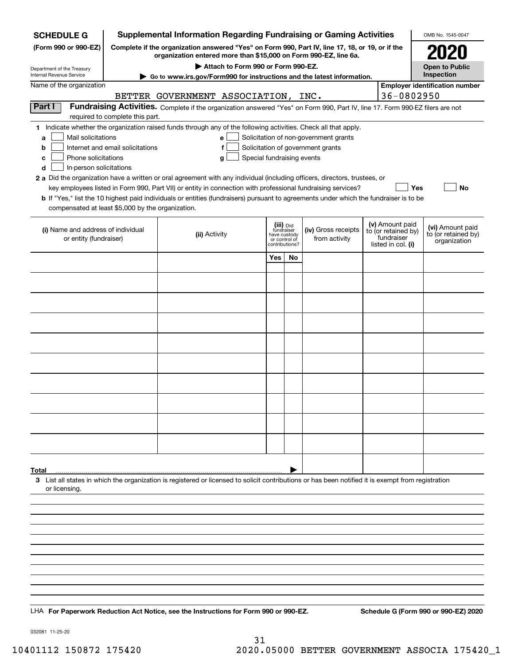| <b>SCHEDULE G</b>                                                                                                                                                                           | <b>Supplemental Information Regarding Fundraising or Gaming Activities</b> |                                                                                                                                                                                                                                                                                                                                                                                                                                                                                                                                                           |                                                                            |    |                                                                            |  |                                                                            | OMB No. 1545-0047                                       |
|---------------------------------------------------------------------------------------------------------------------------------------------------------------------------------------------|----------------------------------------------------------------------------|-----------------------------------------------------------------------------------------------------------------------------------------------------------------------------------------------------------------------------------------------------------------------------------------------------------------------------------------------------------------------------------------------------------------------------------------------------------------------------------------------------------------------------------------------------------|----------------------------------------------------------------------------|----|----------------------------------------------------------------------------|--|----------------------------------------------------------------------------|---------------------------------------------------------|
| (Form 990 or 990-EZ)<br>Complete if the organization answered "Yes" on Form 990, Part IV, line 17, 18, or 19, or if the<br>organization entered more than \$15,000 on Form 990-EZ, line 6a. |                                                                            |                                                                                                                                                                                                                                                                                                                                                                                                                                                                                                                                                           |                                                                            |    |                                                                            |  |                                                                            |                                                         |
| Attach to Form 990 or Form 990-EZ.<br>Department of the Treasury<br>Internal Revenue Service                                                                                                |                                                                            |                                                                                                                                                                                                                                                                                                                                                                                                                                                                                                                                                           |                                                                            |    |                                                                            |  |                                                                            | <b>Open to Public</b><br>Inspection                     |
| Name of the organization                                                                                                                                                                    |                                                                            | ► Go to www.irs.gov/Form990 for instructions and the latest information.                                                                                                                                                                                                                                                                                                                                                                                                                                                                                  |                                                                            |    |                                                                            |  |                                                                            | <b>Employer identification number</b>                   |
|                                                                                                                                                                                             |                                                                            | BETTER GOVERNMENT ASSOCIATION, INC.                                                                                                                                                                                                                                                                                                                                                                                                                                                                                                                       |                                                                            |    |                                                                            |  | 36-0802950                                                                 |                                                         |
| Part I                                                                                                                                                                                      |                                                                            | Fundraising Activities. Complete if the organization answered "Yes" on Form 990, Part IV, line 17. Form 990-EZ filers are not                                                                                                                                                                                                                                                                                                                                                                                                                             |                                                                            |    |                                                                            |  |                                                                            |                                                         |
|                                                                                                                                                                                             | required to complete this part.                                            |                                                                                                                                                                                                                                                                                                                                                                                                                                                                                                                                                           |                                                                            |    |                                                                            |  |                                                                            |                                                         |
| Mail solicitations<br>a<br>b<br>Phone solicitations<br>с<br>In-person solicitations<br>d                                                                                                    | Internet and email solicitations                                           | 1 Indicate whether the organization raised funds through any of the following activities. Check all that apply.<br>e<br>f<br>Special fundraising events<br>g<br>2 a Did the organization have a written or oral agreement with any individual (including officers, directors, trustees, or<br>key employees listed in Form 990, Part VII) or entity in connection with professional fundraising services?<br><b>b</b> If "Yes," list the 10 highest paid individuals or entities (fundraisers) pursuant to agreements under which the fundraiser is to be |                                                                            |    | Solicitation of non-government grants<br>Solicitation of government grants |  | Yes                                                                        | No                                                      |
| compensated at least \$5,000 by the organization.                                                                                                                                           |                                                                            |                                                                                                                                                                                                                                                                                                                                                                                                                                                                                                                                                           |                                                                            |    |                                                                            |  |                                                                            |                                                         |
| (i) Name and address of individual<br>or entity (fundraiser)                                                                                                                                |                                                                            | (ii) Activity                                                                                                                                                                                                                                                                                                                                                                                                                                                                                                                                             | (iii) Did<br>fundraiser<br>have custody<br>or control of<br>contributions? |    | (iv) Gross receipts<br>from activity                                       |  | (v) Amount paid<br>to (or retained by)<br>fundraiser<br>listed in col. (i) | (vi) Amount paid<br>to (or retained by)<br>organization |
|                                                                                                                                                                                             |                                                                            |                                                                                                                                                                                                                                                                                                                                                                                                                                                                                                                                                           | Yes                                                                        | No |                                                                            |  |                                                                            |                                                         |
|                                                                                                                                                                                             |                                                                            |                                                                                                                                                                                                                                                                                                                                                                                                                                                                                                                                                           |                                                                            |    |                                                                            |  |                                                                            |                                                         |
|                                                                                                                                                                                             |                                                                            |                                                                                                                                                                                                                                                                                                                                                                                                                                                                                                                                                           |                                                                            |    |                                                                            |  |                                                                            |                                                         |
|                                                                                                                                                                                             |                                                                            |                                                                                                                                                                                                                                                                                                                                                                                                                                                                                                                                                           |                                                                            |    |                                                                            |  |                                                                            |                                                         |
|                                                                                                                                                                                             |                                                                            |                                                                                                                                                                                                                                                                                                                                                                                                                                                                                                                                                           |                                                                            |    |                                                                            |  |                                                                            |                                                         |
|                                                                                                                                                                                             |                                                                            |                                                                                                                                                                                                                                                                                                                                                                                                                                                                                                                                                           |                                                                            |    |                                                                            |  |                                                                            |                                                         |
|                                                                                                                                                                                             |                                                                            |                                                                                                                                                                                                                                                                                                                                                                                                                                                                                                                                                           |                                                                            |    |                                                                            |  |                                                                            |                                                         |
|                                                                                                                                                                                             |                                                                            |                                                                                                                                                                                                                                                                                                                                                                                                                                                                                                                                                           |                                                                            |    |                                                                            |  |                                                                            |                                                         |
|                                                                                                                                                                                             |                                                                            |                                                                                                                                                                                                                                                                                                                                                                                                                                                                                                                                                           |                                                                            |    |                                                                            |  |                                                                            |                                                         |
|                                                                                                                                                                                             |                                                                            |                                                                                                                                                                                                                                                                                                                                                                                                                                                                                                                                                           |                                                                            |    |                                                                            |  |                                                                            |                                                         |
|                                                                                                                                                                                             |                                                                            |                                                                                                                                                                                                                                                                                                                                                                                                                                                                                                                                                           |                                                                            |    |                                                                            |  |                                                                            |                                                         |
|                                                                                                                                                                                             |                                                                            |                                                                                                                                                                                                                                                                                                                                                                                                                                                                                                                                                           |                                                                            |    |                                                                            |  |                                                                            |                                                         |
| Total                                                                                                                                                                                       |                                                                            | 3 List all states in which the organization is registered or licensed to solicit contributions or has been notified it is exempt from registration                                                                                                                                                                                                                                                                                                                                                                                                        |                                                                            |    |                                                                            |  |                                                                            |                                                         |
| or licensing.                                                                                                                                                                               |                                                                            |                                                                                                                                                                                                                                                                                                                                                                                                                                                                                                                                                           |                                                                            |    |                                                                            |  |                                                                            |                                                         |
|                                                                                                                                                                                             |                                                                            |                                                                                                                                                                                                                                                                                                                                                                                                                                                                                                                                                           |                                                                            |    |                                                                            |  |                                                                            |                                                         |
|                                                                                                                                                                                             |                                                                            |                                                                                                                                                                                                                                                                                                                                                                                                                                                                                                                                                           |                                                                            |    |                                                                            |  |                                                                            |                                                         |
|                                                                                                                                                                                             |                                                                            |                                                                                                                                                                                                                                                                                                                                                                                                                                                                                                                                                           |                                                                            |    |                                                                            |  |                                                                            |                                                         |
|                                                                                                                                                                                             |                                                                            |                                                                                                                                                                                                                                                                                                                                                                                                                                                                                                                                                           |                                                                            |    |                                                                            |  |                                                                            |                                                         |
|                                                                                                                                                                                             |                                                                            |                                                                                                                                                                                                                                                                                                                                                                                                                                                                                                                                                           |                                                                            |    |                                                                            |  |                                                                            |                                                         |
|                                                                                                                                                                                             |                                                                            |                                                                                                                                                                                                                                                                                                                                                                                                                                                                                                                                                           |                                                                            |    |                                                                            |  |                                                                            |                                                         |
|                                                                                                                                                                                             |                                                                            | LHA For Paperwork Reduction Act Notice, see the Instructions for Form 990 or 990-EZ.                                                                                                                                                                                                                                                                                                                                                                                                                                                                      |                                                                            |    |                                                                            |  |                                                                            | Schedule G (Form 990 or 990-EZ) 2020                    |

032081 11-25-20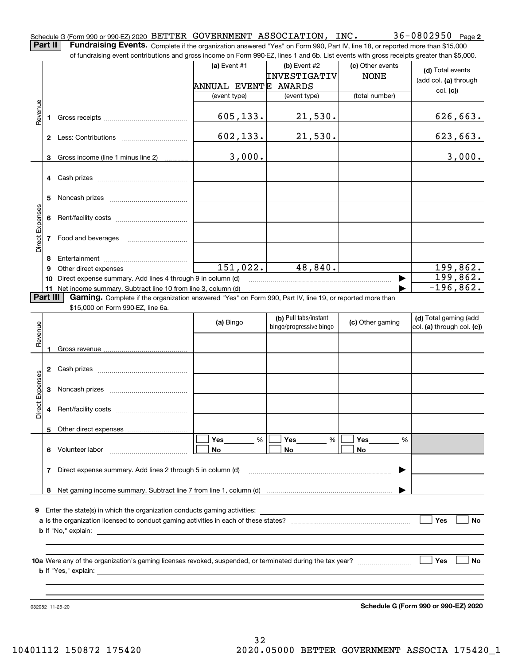36-0802950 Page 2 Schedule G (Form 990 or 990-EZ) 2020 <code>BETTER GOVERNMENT ASSOCIATION</code> , <code>INC</code> .  $36-0802950$  <code>Page</code> **Part II Fundraising Events.** Complete if the organization answered "Yes" on Form 990, Part IV, line 18, or reported more than \$15,000<br>15.000 of fundraising event contributions and gross income on Form 990-EZ. lines 1 an

of fundraising event contributions and gross income on Form 990-EZ, lines 1 and 6b. List events with gross receipts greater than \$5,000. (c) Other events **(a)** Event #1  $\vert$  **(b)** Event #2 **(d)**  Total events INVESTIGATIV NONE (add col. **(a)** through ANNUAL EVENT E AWARDS col. **(c)**) (event type) (event type) (total number) Revenue Revenue 605,133. 21,530. 626,663. **1**Gross receipts ~~~~~~~~~~~~~~ 602,133. 21,530. 623,663. **2** Less: Contributions ................................. 3,000. 3,000. Gross income (line 1 minus line 2) **3**. . . . . . . . . . . . **4** Cash prizes <sub>……………………………………</sub> **5** Noncash prizes \_\_\_\_\_\_\_\_\_\_\_\_\_\_\_\_\_\_\_\_\_\_\_\_\_\_\_\_ Direct Expenses Direct Expense **6**Rent/facility costs ~~~~~~~~~~~~**7**Food and beverages **8**Entertainment ~~~~~~~~~~~~~~ Other direct expenses ~~~~~~~~~~ 151,022. 48,840. 199,862. **9**199,862.  $\blacktriangleright$ **10** Direct expense summary. Add lines 4 through 9 in column (d) -196,862.  $\overline{\phantom{a}}$ **11** Net income summary. Subtract line 10 from line 3, column (d) **Part III Gaming.** Complete if the organization answered "Yes" on Form 990, Part IV, line 19, or reported more than \$15,000 on Form 990-FZ. line 6a. \$15,000 on Form 990-EZ, line 6a. **(b)**  Pull tabs/instant **(d)**  Total gaming (add **(a)**  Revenue Bingo **Contract of Contract Contract Contract Contract Contract Contract Contract Contract Contract Contract Contract Contract Contract Contract Contract Contract Contract Contract Contract Contract Contract Contract Contr** Revenue bingo/progressive bingo col. **(a)** through col. **(c)**) **1**Gross revenue **2** Cash prizes <sub>……………………………………</sub> Direct Expenses Direct Expenses **3**Noncash prizes <sub>………………………………</sub>… **4**Rent/facility costs ~~~~~~~~~~~~**5**Other direct expenses  $\boxed{\Box}$  Yes \_\_\_\_\_\_\_ %  $\boxed{\Box}$  Yes \_\_\_\_\_\_\_ %  $\boxed{\Box}$  $\mathcal{L}^{\text{max}}$ %**Yes Yes Yes** % %  $\mathcal{L}^{\text{max}}$ **6** Volunteer labor **No No No**  $\overline{\phantom{a}}$ **7**Direct expense summary. Add lines 2 through 5 in column (d)  $\blacktriangleright$ …… ▶ **8**Net gaming income summary. Subtract line 7 from line 1, column (d) **9**Enter the state(s) in which the organization conducts gaming activities:  $\mathcal{L}^{\text{max}}$  $\overline{\phantom{a}}$ **Yesa**Is the organization licensed to conduct gaming activities in each of these states? ~~~~~~~~~~~~~~~~~~~~ **No b**If "No," explain: **Yes**  $\overline{\phantom{a}}$  **No 10a**Were any of the organization's gaming licenses revoked, suspended, or terminated during the tax year? **b** If "Yes," explain:

032082 11-25-20

**Schedule G (Form 990 or 990-EZ) 2020**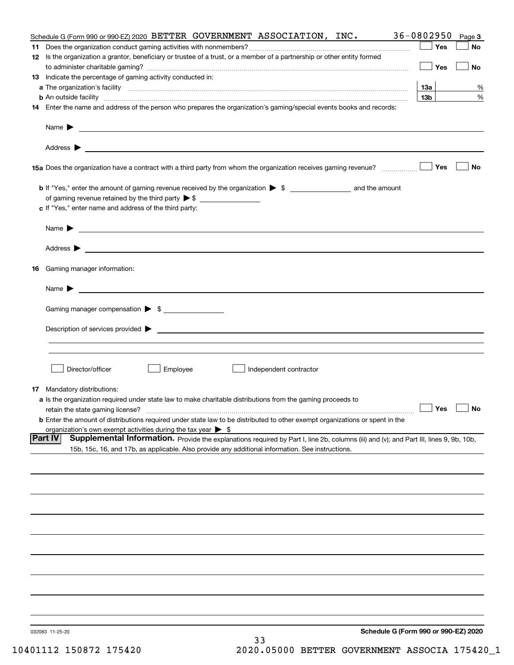| Schedule G (Form 990 or 990-EZ) 2020<br>032083 11-25-20<br>33                                                                                                                                                                                                |                 |           |
|--------------------------------------------------------------------------------------------------------------------------------------------------------------------------------------------------------------------------------------------------------------|-----------------|-----------|
|                                                                                                                                                                                                                                                              |                 |           |
|                                                                                                                                                                                                                                                              |                 |           |
|                                                                                                                                                                                                                                                              |                 |           |
|                                                                                                                                                                                                                                                              |                 |           |
|                                                                                                                                                                                                                                                              |                 |           |
|                                                                                                                                                                                                                                                              |                 |           |
|                                                                                                                                                                                                                                                              |                 |           |
|                                                                                                                                                                                                                                                              |                 |           |
|                                                                                                                                                                                                                                                              |                 |           |
| <b>Part IV</b><br>Supplemental Information. Provide the explanations required by Part I, line 2b, columns (iii) and (v); and Part III, lines 9, 9b, 10b,<br>15b, 15c, 16, and 17b, as applicable. Also provide any additional information. See instructions. |                 |           |
| organization's own exempt activities during the tax year $\triangleright$ \$                                                                                                                                                                                 |                 |           |
| retain the state gaming license?<br><b>b</b> Enter the amount of distributions required under state law to be distributed to other exempt organizations or spent in the                                                                                      | $\Box$ Yes      | $\Box$ No |
| <b>17</b> Mandatory distributions:<br>a Is the organization required under state law to make charitable distributions from the gaming proceeds to                                                                                                            |                 |           |
| Independent contractor                                                                                                                                                                                                                                       |                 |           |
| Director/officer<br>Employee                                                                                                                                                                                                                                 |                 |           |
|                                                                                                                                                                                                                                                              |                 |           |
|                                                                                                                                                                                                                                                              |                 |           |
| Gaming manager compensation > \$                                                                                                                                                                                                                             |                 |           |
| $Name \rightarrow$                                                                                                                                                                                                                                           |                 |           |
| Gaming manager information:<br>16                                                                                                                                                                                                                            |                 |           |
|                                                                                                                                                                                                                                                              |                 |           |
|                                                                                                                                                                                                                                                              |                 |           |
| Name $\blacktriangleright$<br><u> 1989 - Andrea Stadt Britain, amerikansk politiker (d. 1989)</u>                                                                                                                                                            |                 |           |
| of gaming revenue retained by the third party $\triangleright$ \$<br>c If "Yes," enter name and address of the third party:                                                                                                                                  |                 |           |
|                                                                                                                                                                                                                                                              |                 |           |
|                                                                                                                                                                                                                                                              | Yes             | No        |
|                                                                                                                                                                                                                                                              |                 |           |
|                                                                                                                                                                                                                                                              |                 |           |
| 14 Enter the name and address of the person who prepares the organization's gaming/special events books and records:                                                                                                                                         |                 |           |
|                                                                                                                                                                                                                                                              | 13 <sub>b</sub> | %         |
| 13 Indicate the percentage of gaming activity conducted in:                                                                                                                                                                                                  | 13а             | %         |
|                                                                                                                                                                                                                                                              | Yes             | No        |
| 12 Is the organization a grantor, beneficiary or trustee of a trust, or a member of a partnership or other entity formed                                                                                                                                     | Yes             | No        |
| Schedule G (Form 990 or 990-EZ) 2020 BETTER GOVERNMENT ASSOCIATION, INC.                                                                                                                                                                                     | 36-0802950      | Page 3    |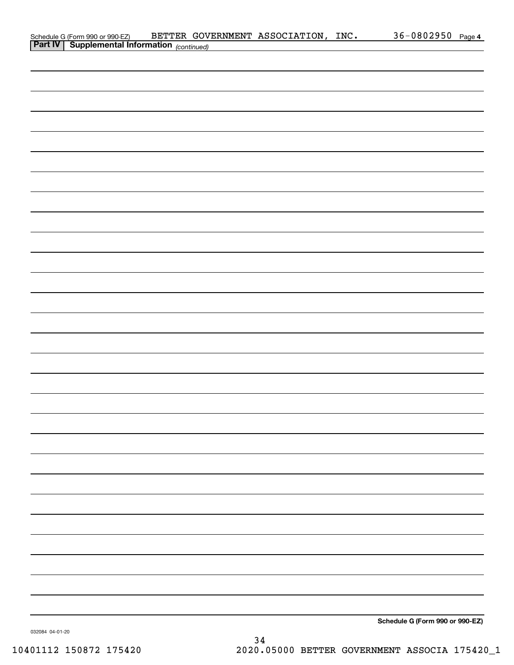| Schedule G (Form 990 or 990-EZ) BETTER GOV<br><b>Part IV</b> Supplemental Information (continued) |  | BETTER GOVERNMENT ASSOCIATION, INC. | 36-0802950 Page 4               |  |
|---------------------------------------------------------------------------------------------------|--|-------------------------------------|---------------------------------|--|
|                                                                                                   |  |                                     |                                 |  |
|                                                                                                   |  |                                     |                                 |  |
|                                                                                                   |  |                                     |                                 |  |
|                                                                                                   |  |                                     |                                 |  |
|                                                                                                   |  |                                     |                                 |  |
|                                                                                                   |  |                                     |                                 |  |
|                                                                                                   |  |                                     |                                 |  |
|                                                                                                   |  |                                     |                                 |  |
|                                                                                                   |  |                                     |                                 |  |
|                                                                                                   |  |                                     |                                 |  |
|                                                                                                   |  |                                     |                                 |  |
|                                                                                                   |  |                                     |                                 |  |
|                                                                                                   |  |                                     |                                 |  |
|                                                                                                   |  |                                     |                                 |  |
|                                                                                                   |  |                                     |                                 |  |
|                                                                                                   |  |                                     |                                 |  |
|                                                                                                   |  |                                     |                                 |  |
|                                                                                                   |  |                                     |                                 |  |
|                                                                                                   |  |                                     |                                 |  |
|                                                                                                   |  |                                     |                                 |  |
|                                                                                                   |  |                                     |                                 |  |
|                                                                                                   |  |                                     |                                 |  |
|                                                                                                   |  |                                     |                                 |  |
|                                                                                                   |  |                                     |                                 |  |
|                                                                                                   |  |                                     |                                 |  |
|                                                                                                   |  |                                     |                                 |  |
|                                                                                                   |  |                                     |                                 |  |
|                                                                                                   |  |                                     |                                 |  |
|                                                                                                   |  |                                     |                                 |  |
|                                                                                                   |  |                                     |                                 |  |
|                                                                                                   |  |                                     |                                 |  |
|                                                                                                   |  |                                     |                                 |  |
|                                                                                                   |  |                                     |                                 |  |
|                                                                                                   |  |                                     |                                 |  |
|                                                                                                   |  |                                     |                                 |  |
|                                                                                                   |  |                                     |                                 |  |
|                                                                                                   |  |                                     |                                 |  |
|                                                                                                   |  |                                     | Schedule G (Form 990 or 990-EZ) |  |

**Schedule G (Form 990 or 990-EZ)**

032084 04-01-20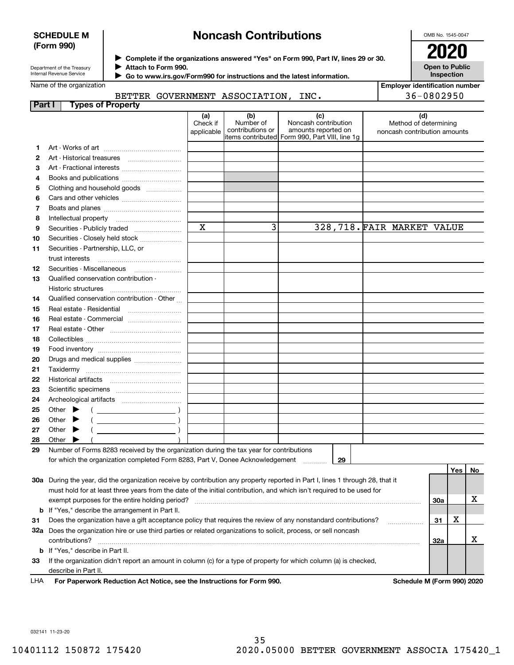### **SCHEDULE M (Form 990)**

# **Noncash Contributions**

OMB No. 1545-0047

**Open to Public Inspection**

| Department of the Treasury |
|----------------------------|
| Internal Revenue Service   |

**Complete if the organizations answered "Yes" on Form 990, Part IV, lines 29 or 30.** <sup>J</sup>**2020 Attach to Form 990.** J

 **Go to www.irs.gov/Form990 for instructions and the latest information.** J

Name of the organization

# BETTER GOV

| <b>Employer identification number</b> |
|---------------------------------------|
| 36-0802950                            |

| VERNMENT ASSOCIATION, INC. |  |
|----------------------------|--|
|                            |  |

| Part I | <b>Types of Property</b>                                                                                                       |                               |                                      |                                                                                                      |                                                              |     |     |    |
|--------|--------------------------------------------------------------------------------------------------------------------------------|-------------------------------|--------------------------------------|------------------------------------------------------------------------------------------------------|--------------------------------------------------------------|-----|-----|----|
|        |                                                                                                                                | (a)<br>Check if<br>applicable | (b)<br>Number of<br>contributions or | (c)<br>Noncash contribution<br>amounts reported on<br>items contributed Form 990, Part VIII, line 1g | (d)<br>Method of determining<br>noncash contribution amounts |     |     |    |
| 1.     |                                                                                                                                |                               |                                      |                                                                                                      |                                                              |     |     |    |
| 2      |                                                                                                                                |                               |                                      |                                                                                                      |                                                              |     |     |    |
| з      | Art - Fractional interests                                                                                                     |                               |                                      |                                                                                                      |                                                              |     |     |    |
| 4      | Books and publications                                                                                                         |                               |                                      |                                                                                                      |                                                              |     |     |    |
| 5      | Clothing and household goods                                                                                                   |                               |                                      |                                                                                                      |                                                              |     |     |    |
| 6      |                                                                                                                                |                               |                                      |                                                                                                      |                                                              |     |     |    |
| 7      |                                                                                                                                |                               |                                      |                                                                                                      |                                                              |     |     |    |
| 8      | Intellectual property                                                                                                          |                               |                                      |                                                                                                      |                                                              |     |     |    |
| 9      | Securities - Publicly traded                                                                                                   | $\mathbf x$                   | 3                                    |                                                                                                      | 328, 718. FAIR MARKET VALUE                                  |     |     |    |
| 10     | Securities - Closely held stock                                                                                                |                               |                                      |                                                                                                      |                                                              |     |     |    |
| 11     | Securities - Partnership, LLC, or                                                                                              |                               |                                      |                                                                                                      |                                                              |     |     |    |
|        | trust interests                                                                                                                |                               |                                      |                                                                                                      |                                                              |     |     |    |
| 12     | Securities - Miscellaneous                                                                                                     |                               |                                      |                                                                                                      |                                                              |     |     |    |
| 13     | Qualified conservation contribution -                                                                                          |                               |                                      |                                                                                                      |                                                              |     |     |    |
|        | Historic structures                                                                                                            |                               |                                      |                                                                                                      |                                                              |     |     |    |
| 14     | Qualified conservation contribution - Other                                                                                    |                               |                                      |                                                                                                      |                                                              |     |     |    |
| 15     |                                                                                                                                |                               |                                      |                                                                                                      |                                                              |     |     |    |
| 16     | Real estate - Commercial                                                                                                       |                               |                                      |                                                                                                      |                                                              |     |     |    |
| 17     |                                                                                                                                |                               |                                      |                                                                                                      |                                                              |     |     |    |
| 18     |                                                                                                                                |                               |                                      |                                                                                                      |                                                              |     |     |    |
| 19     |                                                                                                                                |                               |                                      |                                                                                                      |                                                              |     |     |    |
| 20     | Drugs and medical supplies                                                                                                     |                               |                                      |                                                                                                      |                                                              |     |     |    |
| 21     |                                                                                                                                |                               |                                      |                                                                                                      |                                                              |     |     |    |
| 22     |                                                                                                                                |                               |                                      |                                                                                                      |                                                              |     |     |    |
| 23     |                                                                                                                                |                               |                                      |                                                                                                      |                                                              |     |     |    |
| 24     |                                                                                                                                |                               |                                      |                                                                                                      |                                                              |     |     |    |
| 25     | Other $\blacktriangleright$<br>$\left(\begin{array}{ccc}\n\end{array}\right)$                                                  |                               |                                      |                                                                                                      |                                                              |     |     |    |
| 26     | Other                                                                                                                          |                               |                                      |                                                                                                      |                                                              |     |     |    |
| 27     | Other $\blacktriangleright$                                                                                                    |                               |                                      |                                                                                                      |                                                              |     |     |    |
| 28     | Other                                                                                                                          |                               |                                      |                                                                                                      |                                                              |     |     |    |
| 29     | Number of Forms 8283 received by the organization during the tax year for contributions                                        |                               |                                      |                                                                                                      |                                                              |     |     |    |
|        | for which the organization completed Form 8283, Part V, Donee Acknowledgement                                                  |                               |                                      | 29                                                                                                   |                                                              |     |     |    |
|        |                                                                                                                                |                               |                                      |                                                                                                      |                                                              |     | Yes | No |
|        | 30a During the year, did the organization receive by contribution any property reported in Part I, lines 1 through 28, that it |                               |                                      |                                                                                                      |                                                              |     |     |    |
|        | must hold for at least three years from the date of the initial contribution, and which isn't required to be used for          |                               |                                      |                                                                                                      |                                                              |     |     |    |
|        | exempt purposes for the entire holding period?                                                                                 |                               |                                      |                                                                                                      |                                                              | 30a |     | х  |
|        | <b>b</b> If "Yes," describe the arrangement in Part II.                                                                        |                               |                                      |                                                                                                      |                                                              |     |     |    |
| 31     | Does the organization have a gift acceptance policy that requires the review of any nonstandard contributions?                 |                               |                                      |                                                                                                      |                                                              | 31  | х   |    |
|        | 32a Does the organization hire or use third parties or related organizations to solicit, process, or sell noncash              |                               |                                      |                                                                                                      |                                                              |     |     |    |
|        | contributions?                                                                                                                 |                               |                                      |                                                                                                      |                                                              | 32a |     | х  |
|        | <b>b</b> If "Yes," describe in Part II.                                                                                        |                               |                                      |                                                                                                      |                                                              |     |     |    |
| 33     | If the organization didn't report an amount in column (c) for a type of property for which column (a) is checked,              |                               |                                      |                                                                                                      |                                                              |     |     |    |
|        | describe in Part II.                                                                                                           |                               |                                      |                                                                                                      |                                                              |     |     |    |

For Paperwork Reduction Act Notice, see the Instructions for Form 990. **Schedule M (Form 990) 2020** LHA

032141 11-23-20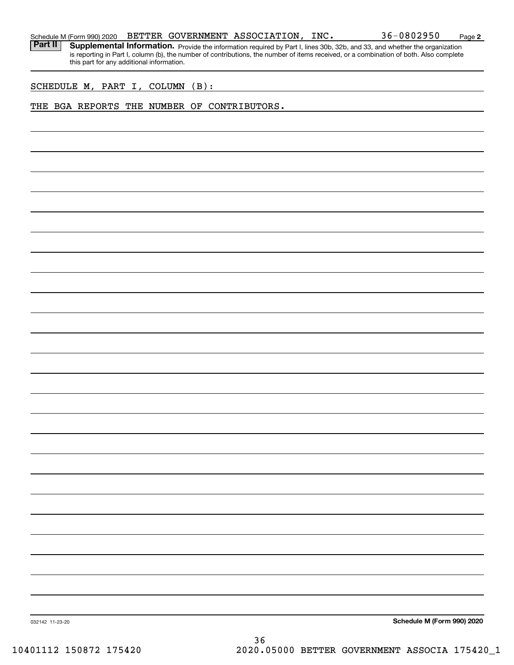| Schedule M (Form 990) 2020 |  |  |  | BETTER GOVERNMENT ASSOCIATION, | INC. | 36-0802950 | Page |  |
|----------------------------|--|--|--|--------------------------------|------|------------|------|--|
|----------------------------|--|--|--|--------------------------------|------|------------|------|--|

**2**

Part II | Supplemental Information. Provide the information required by Part I, lines 30b, 32b, and 33, and whether the organization is reporting in Part I, column (b), the number of contributions, the number of items received, or a combination of both. Also complete this part for any additional information.

SCHEDULE M, PART I, COLUMN (B):

#### THE BGA REPORTS THE NUMBER OF CONTRIBUTORS.

**Schedule M (Form 990) 2020**

032142 11-23-20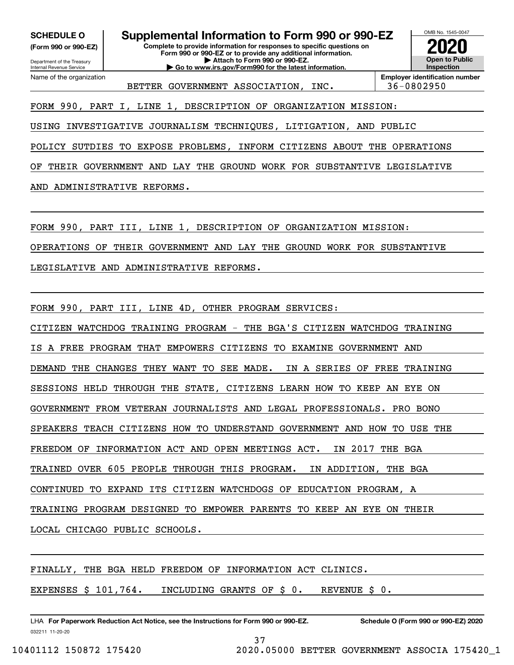**(Form 990 or 990-EZ)**

Department of the Treasury Internal Revenue Service Name of the organization

**SCHEDULE O Supplemental Information to Form 990 or 990-EZ**

**Complete to provide information for responses to specific questions on Form 990 or 990-EZ or to provide any additional information. | Attach to Form 990 or 990-EZ.**

**| Go to www.irs.gov/Form990 for the latest information.**



BETTER GOVERNMENT ASSOCIATION, INC. | 36-0802950

**Employer identification number**

FORM 990, PART I, LINE 1, DESCRIPTION OF ORGANIZATION MISSION:

USING INVESTIGATIVE JOURNALISM TECHNIQUES, LITIGATION, AND PUBLIC

POLICY SUTDIES TO EXPOSE PROBLEMS, INFORM CITIZENS ABOUT THE OPERATIONS

OF THEIR GOVERNMENT AND LAY THE GROUND WORK FOR SUBSTANTIVE LEGISLATIVE

AND ADMINISTRATIVE REFORMS.

FORM 990, PART III, LINE 1, DESCRIPTION OF ORGANIZATION MISSION:

OPERATIONS OF THEIR GOVERNMENT AND LAY THE GROUND WORK FOR SUBSTANTIVE

LEGISLATIVE AND ADMINISTRATIVE REFORMS.

FORM 990, PART III, LINE 4D, OTHER PROGRAM SERVICES:

CITIZEN WATCHDOG TRAINING PROGRAM - THE BGA'S CITIZEN WATCHDOG TRAINING IS A FREE PROGRAM THAT EMPOWERS CITIZENS TO EXAMINE GOVERNMENT AND DEMAND THE CHANGES THEY WANT TO SEE MADE. IN A SERIES OF FREE TRAINING SESSIONS HELD THROUGH THE STATE, CITIZENS LEARN HOW TO KEEP AN EYE ON GOVERNMENT FROM VETERAN JOURNALISTS AND LEGAL PROFESSIONALS. PRO BONO SPEAKERS TEACH CITIZENS HOW TO UNDERSTAND GOVERNMENT AND HOW TO USE THE FREEDOM OF INFORMATION ACT AND OPEN MEETINGS ACT. IN 2017 THE BGA TRAINED OVER 605 PEOPLE THROUGH THIS PROGRAM. IN ADDITION, THE BGA CONTINUED TO EXPAND ITS CITIZEN WATCHDOGS OF EDUCATION PROGRAM, A TRAINING PROGRAM DESIGNED TO EMPOWER PARENTS TO KEEP AN EYE ON THEIR LOCAL CHICAGO PUBLIC SCHOOLS.

37

FINALLY, THE BGA HELD FREEDOM OF INFORMATION ACT CLINICS.

EXPENSES \$ 101,764. INCLUDING GRANTS OF \$ 0. REVENUE \$ 0.

032211 11-20-20 LHA For Paperwork Reduction Act Notice, see the Instructions for Form 990 or 990-EZ. Schedule O (Form 990 or 990-EZ) 2020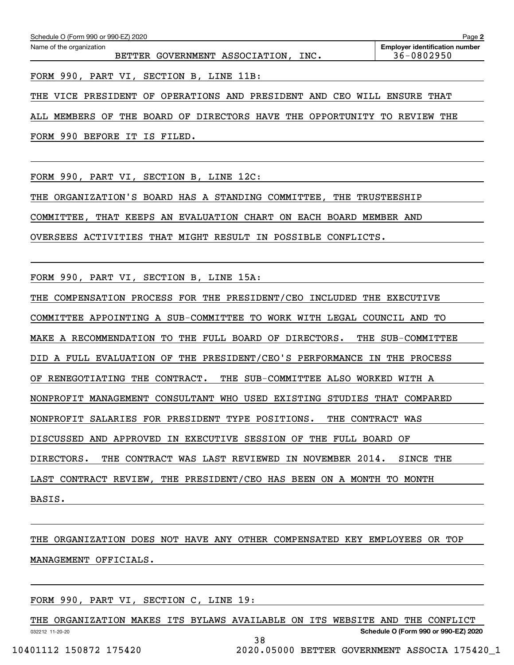| Schedule O (Form 990 or 990-EZ) 2020<br>Page 2                  |                                                     |  |  |  |  |  |  |  |
|-----------------------------------------------------------------|-----------------------------------------------------|--|--|--|--|--|--|--|
| Name of the organization<br>BETTER GOVERNMENT ASSOCIATION, INC. | <b>Employer identification number</b><br>36-0802950 |  |  |  |  |  |  |  |
| FORM 990, PART VI, SECTION B, LINE 11B:                         |                                                     |  |  |  |  |  |  |  |

THE VICE PRESIDENT OF OPERATIONS AND PRESIDENT AND CEO WILL ENSURE THAT

ALL MEMBERS OF THE BOARD OF DIRECTORS HAVE THE OPPORTUNITY TO REVIEW THE

FORM 990 BEFORE IT IS FILED.

FORM 990, PART VI, SECTION B, LINE 12C:

THE ORGANIZATION'S BOARD HAS A STANDING COMMITTEE, THE TRUSTEESHIP

COMMITTEE, THAT KEEPS AN EVALUATION CHART ON EACH BOARD MEMBER AND

OVERSEES ACTIVITIES THAT MIGHT RESULT IN POSSIBLE CONFLICTS.

FORM 990, PART VI, SECTION B, LINE 15A:

THE COMPENSATION PROCESS FOR THE PRESIDENT/CEO INCLUDED THE EXECUTIVE

COMMITTEE APPOINTING A SUB-COMMITTEE TO WORK WITH LEGAL COUNCIL AND TO

MAKE A RECOMMENDATION TO THE FULL BOARD OF DIRECTORS. THE SUB-COMMITTEE

DID A FULL EVALUATION OF THE PRESIDENT/CEO'S PERFORMANCE IN THE PROCESS

OF RENEGOTIATING THE CONTRACT. THE SUB-COMMITTEE ALSO WORKED WITH A

NONPROFIT MANAGEMENT CONSULTANT WHO USED EXISTING STUDIES THAT COMPARED

NONPROFIT SALARIES FOR PRESIDENT TYPE POSITIONS. THE CONTRACT WAS

DISCUSSED AND APPROVED IN EXECUTIVE SESSION OF THE FULL BOARD OF

DIRECTORS. THE CONTRACT WAS LAST REVIEWED IN NOVEMBER 2014. SINCE THE

LAST CONTRACT REVIEW, THE PRESIDENT/CEO HAS BEEN ON A MONTH TO MONTH

BASIS.

# THE ORGANIZATION DOES NOT HAVE ANY OTHER COMPENSATED KEY EMPLOYEES OR TOP MANAGEMENT OFFICIALS.

# FORM 990, PART VI, SECTION C, LINE 19:

032212 11-20-20 THE ORGANIZATION MAKES ITS BYLAWS AVAILABLE ON ITS WEBSITE AND THE CONFLICT

38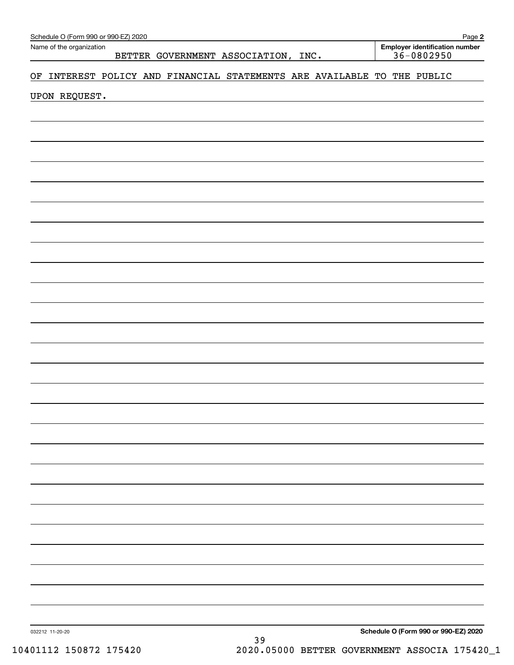| Schedule O (Form 990 or 990-EZ) 2020                                       | Page 2                                           |
|----------------------------------------------------------------------------|--------------------------------------------------|
| Name of the organization<br>BETTER GOVERNMENT ASSOCIATION, INC.            | Employer identification number<br>$36 - 0802950$ |
| INTEREST POLICY AND FINANCIAL STATEMENTS ARE AVAILABLE TO THE PUBLIC<br>OF |                                                  |
| UPON REQUEST.                                                              |                                                  |
|                                                                            |                                                  |
|                                                                            |                                                  |
|                                                                            |                                                  |
|                                                                            |                                                  |
|                                                                            |                                                  |
|                                                                            |                                                  |
|                                                                            |                                                  |
|                                                                            |                                                  |
|                                                                            |                                                  |
|                                                                            |                                                  |
|                                                                            |                                                  |
|                                                                            |                                                  |
|                                                                            |                                                  |
|                                                                            |                                                  |
|                                                                            |                                                  |
|                                                                            |                                                  |
|                                                                            |                                                  |
|                                                                            |                                                  |
|                                                                            |                                                  |
|                                                                            |                                                  |
|                                                                            |                                                  |
|                                                                            |                                                  |
|                                                                            |                                                  |
|                                                                            |                                                  |
|                                                                            |                                                  |
|                                                                            |                                                  |
|                                                                            |                                                  |
| 032212 11-20-20                                                            | Schedule O (Form 990 or 990-EZ) 2020             |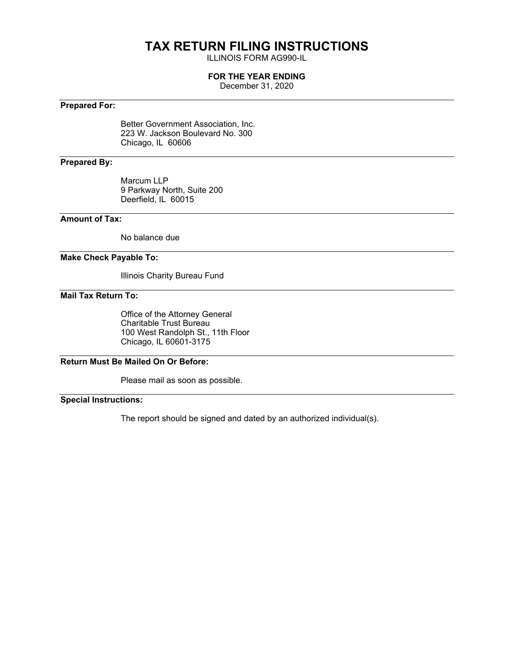# **TAX RETURN FILING INSTRUCTIONS**

ILLINOIS FORM AG990-IL

### **FOR THE YEAR ENDING**

December 31, 2020

## **Prepared For:**

Better Government Association, Inc. 223 W. Jackson Boulevard No. 300 Chicago, IL 60606

## **Prepared By:**

Marcum LLP 9 Parkway North, Suite 200 Deerfield, IL 60015

## **Amount of Tax:**

No balance due

#### **Make Check Payable To:**

Illinois Charity Bureau Fund

### **Mail Tax Return To:**

Office of the Attorney General Charitable Trust Bureau 100 West Randolph St., 11th Floor Chicago, IL 60601-3175

## **Return Must Be Mailed On Or Before:**

Please mail as soon as possible.

# **Special Instructions:**

The report should be signed and dated by an authorized individual(s).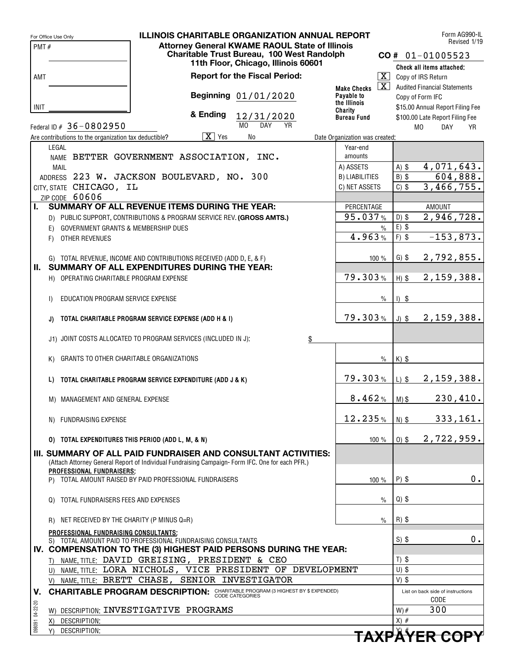|                 | For Office Use Only                                   | <b>ILLINOIS CHARITABLE ORGANIZATION ANNUAL REPORT</b>                                                                             |                                               | Form AG990-IL<br>Revised 1/19                    |
|-----------------|-------------------------------------------------------|-----------------------------------------------------------------------------------------------------------------------------------|-----------------------------------------------|--------------------------------------------------|
| PMT#            |                                                       | <b>Attorney General KWAME RAOUL State of Illinois</b>                                                                             |                                               |                                                  |
|                 |                                                       | Charitable Trust Bureau, 100 West Randolph                                                                                        |                                               | $CO # 01-01005523$                               |
|                 |                                                       | 11th Floor, Chicago, Illinois 60601                                                                                               |                                               | Check all items attached:                        |
| AMT             |                                                       | <b>Report for the Fiscal Period:</b>                                                                                              | $\boxed{\text{X}}$                            | Copy of IRS Return                               |
|                 |                                                       |                                                                                                                                   | $\overline{\mathbf{X}}$<br><b>Make Checks</b> | <b>Audited Financial Statements</b>              |
|                 |                                                       | Beginning 01/01/2020                                                                                                              | Payable to                                    | Copy of Form IFC                                 |
| <b>INIT</b>     |                                                       |                                                                                                                                   | the Illinois<br>Charity                       | \$15.00 Annual Report Filing Fee                 |
|                 |                                                       | & Ending<br>12/31/2020                                                                                                            | <b>Bureau Fund</b>                            | \$100.00 Late Report Filing Fee                  |
|                 | Federal ID # 36-0802950                               | M <sub>0</sub><br><b>DAY</b><br><b>YR</b>                                                                                         |                                               | M <sub>0</sub><br><b>DAY</b><br><b>YR</b>        |
|                 | Are contributions to the organization tax deductible? | $\overline{X}$ Yes<br>No                                                                                                          | Date Organization was created:                |                                                  |
|                 | LEGAL                                                 |                                                                                                                                   | Year-end                                      |                                                  |
|                 |                                                       | NAME BETTER GOVERNMENT ASSOCIATION, INC.                                                                                          | amounts                                       |                                                  |
|                 | MAIL                                                  |                                                                                                                                   | A) ASSETS                                     | 4,071,643.<br>A) \$                              |
|                 |                                                       | ADDRESS 223 W. JACKSON BOULEVARD, NO. 300                                                                                         | <b>B) LIABILITIES</b>                         | 604,888.<br>$B)$ \$                              |
|                 | CITY, STATE CHICAGO, IL                               |                                                                                                                                   | C) NET ASSETS                                 | 3,466,755.<br>$C)$ \$                            |
|                 | ZIP CODE 60606                                        |                                                                                                                                   |                                               |                                                  |
| L.              |                                                       | <b>SUMMARY OF ALL REVENUE ITEMS DURING THE YEAR:</b>                                                                              | PERCENTAGE                                    | <b>AMOUNT</b>                                    |
|                 |                                                       | D) PUBLIC SUPPORT, CONTRIBUTIONS & PROGRAM SERVICE REV. (GROSS AMTS.)                                                             | 95.037%                                       | 2,946,728.<br>$D)$ \$                            |
|                 | GOVERNMENT GRANTS & MEMBERSHIP DUES<br>E)             |                                                                                                                                   | $\frac{0}{0}$                                 | $E)$ \$                                          |
|                 | OTHER REVENUES<br>F)                                  |                                                                                                                                   | 4.963%                                        | $F)$ \$<br>$-153,873.$                           |
|                 |                                                       |                                                                                                                                   |                                               |                                                  |
|                 |                                                       | G) TOTAL REVENUE, INCOME AND CONTRIBUTIONS RECEIVED (ADD D, E, & F)                                                               | 100 %                                         | 2,792,855.<br>$G)$ \$                            |
| Ш.              |                                                       | SUMMARY OF ALL EXPENDITURES DURING THE YEAR:                                                                                      |                                               |                                                  |
|                 | H) OPERATING CHARITABLE PROGRAM EXPENSE               |                                                                                                                                   | 79.303%                                       | 2,159,388.<br>$H)$ \$                            |
|                 |                                                       |                                                                                                                                   |                                               |                                                  |
|                 | EDUCATION PROGRAM SERVICE EXPENSE<br>$\mathsf{D}$     |                                                                                                                                   | $\%$                                          | $1)$ \$                                          |
|                 |                                                       |                                                                                                                                   |                                               |                                                  |
|                 | J)                                                    | TOTAL CHARITABLE PROGRAM SERVICE EXPENSE (ADD H & I)                                                                              | 79.303%                                       | 2,159,388.<br>$J)$ \$                            |
|                 |                                                       |                                                                                                                                   |                                               |                                                  |
|                 |                                                       | J1) JOINT COSTS ALLOCATED TO PROGRAM SERVICES (INCLUDED IN J):<br>\$                                                              |                                               |                                                  |
|                 |                                                       |                                                                                                                                   |                                               |                                                  |
|                 | GRANTS TO OTHER CHARITABLE ORGANIZATIONS<br>K)        |                                                                                                                                   | $\%$                                          | $K)$ \$                                          |
|                 |                                                       |                                                                                                                                   |                                               |                                                  |
|                 | L)                                                    | TOTAL CHARITABLE PROGRAM SERVICE EXPENDITURE (ADD J & K)                                                                          | 79.303%                                       | 2,159,388.<br>$L)$ \$                            |
|                 |                                                       |                                                                                                                                   |                                               |                                                  |
|                 | M) MANAGEMENT AND GENERAL EXPENSE                     |                                                                                                                                   | 8.462%                                        | 230, 410.<br>$M)$ \$                             |
|                 |                                                       |                                                                                                                                   |                                               |                                                  |
|                 | N) FUNDRAISING EXPENSE                                |                                                                                                                                   | 12.235%                                       | 333, 161.<br>$N)$ \$                             |
|                 |                                                       |                                                                                                                                   |                                               | 2,722,959.                                       |
|                 | 0) TOTAL EXPENDITURES THIS PERIOD (ADD L, M, & N)     |                                                                                                                                   | 100 %                                         | $0)$ \$                                          |
|                 |                                                       | III. SUMMARY OF ALL PAID FUNDRAISER AND CONSULTANT ACTIVITIES:                                                                    |                                               |                                                  |
|                 |                                                       | (Attach Attorney General Report of Individual Fundraising Campaign-Form IFC. One for each PFR.)                                   |                                               |                                                  |
|                 | PROFESSIONAL FUNDRAISERS:                             | P) TOTAL AMOUNT RAISED BY PAID PROFESSIONAL FUNDRAISERS                                                                           |                                               | $P)$ \$<br>0.                                    |
|                 |                                                       |                                                                                                                                   | $100 \%$                                      |                                                  |
|                 | Q) TOTAL FUNDRAISERS FEES AND EXPENSES                |                                                                                                                                   | $\%$                                          | $Q)$ \$                                          |
|                 |                                                       |                                                                                                                                   |                                               |                                                  |
|                 | NET RECEIVED BY THE CHARITY (P MINUS Q=R)             |                                                                                                                                   | $\%$                                          | $R)$ \$                                          |
|                 | R)                                                    |                                                                                                                                   |                                               |                                                  |
|                 | PROFESSIONAL FUNDRAISING CONSULTANTS:                 |                                                                                                                                   |                                               | $0$ .<br>$S)$ \$                                 |
|                 |                                                       | S) TOTAL AMOUNT PAID TO PROFESSIONAL FUNDRAISING CONSULTANTS<br>IV. COMPENSATION TO THE (3) HIGHEST PAID PERSONS DURING THE YEAR: |                                               |                                                  |
|                 |                                                       | T) NAME, TITLE: DAVID GREISING, PRESIDENT & CEO                                                                                   |                                               | $T)$ \$                                          |
|                 |                                                       | U) NAME, TITLE: LORA NICHOLS, VICE PRESIDENT OF DEVELOPMENT                                                                       |                                               | $U)$ \$                                          |
|                 |                                                       | V) NAME, TITLE: BRETT CHASE, SENIOR INVESTIGATOR                                                                                  |                                               | $V)$ \$                                          |
|                 |                                                       |                                                                                                                                   |                                               |                                                  |
| V.              |                                                       | <b>CHARITABLE PROGRAM DESCRIPTION:</b> CHARITABLE PROGRAM (3 HIGHEST BY \$ EXPENDED)                                              |                                               | List on back side of instructions<br><b>CODE</b> |
|                 |                                                       | W) DESCRIPTION: INVESTIGATIVE PROGRAMS                                                                                            |                                               | 300<br>$W)$ #                                    |
|                 | DESCRIPTION:<br>X)                                    |                                                                                                                                   |                                               | $X)$ #                                           |
| 098091 04-22-20 | DESCRIPTION:<br>Y)                                    |                                                                                                                                   |                                               | TAVDÄVED CODV                                    |
|                 |                                                       |                                                                                                                                   |                                               |                                                  |

|  |  |  |  | <del>TAXPÄYER COPY</del> |  |  |
|--|--|--|--|--------------------------|--|--|
|  |  |  |  |                          |  |  |